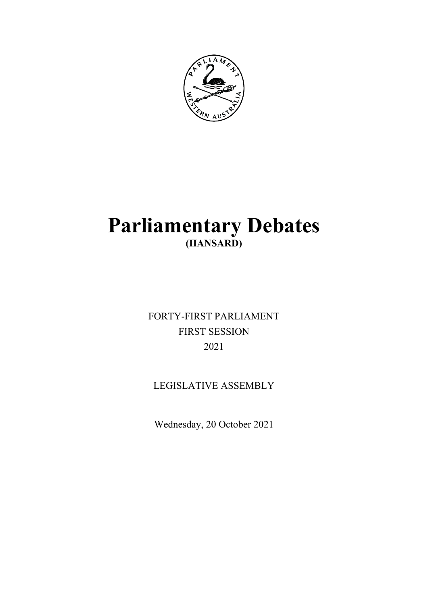

# **Parliamentary Debates (HANSARD)**

FORTY-FIRST PARLIAMENT FIRST SESSION 2021

## LEGISLATIVE ASSEMBLY

Wednesday, 20 October 2021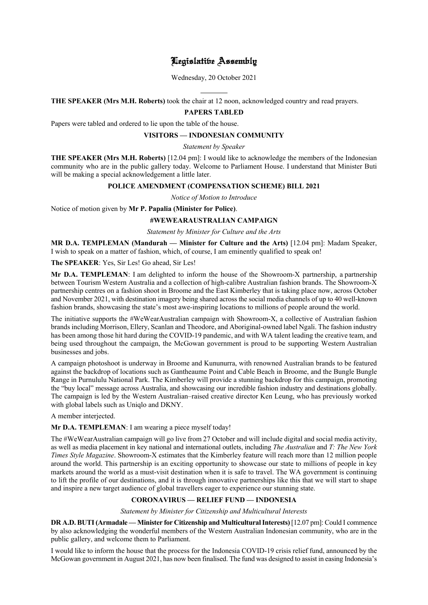## Legislative Assembly

Wednesday, 20 October 2021

l **THE SPEAKER (Mrs M.H. Roberts)** took the chair at 12 noon, acknowledged country and read prayers.

## **PAPERS TABLED**

Papers were tabled and ordered to lie upon the table of the house.

#### **VISITORS — INDONESIAN COMMUNITY**

*Statement by Speaker*

**THE SPEAKER (Mrs M.H. Roberts)** [12.04 pm]: I would like to acknowledge the members of the Indonesian community who are in the public gallery today. Welcome to Parliament House. I understand that Minister Buti will be making a special acknowledgement a little later.

## **POLICE AMENDMENT (COMPENSATION SCHEME) BILL 2021**

*Notice of Motion to Introduce*

Notice of motion given by **Mr P. Papalia (Minister for Police)**.

## **#WEWEARAUSTRALIAN CAMPAIGN**

*Statement by Minister for Culture and the Arts*

**MR D.A. TEMPLEMAN (Mandurah — Minister for Culture and the Arts)** [12.04 pm]: Madam Speaker, I wish to speak on a matter of fashion, which, of course, I am eminently qualified to speak on!

**The SPEAKER**: Yes, Sir Les! Go ahead, Sir Les!

**Mr D.A. TEMPLEMAN**: I am delighted to inform the house of the Showroom-X partnership, a partnership between Tourism Western Australia and a collection of high-calibre Australian fashion brands. The Showroom-X partnership centres on a fashion shoot in Broome and the East Kimberley that is taking place now, across October and November 2021, with destination imagery being shared across the social media channels of up to 40 well-known fashion brands, showcasing the state's most awe-inspiring locations to millions of people around the world.

The initiative supports the #WeWearAustralian campaign with Showroom-X, a collective of Australian fashion brands including Morrison, Ellery, Scanlan and Theodore, and Aboriginal-owned label Ngali. The fashion industry has been among those hit hard during the COVID-19 pandemic, and with WA talent leading the creative team, and being used throughout the campaign, the McGowan government is proud to be supporting Western Australian businesses and jobs.

A campaign photoshoot is underway in Broome and Kununurra, with renowned Australian brands to be featured against the backdrop of locations such as Gantheaume Point and Cable Beach in Broome, and the Bungle Bungle Range in Purnululu National Park. The Kimberley will provide a stunning backdrop for this campaign, promoting the "buy local" message across Australia, and showcasing our incredible fashion industry and destinations globally. The campaign is led by the Western Australian–raised creative director Ken Leung, who has previously worked with global labels such as Uniqlo and DKNY.

A member interjected.

**Mr D.A. TEMPLEMAN**: I am wearing a piece myself today!

The #WeWearAustralian campaign will go live from 27 October and will include digital and social media activity, as well as media placement in key national and international outlets, including *The Australian* and *T: The New York Times Style Magazine*. Showroom-X estimates that the Kimberley feature will reach more than 12 million people around the world. This partnership is an exciting opportunity to showcase our state to millions of people in key markets around the world as a must-visit destination when it is safe to travel. The WA government is continuing to lift the profile of our destinations, and it is through innovative partnerships like this that we will start to shape and inspire a new target audience of global travellers eager to experience our stunning state.

## **CORONAVIRUS — RELIEF FUND — INDONESIA**

*Statement by Minister for Citizenship and Multicultural Interests*

**DR A.D. BUTI(Armadale — Minister for Citizenship and Multicultural Interests)** [12.07 pm]: Could I commence by also acknowledging the wonderful members of the Western Australian Indonesian community, who are in the public gallery, and welcome them to Parliament.

I would like to inform the house that the process for the Indonesia COVID-19 crisis relief fund, announced by the McGowan government in August 2021, has now been finalised. The fund was designed to assist in easing Indonesia's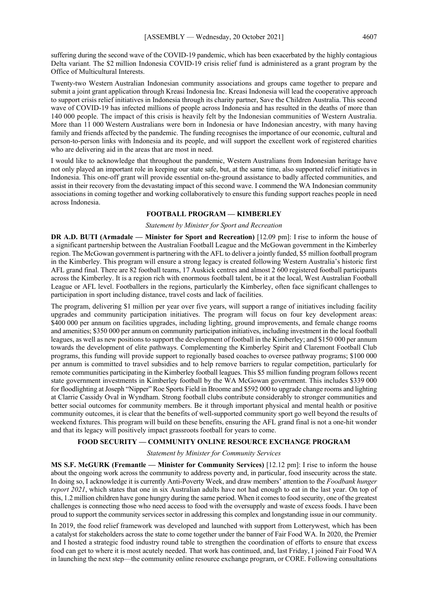suffering during the second wave of the COVID-19 pandemic, which has been exacerbated by the highly contagious Delta variant. The \$2 million Indonesia COVID-19 crisis relief fund is administered as a grant program by the Office of Multicultural Interests.

Twenty-two Western Australian Indonesian community associations and groups came together to prepare and submit a joint grant application through Kreasi Indonesia Inc. Kreasi Indonesia will lead the cooperative approach to support crisis relief initiatives in Indonesia through its charity partner, Save the Children Australia. This second wave of COVID-19 has infected millions of people across Indonesia and has resulted in the deaths of more than 140 000 people. The impact of this crisis is heavily felt by the Indonesian communities of Western Australia. More than 11 000 Western Australians were born in Indonesia or have Indonesian ancestry, with many having family and friends affected by the pandemic. The funding recognises the importance of our economic, cultural and person-to-person links with Indonesia and its people, and will support the excellent work of registered charities who are delivering aid in the areas that are most in need.

I would like to acknowledge that throughout the pandemic, Western Australians from Indonesian heritage have not only played an important role in keeping our state safe, but, at the same time, also supported relief initiatives in Indonesia. This one-off grant will provide essential on-the-ground assistance to badly affected communities, and assist in their recovery from the devastating impact of this second wave. I commend the WA Indonesian community associations in coming together and working collaboratively to ensure this funding support reaches people in need across Indonesia.

#### **FOOTBALL PROGRAM — KIMBERLEY**

#### *Statement by Minister for Sport and Recreation*

**DR A.D. BUTI (Armadale — Minister for Sport and Recreation)** [12.09 pm]: I rise to inform the house of a significant partnership between the Australian Football League and the McGowan government in the Kimberley region. The McGowan government is partnering with the AFL to deliver a jointly funded, \$5 million football program in the Kimberley. This program will ensure a strong legacy is created following Western Australia's historic first AFL grand final. There are 82 football teams, 17 Auskick centres and almost 2 600 registered football participants across the Kimberley. It is a region rich with enormous football talent, be it at the local, West Australian Football League or AFL level. Footballers in the regions, particularly the Kimberley, often face significant challenges to participation in sport including distance, travel costs and lack of facilities.

The program, delivering \$1 million per year over five years, will support a range of initiatives including facility upgrades and community participation initiatives. The program will focus on four key development areas: \$400,000 per annum on facilities upgrades, including lighting, ground improvements, and female change rooms and amenities; \$350 000 per annum on community participation initiatives, including investment in the local football leagues, as well as new positions to support the development of football in the Kimberley; and \$150 000 per annum towards the development of elite pathways. Complementing the Kimberley Spirit and Claremont Football Club programs, this funding will provide support to regionally based coaches to oversee pathway programs; \$100 000 per annum is committed to travel subsidies and to help remove barriers to regular competition, particularly for remote communities participating in the Kimberley football leagues. This \$5 million funding program follows recent state government investments in Kimberley football by the WA McGowan government. This includes \$339 000 for floodlighting at Joseph "Nipper" Roe Sports Field in Broome and \$592 000 to upgrade change rooms and lighting at Clarrie Cassidy Oval in Wyndham. Strong football clubs contribute considerably to stronger communities and better social outcomes for community members. Be it through important physical and mental health or positive community outcomes, it is clear that the benefits of well-supported community sport go well beyond the results of weekend fixtures. This program will build on these benefits, ensuring the AFL grand final is not a one-hit wonder and that its legacy will positively impact grassroots football for years to come.

#### **FOOD SECURITY — COMMUNITY ONLINE RESOURCE EXCHANGE PROGRAM**

#### *Statement by Minister for Community Services*

**MS S.F. McGURK (Fremantle — Minister for Community Services)** [12.12 pm]: I rise to inform the house about the ongoing work across the community to address poverty and, in particular, food insecurity across the state. In doing so, I acknowledge it is currently Anti-Poverty Week, and draw members' attention to the *Foodbank hunger report 2021*, which states that one in six Australian adults have not had enough to eat in the last year. On top of this, 1.2 million children have gone hungry during the same period. When it comes to food security, one of the greatest challenges is connecting those who need access to food with the oversupply and waste of excess foods. I have been proud to support the community services sector in addressing this complex and longstanding issue in our community.

In 2019, the food relief framework was developed and launched with support from Lotterywest, which has been a catalyst for stakeholders across the state to come together under the banner of Fair Food WA. In 2020, the Premier and I hosted a strategic food industry round table to strengthen the coordination of efforts to ensure that excess food can get to where it is most acutely needed. That work has continued, and, last Friday, I joined Fair Food WA in launching the next step—the community online resource exchange program, or CORE. Following consultations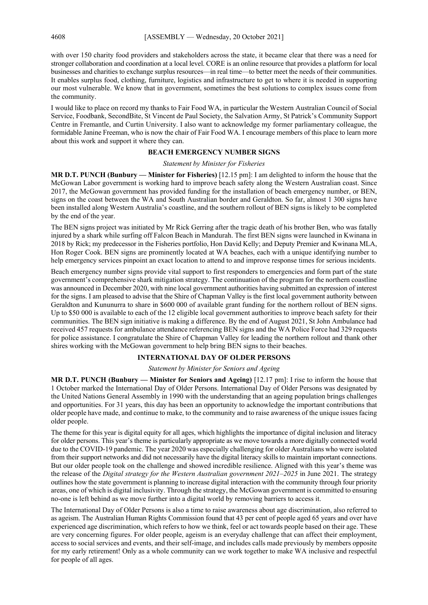with over 150 charity food providers and stakeholders across the state, it became clear that there was a need for stronger collaboration and coordination at a local level. CORE is an online resource that provides a platform for local businesses and charities to exchange surplus resources—in real time—to better meet the needs of their communities. It enables surplus food, clothing, furniture, logistics and infrastructure to get to where it is needed in supporting our most vulnerable. We know that in government, sometimes the best solutions to complex issues come from the community.

I would like to place on record my thanks to Fair Food WA, in particular the Western Australian Council of Social Service, Foodbank, SecondBite, St Vincent de Paul Society, the Salvation Army, St Patrick's Community Support Centre in Fremantle, and Curtin University. I also want to acknowledge my former parliamentary colleague, the formidable Janine Freeman, who is now the chair of Fair Food WA. I encourage members of this place to learn more about this work and support it where they can.

#### **BEACH EMERGENCY NUMBER SIGNS**

#### *Statement by Minister for Fisheries*

**MR D.T. PUNCH (Bunbury — Minister for Fisheries)** [12.15 pm]: I am delighted to inform the house that the McGowan Labor government is working hard to improve beach safety along the Western Australian coast. Since 2017, the McGowan government has provided funding for the installation of beach emergency number, or BEN, signs on the coast between the WA and South Australian border and Geraldton. So far, almost 1 300 signs have been installed along Western Australia's coastline, and the southern rollout of BEN signs is likely to be completed by the end of the year.

The BEN signs project was initiated by Mr Rick Gerring after the tragic death of his brother Ben, who was fatally injured by a shark while surfing off Falcon Beach in Mandurah. The first BEN signs were launched in Kwinana in 2018 by Rick; my predecessor in the Fisheries portfolio, Hon David Kelly; and Deputy Premier and Kwinana MLA, Hon Roger Cook. BEN signs are prominently located at WA beaches, each with a unique identifying number to help emergency services pinpoint an exact location to attend to and improve response times for serious incidents.

Beach emergency number signs provide vital support to first responders to emergencies and form part of the state government's comprehensive shark mitigation strategy. The continuation of the program for the northern coastline was announced in December 2020, with nine local government authorities having submitted an expression of interest for the signs. I am pleased to advise that the Shire of Chapman Valley is the first local government authority between Geraldton and Kununurra to share in \$600 000 of available grant funding for the northern rollout of BEN signs. Up to \$50 000 is available to each of the 12 eligible local government authorities to improve beach safety for their communities. The BEN sign initiative is making a difference. By the end of August 2021, St John Ambulance had received 457 requests for ambulance attendance referencing BEN signs and the WA Police Force had 329 requests for police assistance. I congratulate the Shire of Chapman Valley for leading the northern rollout and thank other shires working with the McGowan government to help bring BEN signs to their beaches.

## **INTERNATIONAL DAY OF OLDER PERSONS**

*Statement by Minister for Seniors and Ageing*

**MR D.T. PUNCH (Bunbury — Minister for Seniors and Ageing)** [12.17 pm]: I rise to inform the house that 1 October marked the International Day of Older Persons. International Day of Older Persons was designated by the United Nations General Assembly in 1990 with the understanding that an ageing population brings challenges and opportunities. For 31 years, this day has been an opportunity to acknowledge the important contributions that older people have made, and continue to make, to the community and to raise awareness of the unique issues facing older people.

The theme for this year is digital equity for all ages, which highlights the importance of digital inclusion and literacy for older persons. This year's theme is particularly appropriate as we move towards a more digitally connected world due to the COVID-19 pandemic. The year 2020 was especially challenging for older Australians who were isolated from their support networks and did not necessarily have the digital literacy skills to maintain important connections. But our older people took on the challenge and showed incredible resilience. Aligned with this year's theme was the release of the *Digital strategy for the Western Australian government 2021–2025* in June 2021. The strategy outlines how the state government is planning to increase digital interaction with the community through four priority areas, one of which is digital inclusivity. Through the strategy, the McGowan government is committed to ensuring no-one is left behind as we move further into a digital world by removing barriers to access it.

The International Day of Older Persons is also a time to raise awareness about age discrimination, also referred to as ageism. The Australian Human Rights Commission found that 43 per cent of people aged 65 years and over have experienced age discrimination, which refers to how we think, feel or act towards people based on their age. These are very concerning figures. For older people, ageism is an everyday challenge that can affect their employment, access to social services and events, and their self-image, and includes calls made previously by members opposite for my early retirement! Only as a whole community can we work together to make WA inclusive and respectful for people of all ages.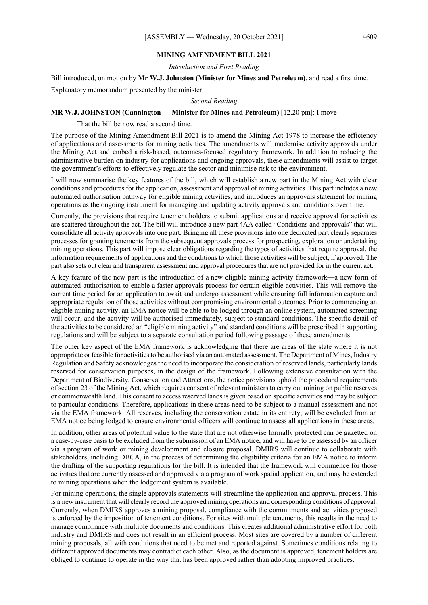#### **MINING AMENDMENT BILL 2021**

*Introduction and First Reading*

Bill introduced, on motion by **Mr W.J. Johnston (Minister for Mines and Petroleum)**, and read a first time.

Explanatory memorandum presented by the minister.

#### *Second Reading*

#### **MR W.J. JOHNSTON (Cannington — Minister for Mines and Petroleum)** [12.20 pm]: I move —

That the bill be now read a second time.

The purpose of the Mining Amendment Bill 2021 is to amend the Mining Act 1978 to increase the efficiency of applications and assessments for mining activities. The amendments will modernise activity approvals under the Mining Act and embed a risk-based, outcomes-focused regulatory framework. In addition to reducing the administrative burden on industry for applications and ongoing approvals, these amendments will assist to target the government's efforts to effectively regulate the sector and minimise risk to the environment.

I will now summarise the key features of the bill, which will establish a new part in the Mining Act with clear conditions and procedures for the application, assessment and approval of mining activities. This part includes a new automated authorisation pathway for eligible mining activities, and introduces an approvals statement for mining operations as the ongoing instrument for managing and updating activity approvals and conditions over time.

Currently, the provisions that require tenement holders to submit applications and receive approval for activities are scattered throughout the act. The bill will introduce a new part 4AA called "Conditions and approvals" that will consolidate all activity approvals into one part. Bringing all these provisions into one dedicated part clearly separates processes for granting tenements from the subsequent approvals process for prospecting, exploration or undertaking mining operations. This part will impose clear obligations regarding the types of activities that require approval, the information requirements of applications and the conditions to which those activities will be subject, if approved. The part also sets out clear and transparent assessment and approval procedures that are not provided for in the current act.

A key feature of the new part is the introduction of a new eligible mining activity framework—a new form of automated authorisation to enable a faster approvals process for certain eligible activities. This will remove the current time period for an application to await and undergo assessment while ensuring full information capture and appropriate regulation of those activities without compromising environmental outcomes. Prior to commencing an eligible mining activity, an EMA notice will be able to be lodged through an online system, automated screening will occur, and the activity will be authorised immediately, subject to standard conditions. The specific detail of the activities to be considered an "eligible mining activity" and standard conditions will be prescribed in supporting regulations and will be subject to a separate consultation period following passage of these amendments.

The other key aspect of the EMA framework is acknowledging that there are areas of the state where it is not appropriate or feasible for activities to be authorised via an automated assessment. The Department of Mines, Industry Regulation and Safety acknowledges the need to incorporate the consideration of reserved lands, particularly lands reserved for conservation purposes, in the design of the framework. Following extensive consultation with the Department of Biodiversity, Conservation and Attractions, the notice provisions uphold the procedural requirements of section 23 of the Mining Act, which requires consent of relevant ministers to carry out mining on public reserves or commonwealth land. This consent to access reserved lands is given based on specific activities and may be subject to particular conditions. Therefore, applications in these areas need to be subject to a manual assessment and not via the EMA framework. All reserves, including the conservation estate in its entirety, will be excluded from an EMA notice being lodged to ensure environmental officers will continue to assess all applications in these areas.

In addition, other areas of potential value to the state that are not otherwise formally protected can be gazetted on a case-by-case basis to be excluded from the submission of an EMA notice, and will have to be assessed by an officer via a program of work or mining development and closure proposal. DMIRS will continue to collaborate with stakeholders, including DBCA, in the process of determining the eligibility criteria for an EMA notice to inform the drafting of the supporting regulations for the bill. It is intended that the framework will commence for those activities that are currently assessed and approved via a program of work spatial application, and may be extended to mining operations when the lodgement system is available.

For mining operations, the single approvals statements will streamline the application and approval process. This is a new instrument that will clearly record the approved mining operations and corresponding conditions of approval. Currently, when DMIRS approves a mining proposal, compliance with the commitments and activities proposed is enforced by the imposition of tenement conditions. For sites with multiple tenements, this results in the need to manage compliance with multiple documents and conditions. This creates additional administrative effort for both industry and DMIRS and does not result in an efficient process. Most sites are covered by a number of different mining proposals, all with conditions that need to be met and reported against. Sometimes conditions relating to different approved documents may contradict each other. Also, as the document is approved, tenement holders are obliged to continue to operate in the way that has been approved rather than adopting improved practices.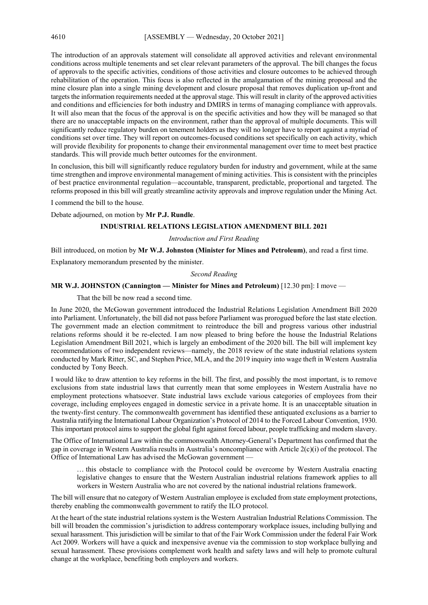The introduction of an approvals statement will consolidate all approved activities and relevant environmental conditions across multiple tenements and set clear relevant parameters of the approval. The bill changes the focus of approvals to the specific activities, conditions of those activities and closure outcomes to be achieved through rehabilitation of the operation. This focus is also reflected in the amalgamation of the mining proposal and the mine closure plan into a single mining development and closure proposal that removes duplication up-front and targets the information requirements needed at the approval stage. This will result in clarity of the approved activities and conditions and efficiencies for both industry and DMIRS in terms of managing compliance with approvals. It will also mean that the focus of the approval is on the specific activities and how they will be managed so that there are no unacceptable impacts on the environment, rather than the approval of multiple documents. This will significantly reduce regulatory burden on tenement holders as they will no longer have to report against a myriad of conditions set over time. They will report on outcomes-focused conditions set specifically on each activity, which will provide flexibility for proponents to change their environmental management over time to meet best practice standards. This will provide much better outcomes for the environment.

In conclusion, this bill will significantly reduce regulatory burden for industry and government, while at the same time strengthen and improve environmental management of mining activities. This is consistent with the principles of best practice environmental regulation—accountable, transparent, predictable, proportional and targeted. The reforms proposed in this bill will greatly streamline activity approvals and improve regulation under the Mining Act.

I commend the bill to the house.

Debate adjourned, on motion by **Mr P.J. Rundle**.

#### **INDUSTRIAL RELATIONS LEGISLATION AMENDMENT BILL 2021**

*Introduction and First Reading*

Bill introduced, on motion by **Mr W.J. Johnston (Minister for Mines and Petroleum)**, and read a first time.

Explanatory memorandum presented by the minister.

#### *Second Reading*

#### **MR W.J. JOHNSTON (Cannington — Minister for Mines and Petroleum)** [12.30 pm]: I move —

That the bill be now read a second time.

In June 2020, the McGowan government introduced the Industrial Relations Legislation Amendment Bill 2020 into Parliament. Unfortunately, the bill did not pass before Parliament was prorogued before the last state election. The government made an election commitment to reintroduce the bill and progress various other industrial relations reforms should it be re-elected. I am now pleased to bring before the house the Industrial Relations Legislation Amendment Bill 2021, which is largely an embodiment of the 2020 bill. The bill will implement key recommendations of two independent reviews—namely, the 2018 review of the state industrial relations system conducted by Mark Ritter, SC, and Stephen Price, MLA, and the 2019 inquiry into wage theft in Western Australia conducted by Tony Beech.

I would like to draw attention to key reforms in the bill. The first, and possibly the most important, is to remove exclusions from state industrial laws that currently mean that some employees in Western Australia have no employment protections whatsoever. State industrial laws exclude various categories of employees from their coverage, including employees engaged in domestic service in a private home. It is an unacceptable situation in the twenty-first century. The commonwealth government has identified these antiquated exclusions as a barrier to Australia ratifying the International Labour Organization's Protocol of 2014 to the Forced Labour Convention, 1930. This important protocol aims to support the global fight against forced labour, people trafficking and modern slavery.

The Office of International Law within the commonwealth Attorney-General's Department has confirmed that the gap in coverage in Western Australia results in Australia's noncompliance with Article 2(c)(i) of the protocol. The Office of International Law has advised the McGowan government —

… this obstacle to compliance with the Protocol could be overcome by Western Australia enacting legislative changes to ensure that the Western Australian industrial relations framework applies to all workers in Western Australia who are not covered by the national industrial relations framework.

The bill will ensure that no category of Western Australian employee is excluded from state employment protections, thereby enabling the commonwealth government to ratify the ILO protocol.

At the heart of the state industrial relations system is the Western Australian Industrial Relations Commission. The bill will broaden the commission's jurisdiction to address contemporary workplace issues, including bullying and sexual harassment. This jurisdiction will be similar to that of the Fair Work Commission under the federal Fair Work Act 2009. Workers will have a quick and inexpensive avenue via the commission to stop workplace bullying and sexual harassment. These provisions complement work health and safety laws and will help to promote cultural change at the workplace, benefiting both employers and workers.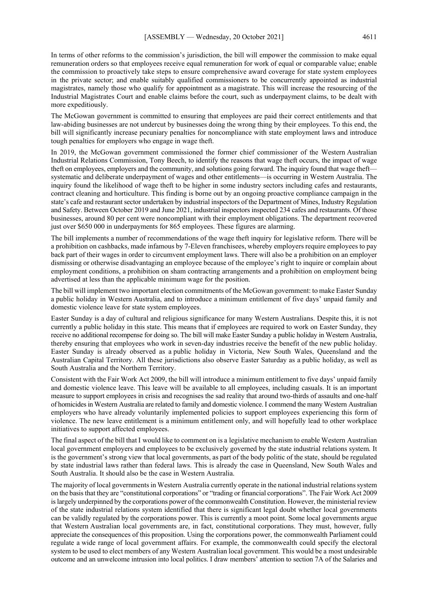In terms of other reforms to the commission's jurisdiction, the bill will empower the commission to make equal remuneration orders so that employees receive equal remuneration for work of equal or comparable value; enable the commission to proactively take steps to ensure comprehensive award coverage for state system employees in the private sector; and enable suitably qualified commissioners to be concurrently appointed as industrial magistrates, namely those who qualify for appointment as a magistrate. This will increase the resourcing of the Industrial Magistrates Court and enable claims before the court, such as underpayment claims, to be dealt with more expeditiously.

The McGowan government is committed to ensuring that employees are paid their correct entitlements and that law-abiding businesses are not undercut by businesses doing the wrong thing by their employees. To this end, the bill will significantly increase pecuniary penalties for noncompliance with state employment laws and introduce tough penalties for employers who engage in wage theft.

In 2019, the McGowan government commissioned the former chief commissioner of the Western Australian Industrial Relations Commission, Tony Beech, to identify the reasons that wage theft occurs, the impact of wage theft on employees, employers and the community, and solutions going forward. The inquiry found that wage theft systematic and deliberate underpayment of wages and other entitlements—is occurring in Western Australia. The inquiry found the likelihood of wage theft to be higher in some industry sectors including cafes and restaurants, contract cleaning and horticulture. This finding is borne out by an ongoing proactive compliance campaign in the state's cafe and restaurant sector undertaken by industrial inspectors of the Department of Mines, Industry Regulation and Safety. Between October 2019 and June 2021, industrial inspectors inspected 234 cafes and restaurants. Of those businesses, around 80 per cent were noncompliant with their employment obligations. The department recovered just over \$650 000 in underpayments for 865 employees. These figures are alarming.

The bill implements a number of recommendations of the wage theft inquiry for legislative reform. There will be a prohibition on cashbacks, made infamous by 7-Eleven franchisees, whereby employers require employees to pay back part of their wages in order to circumvent employment laws. There will also be a prohibition on an employer dismissing or otherwise disadvantaging an employee because of the employee's right to inquire or complain about employment conditions, a prohibition on sham contracting arrangements and a prohibition on employment being advertised at less than the applicable minimum wage for the position.

The bill will implement two important election commitments of the McGowan government: to make Easter Sunday a public holiday in Western Australia, and to introduce a minimum entitlement of five days' unpaid family and domestic violence leave for state system employees.

Easter Sunday is a day of cultural and religious significance for many Western Australians. Despite this, it is not currently a public holiday in this state. This means that if employees are required to work on Easter Sunday, they receive no additional recompense for doing so. The bill will make Easter Sunday a public holiday in Western Australia, thereby ensuring that employees who work in seven-day industries receive the benefit of the new public holiday. Easter Sunday is already observed as a public holiday in Victoria, New South Wales, Queensland and the Australian Capital Territory. All these jurisdictions also observe Easter Saturday as a public holiday, as well as South Australia and the Northern Territory.

Consistent with the Fair Work Act 2009, the bill will introduce a minimum entitlement to five days' unpaid family and domestic violence leave. This leave will be available to all employees, including casuals. It is an important measure to support employees in crisis and recognises the sad reality that around two-thirds of assaults and one-half of homicides in Western Australia are related to family and domestic violence. I commend the many Western Australian employers who have already voluntarily implemented policies to support employees experiencing this form of violence. The new leave entitlement is a minimum entitlement only, and will hopefully lead to other workplace initiatives to support affected employees.

The final aspect of the bill that I would like to comment on is a legislative mechanism to enable Western Australian local government employers and employees to be exclusively governed by the state industrial relations system. It is the government's strong view that local governments, as part of the body politic of the state, should be regulated by state industrial laws rather than federal laws. This is already the case in Queensland, New South Wales and South Australia. It should also be the case in Western Australia.

The majority of local governments in Western Australia currently operate in the national industrial relations system on the basis that they are "constitutional corporations" or "trading or financial corporations". The Fair Work Act 2009 is largely underpinned by the corporations power of the commonwealth Constitution. However, the ministerial review of the state industrial relations system identified that there is significant legal doubt whether local governments can be validly regulated by the corporations power. This is currently a moot point. Some local governments argue that Western Australian local governments are, in fact, constitutional corporations. They must, however, fully appreciate the consequences of this proposition. Using the corporations power, the commonwealth Parliament could regulate a wide range of local government affairs. For example, the commonwealth could specify the electoral system to be used to elect members of any Western Australian local government. This would be a most undesirable outcome and an unwelcome intrusion into local politics. I draw members' attention to section 7A of the Salaries and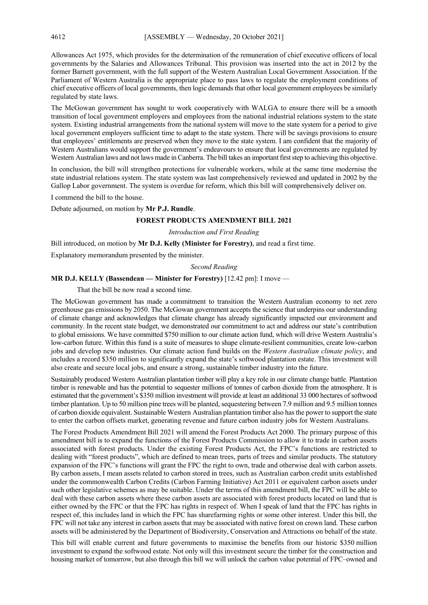Allowances Act 1975, which provides for the determination of the remuneration of chief executive officers of local governments by the Salaries and Allowances Tribunal. This provision was inserted into the act in 2012 by the former Barnett government, with the full support of the Western Australian Local Government Association. If the Parliament of Western Australia is the appropriate place to pass laws to regulate the employment conditions of chief executive officers of local governments, then logic demands that other local government employees be similarly regulated by state laws.

The McGowan government has sought to work cooperatively with WALGA to ensure there will be a smooth transition of local government employers and employees from the national industrial relations system to the state system. Existing industrial arrangements from the national system will move to the state system for a period to give local government employers sufficient time to adapt to the state system. There will be savings provisions to ensure that employees' entitlements are preserved when they move to the state system. I am confident that the majority of Western Australians would support the government's endeavours to ensure that local governments are regulated by Western Australian laws and not laws made in Canberra. The bill takes an important first step to achieving this objective.

In conclusion, the bill will strengthen protections for vulnerable workers, while at the same time modernise the state industrial relations system. The state system was last comprehensively reviewed and updated in 2002 by the Gallop Labor government. The system is overdue for reform, which this bill will comprehensively deliver on.

I commend the bill to the house.

Debate adjourned, on motion by **Mr P.J. Rundle**.

## **FOREST PRODUCTS AMENDMENT BILL 2021**

## *Introduction and First Reading*

Bill introduced, on motion by **Mr D.J. Kelly (Minister for Forestry)**, and read a first time.

Explanatory memorandum presented by the minister.

#### *Second Reading*

## **MR D.J. KELLY (Bassendean — Minister for Forestry)** [12.42 pm]: I move —

That the bill be now read a second time.

The McGowan government has made a commitment to transition the Western Australian economy to net zero greenhouse gas emissions by 2050. The McGowan government accepts the science that underpins our understanding of climate change and acknowledges that climate change has already significantly impacted our environment and community. In the recent state budget, we demonstrated our commitment to act and address our state's contribution to global emissions. We have committed \$750 million to our climate action fund, which will drive Western Australia's low-carbon future. Within this fund is a suite of measures to shape climate-resilient communities, create low-carbon jobs and develop new industries. Our climate action fund builds on the *Western Australian climate policy*, and includes a record \$350 million to significantly expand the state's softwood plantation estate. This investment will also create and secure local jobs, and ensure a strong, sustainable timber industry into the future.

Sustainably produced Western Australian plantation timber will play a key role in our climate change battle. Plantation timber is renewable and has the potential to sequester millions of tonnes of carbon dioxide from the atmosphere. It is estimated that the government's \$350 million investment will provide at least an additional 33 000 hectares of softwood timber plantation. Up to 50 million pine trees will be planted, sequestering between 7.9 million and 9.5 million tonnes of carbon dioxide equivalent. Sustainable Western Australian plantation timber also has the power to support the state to enter the carbon offsets market, generating revenue and future carbon industry jobs for Western Australians.

The Forest Products Amendment Bill 2021 will amend the Forest Products Act 2000. The primary purpose of this amendment bill is to expand the functions of the Forest Products Commission to allow it to trade in carbon assets associated with forest products. Under the existing Forest Products Act, the FPC's functions are restricted to dealing with "forest products", which are defined to mean trees, parts of trees and similar products. The statutory expansion of the FPC's functions will grant the FPC the right to own, trade and otherwise deal with carbon assets. By carbon assets, I mean assets related to carbon stored in trees, such as Australian carbon credit units established under the commonwealth Carbon Credits (Carbon Farming Initiative) Act 2011 or equivalent carbon assets under such other legislative schemes as may be suitable. Under the terms of this amendment bill, the FPC will be able to deal with these carbon assets where these carbon assets are associated with forest products located on land that is either owned by the FPC or that the FPC has rights in respect of. When I speak of land that the FPC has rights in respect of, this includes land in which the FPC has sharefarming rights or some other interest. Under this bill, the FPC will not take any interest in carbon assets that may be associated with native forest on crown land. These carbon assets will be administered by the Department of Biodiversity, Conservation and Attractions on behalf of the state.

This bill will enable current and future governments to maximise the benefits from our historic \$350 million investment to expand the softwood estate. Not only will this investment secure the timber for the construction and housing market of tomorrow, but also through this bill we will unlock the carbon value potential of FPC–owned and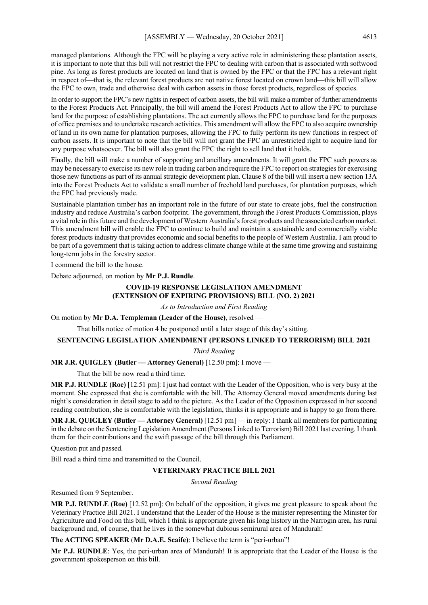managed plantations. Although the FPC will be playing a very active role in administering these plantation assets, it is important to note that this bill will not restrict the FPC to dealing with carbon that is associated with softwood pine. As long as forest products are located on land that is owned by the FPC or that the FPC has a relevant right in respect of—that is, the relevant forest products are not native forest located on crown land—this bill will allow the FPC to own, trade and otherwise deal with carbon assets in those forest products, regardless of species.

In order to support the FPC's new rights in respect of carbon assets, the bill will make a number of further amendments to the Forest Products Act. Principally, the bill will amend the Forest Products Act to allow the FPC to purchase land for the purpose of establishing plantations. The act currently allows the FPC to purchase land for the purposes of office premises and to undertake research activities. This amendment will allow the FPC to also acquire ownership of land in its own name for plantation purposes, allowing the FPC to fully perform its new functions in respect of carbon assets. It is important to note that the bill will not grant the FPC an unrestricted right to acquire land for any purpose whatsoever. The bill will also grant the FPC the right to sell land that it holds.

Finally, the bill will make a number of supporting and ancillary amendments. It will grant the FPC such powers as may be necessary to exercise its new role in trading carbon and require the FPC to report on strategies for exercising those new functions as part of its annual strategic development plan. Clause 8 of the bill will insert a new section 13A into the Forest Products Act to validate a small number of freehold land purchases, for plantation purposes, which the FPC had previously made.

Sustainable plantation timber has an important role in the future of our state to create jobs, fuel the construction industry and reduce Australia's carbon footprint. The government, through the Forest Products Commission, plays a vital role in this future and the development of Western Australia's forest products and the associated carbon market. This amendment bill will enable the FPC to continue to build and maintain a sustainable and commercially viable forest products industry that provides economic and social benefits to the people of Western Australia. I am proud to be part of a government that is taking action to address climate change while at the same time growing and sustaining long-term jobs in the forestry sector.

I commend the bill to the house.

Debate adjourned, on motion by **Mr P.J. Rundle**.

## **COVID-19 RESPONSE LEGISLATION AMENDMENT (EXTENSION OF EXPIRING PROVISIONS) BILL (NO. 2) 2021**

*As to Introduction and First Reading*

On motion by **Mr D.A. Templeman (Leader of the House)**, resolved —

That bills notice of motion 4 be postponed until a later stage of this day's sitting.

#### **SENTENCING LEGISLATION AMENDMENT (PERSONS LINKED TO TERRORISM) BILL 2021**

*Third Reading*

**MR J.R. QUIGLEY (Butler — Attorney General)** [12.50 pm]: I move —

That the bill be now read a third time.

**MR P.J. RUNDLE (Roe)** [12.51 pm]: I just had contact with the Leader of the Opposition, who is very busy at the moment. She expressed that she is comfortable with the bill. The Attorney General moved amendments during last night's consideration in detail stage to add to the picture. As the Leader of the Opposition expressed in her second reading contribution, she is comfortable with the legislation, thinks it is appropriate and is happy to go from there.

**MR J.R. QUIGLEY (Butler — Attorney General)** [12.51 pm] — in reply: I thank all members for participating in the debate on the Sentencing Legislation Amendment (Persons Linked to Terrorism) Bill 2021 last evening. I thank them for their contributions and the swift passage of the bill through this Parliament.

Question put and passed.

Bill read a third time and transmitted to the Council.

## **VETERINARY PRACTICE BILL 2021**

*Second Reading*

Resumed from 9 September.

**MR P.J. RUNDLE (Roe)** [12.52 pm]: On behalf of the opposition, it gives me great pleasure to speak about the Veterinary Practice Bill 2021. I understand that the Leader of the House is the minister representing the Minister for Agriculture and Food on this bill, which I think is appropriate given his long history in the Narrogin area, his rural background and, of course, that he lives in the somewhat dubious semirural area of Mandurah!

**The ACTING SPEAKER** (**Mr D.A.E. Scaife)**: I believe the term is "peri-urban"!

**Mr P.J. RUNDLE**: Yes, the peri-urban area of Mandurah! It is appropriate that the Leader of the House is the government spokesperson on this bill.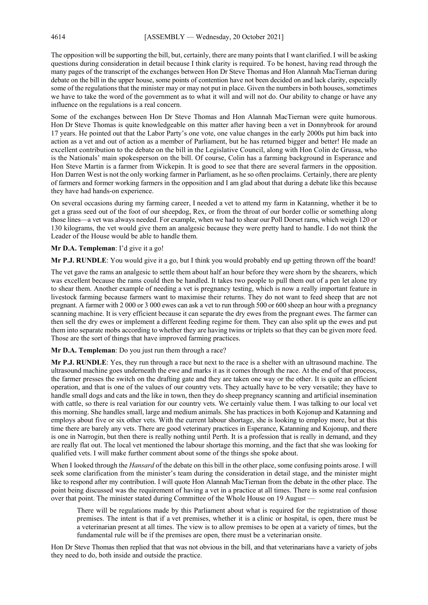The opposition will be supporting the bill, but, certainly, there are many points that I want clarified. I will be asking questions during consideration in detail because I think clarity is required. To be honest, having read through the many pages of the transcript of the exchanges between Hon Dr Steve Thomas and Hon Alannah MacTiernan during debate on the bill in the upper house, some points of contention have not been decided on and lack clarity, especially some of the regulations that the minister may or may not put in place. Given the numbers in both houses, sometimes we have to take the word of the government as to what it will and will not do. Our ability to change or have any influence on the regulations is a real concern.

Some of the exchanges between Hon Dr Steve Thomas and Hon Alannah MacTiernan were quite humorous. Hon Dr Steve Thomas is quite knowledgeable on this matter after having been a vet in Donnybrook for around 17 years. He pointed out that the Labor Party's one vote, one value changes in the early 2000s put him back into action as a vet and out of action as a member of Parliament, but he has returned bigger and better! He made an excellent contribution to the debate on the bill in the Legislative Council, along with Hon Colin de Grussa, who is the Nationals' main spokesperson on the bill. Of course, Colin has a farming background in Esperance and Hon Steve Martin is a farmer from Wickepin. It is good to see that there are several farmers in the opposition. Hon Darren West is not the only working farmer in Parliament, as he so often proclaims. Certainly, there are plenty of farmers and former working farmers in the opposition and I am glad about that during a debate like this because they have had hands-on experience.

On several occasions during my farming career, I needed a vet to attend my farm in Katanning, whether it be to get a grass seed out of the foot of our sheepdog, Rex, or from the throat of our border collie or something along those lines—a vet was always needed. For example, when we had to shear our Poll Dorset rams, which weigh 120 or 130 kilograms, the vet would give them an analgesic because they were pretty hard to handle. I do not think the Leader of the House would be able to handle them.

## **Mr D.A. Templeman**: I'd give it a go!

**Mr P.J. RUNDLE**: You would give it a go, but I think you would probably end up getting thrown off the board!

The vet gave the rams an analgesic to settle them about half an hour before they were shorn by the shearers, which was excellent because the rams could then be handled. It takes two people to pull them out of a pen let alone try to shear them. Another example of needing a vet is pregnancy testing, which is now a really important feature in livestock farming because farmers want to maximise their returns. They do not want to feed sheep that are not pregnant. A farmer with 2 000 or 3 000 ewes can ask a vet to run through 500 or 600 sheep an hour with a pregnancy scanning machine. It is very efficient because it can separate the dry ewes from the pregnant ewes. The farmer can then sell the dry ewes or implement a different feeding regime for them. They can also split up the ewes and put them into separate mobs according to whether they are having twins or triplets so that they can be given more feed. Those are the sort of things that have improved farming practices.

#### **Mr D.A. Templeman**: Do you just run them through a race?

**Mr P.J. RUNDLE**: Yes, they run through a race but next to the race is a shelter with an ultrasound machine. The ultrasound machine goes underneath the ewe and marks it as it comes through the race. At the end of that process, the farmer presses the switch on the drafting gate and they are taken one way or the other. It is quite an efficient operation, and that is one of the values of our country vets. They actually have to be very versatile; they have to handle small dogs and cats and the like in town, then they do sheep pregnancy scanning and artificial insemination with cattle, so there is real variation for our country vets. We certainly value them. I was talking to our local vet this morning. She handles small, large and medium animals. She has practices in both Kojonup and Katanning and employs about five or six other vets. With the current labour shortage, she is looking to employ more, but at this time there are barely any vets. There are good veterinary practices in Esperance, Katanning and Kojonup, and there is one in Narrogin, but then there is really nothing until Perth. It is a profession that is really in demand, and they are really flat out. The local vet mentioned the labour shortage this morning, and the fact that she was looking for qualified vets. I will make further comment about some of the things she spoke about.

When I looked through the *Hansard* of the debate on this bill in the other place, some confusing points arose. I will seek some clarification from the minister's team during the consideration in detail stage, and the minister might like to respond after my contribution. I will quote Hon Alannah MacTiernan from the debate in the other place. The point being discussed was the requirement of having a vet in a practice at all times. There is some real confusion over that point. The minister stated during Committee of the Whole House on 19 August -

There will be regulations made by this Parliament about what is required for the registration of those premises. The intent is that if a vet premises, whether it is a clinic or hospital, is open, there must be a veterinarian present at all times. The view is to allow premises to be open at a variety of times, but the fundamental rule will be if the premises are open, there must be a veterinarian onsite.

Hon Dr Steve Thomas then replied that that was not obvious in the bill, and that veterinarians have a variety of jobs they need to do, both inside and outside the practice.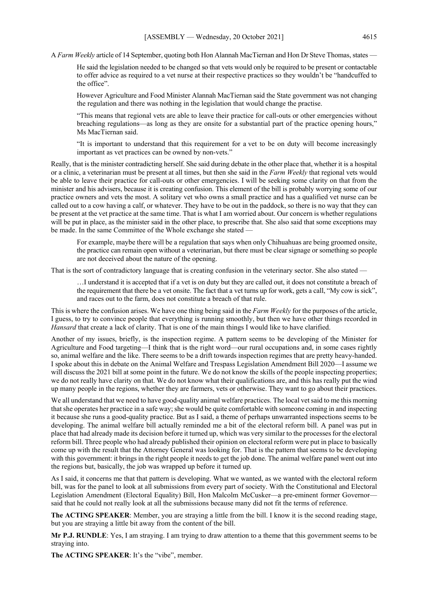A *Farm Weekly* article of 14 September, quoting both Hon Alannah MacTiernan and Hon Dr Steve Thomas, states —

He said the legislation needed to be changed so that vets would only be required to be present or contactable to offer advice as required to a vet nurse at their respective practices so they wouldn't be "handcuffed to the office".

However Agriculture and Food Minister Alannah MacTiernan said the State government was not changing the regulation and there was nothing in the legislation that would change the practise.

"This means that regional vets are able to leave their practice for call-outs or other emergencies without breaching regulations—as long as they are onsite for a substantial part of the practice opening hours," Ms MacTiernan said.

"It is important to understand that this requirement for a vet to be on duty will become increasingly important as vet practices can be owned by non-vets."

Really, that is the minister contradicting herself. She said during debate in the other place that, whether it is a hospital or a clinic, a veterinarian must be present at all times, but then she said in the *Farm Weekly* that regional vets would be able to leave their practice for call-outs or other emergencies. I will be seeking some clarity on that from the minister and his advisers, because it is creating confusion. This element of the bill is probably worrying some of our practice owners and vets the most. A solitary vet who owns a small practice and has a qualified vet nurse can be called out to a cow having a calf, or whatever. They have to be out in the paddock, so there is no way that they can be present at the vet practice at the same time. That is what I am worried about. Our concern is whether regulations will be put in place, as the minister said in the other place, to prescribe that. She also said that some exceptions may be made. In the same Committee of the Whole exchange she stated —

For example, maybe there will be a regulation that says when only Chihuahuas are being groomed onsite, the practice can remain open without a veterinarian, but there must be clear signage or something so people are not deceived about the nature of the opening.

That is the sort of contradictory language that is creating confusion in the veterinary sector. She also stated —

…I understand it is accepted that if a vet is on duty but they are called out, it does not constitute a breach of the requirement that there be a vet onsite. The fact that a vet turns up for work, gets a call, "My cow is sick", and races out to the farm, does not constitute a breach of that rule.

This is where the confusion arises. We have one thing being said in the *Farm Weekly* for the purposes of the article, I guess, to try to convince people that everything is running smoothly, but then we have other things recorded in *Hansard* that create a lack of clarity. That is one of the main things I would like to have clarified.

Another of my issues, briefly, is the inspection regime. A pattern seems to be developing of the Minister for Agriculture and Food targeting—I think that is the right word—our rural occupations and, in some cases rightly so, animal welfare and the like. There seems to be a drift towards inspection regimes that are pretty heavy-handed. I spoke about this in debate on the Animal Welfare and Trespass Legislation Amendment Bill 2020—I assume we will discuss the 2021 bill at some point in the future. We do not know the skills of the people inspecting properties; we do not really have clarity on that. We do not know what their qualifications are, and this has really put the wind up many people in the regions, whether they are farmers, vets or otherwise. They want to go about their practices.

We all understand that we need to have good-quality animal welfare practices. The local vet said to me this morning that she operates her practice in a safe way; she would be quite comfortable with someone coming in and inspecting it because she runs a good-quality practice. But as I said, a theme of perhaps unwarranted inspections seems to be developing. The animal welfare bill actually reminded me a bit of the electoral reform bill. A panel was put in place that had already made its decision before it turned up, which was very similar to the processes for the electoral reform bill. Three people who had already published their opinion on electoral reform were put in place to basically come up with the result that the Attorney General was looking for. That is the pattern that seems to be developing with this government: it brings in the right people it needs to get the job done. The animal welfare panel went out into the regions but, basically, the job was wrapped up before it turned up.

As I said, it concerns me that that pattern is developing. What we wanted, as we wanted with the electoral reform bill, was for the panel to look at all submissions from every part of society. With the Constitutional and Electoral Legislation Amendment (Electoral Equality) Bill, Hon Malcolm McCusker—a pre-eminent former Governor said that he could not really look at all the submissions because many did not fit the terms of reference.

**The ACTING SPEAKER**: Member, you are straying a little from the bill. I know it is the second reading stage, but you are straying a little bit away from the content of the bill.

**Mr P.J. RUNDLE**: Yes, I am straying. I am trying to draw attention to a theme that this government seems to be straying into.

**The ACTING SPEAKER**: It's the "vibe", member.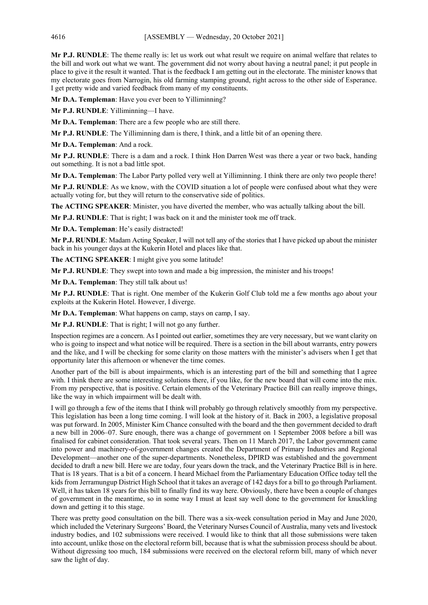**Mr P.J. RUNDLE**: The theme really is: let us work out what result we require on animal welfare that relates to the bill and work out what we want. The government did not worry about having a neutral panel; it put people in place to give it the result it wanted. That is the feedback I am getting out in the electorate. The minister knows that my electorate goes from Narrogin, his old farming stamping ground, right across to the other side of Esperance. I get pretty wide and varied feedback from many of my constituents.

**Mr D.A. Templeman**: Have you ever been to Yilliminning?

**Mr P.J. RUNDLE**: Yilliminning—I have.

**Mr D.A. Templeman**: There are a few people who are still there.

**Mr P.J. RUNDLE**: The Yilliminning dam is there, I think, and a little bit of an opening there.

**Mr D.A. Templeman**: And a rock.

**Mr P.J. RUNDLE**: There is a dam and a rock. I think Hon Darren West was there a year or two back, handing out something. It is not a bad little spot.

**Mr D.A. Templeman**: The Labor Party polled very well at Yilliminning. I think there are only two people there!

**Mr P.J. RUNDLE**: As we know, with the COVID situation a lot of people were confused about what they were actually voting for, but they will return to the conservative side of politics.

**The ACTING SPEAKER**: Minister, you have diverted the member, who was actually talking about the bill.

**Mr P.J. RUNDLE**: That is right; I was back on it and the minister took me off track.

**Mr D.A. Templeman**: He's easily distracted!

**Mr P.J. RUNDLE**: Madam Acting Speaker, I will not tell any of the stories that I have picked up about the minister back in his younger days at the Kukerin Hotel and places like that.

**The ACTING SPEAKER**: I might give you some latitude!

**Mr P.J. RUNDLE**: They swept into town and made a big impression, the minister and his troops!

**Mr D.A. Templeman**: They still talk about us!

**Mr P.J. RUNDLE**: That is right. One member of the Kukerin Golf Club told me a few months ago about your exploits at the Kukerin Hotel. However, I diverge.

**Mr D.A. Templeman**: What happens on camp, stays on camp, I say.

**Mr P.J. RUNDLE**: That is right; I will not go any further.

Inspection regimes are a concern. As I pointed out earlier, sometimes they are very necessary, but we want clarity on who is going to inspect and what notice will be required. There is a section in the bill about warrants, entry powers and the like, and I will be checking for some clarity on those matters with the minister's advisers when I get that opportunity later this afternoon or whenever the time comes.

Another part of the bill is about impairments, which is an interesting part of the bill and something that I agree with. I think there are some interesting solutions there, if you like, for the new board that will come into the mix. From my perspective, that is positive. Certain elements of the Veterinary Practice Bill can really improve things, like the way in which impairment will be dealt with.

I will go through a few of the items that I think will probably go through relatively smoothly from my perspective. This legislation has been a long time coming. I will look at the history of it. Back in 2003, a legislative proposal was put forward. In 2005, Minister Kim Chance consulted with the board and the then government decided to draft a new bill in 2006–07. Sure enough, there was a change of government on 1 September 2008 before a bill was finalised for cabinet consideration. That took several years. Then on 11 March 2017, the Labor government came into power and machinery-of-government changes created the Department of Primary Industries and Regional Development—another one of the super-departments. Nonetheless, DPIRD was established and the government decided to draft a new bill. Here we are today, four years down the track, and the Veterinary Practice Bill is in here. That is 18 years. That is a bit of a concern. I heard Michael from the Parliamentary Education Office today tell the kids from Jerramungup District High School that it takes an average of 142 days for a bill to go through Parliament. Well, it has taken 18 years for this bill to finally find its way here. Obviously, there have been a couple of changes of government in the meantime, so in some way I must at least say well done to the government for knuckling down and getting it to this stage.

There was pretty good consultation on the bill. There was a six-week consultation period in May and June 2020, which included the Veterinary Surgeons' Board, the Veterinary Nurses Council of Australia, many vets and livestock industry bodies, and 102 submissions were received. I would like to think that all those submissions were taken into account, unlike those on the electoral reform bill, because that is what the submission process should be about. Without digressing too much, 184 submissions were received on the electoral reform bill, many of which never saw the light of day.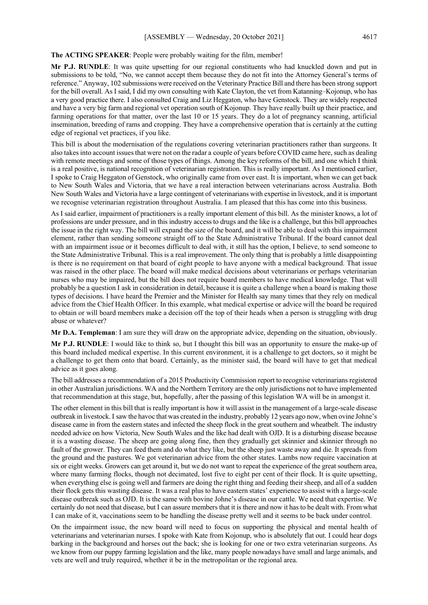**The ACTING SPEAKER**: People were probably waiting for the film, member!

**Mr P.J. RUNDLE**: It was quite upsetting for our regional constituents who had knuckled down and put in submissions to be told, "No, we cannot accept them because they do not fit into the Attorney General's terms of reference." Anyway, 102 submissions were received on the Veterinary Practice Bill and there has been strong support for the bill overall. As I said, I did my own consulting with Kate Clayton, the vet from Katanning–Kojonup, who has a very good practice there. I also consulted Craig and Liz Heggaton, who have Genstock. They are widely respected and have a very big farm and regional vet operation south of Kojonup. They have really built up their practice, and farming operations for that matter, over the last 10 or 15 years. They do a lot of pregnancy scanning, artificial insemination, breeding of rams and cropping. They have a comprehensive operation that is certainly at the cutting edge of regional vet practices, if you like.

This bill is about the modernisation of the regulations covering veterinarian practitioners rather than surgeons. It also takes into account issues that were not on the radar a couple of years before COVID came here, such as dealing with remote meetings and some of those types of things. Among the key reforms of the bill, and one which I think is a real positive, is national recognition of veterinarian registration. This is really important. As I mentioned earlier, I spoke to Craig Heggaton of Genstock, who originally came from over east. It is important, when we can get back to New South Wales and Victoria, that we have a real interaction between veterinarians across Australia. Both New South Wales and Victoria have a large contingent of veterinarians with expertise in livestock, and it is important we recognise veterinarian registration throughout Australia. I am pleased that this has come into this business.

As I said earlier, impairment of practitioners is a really important element of this bill. As the minister knows, a lot of professions are under pressure, and in this industry access to drugs and the like is a challenge, but this bill approaches the issue in the right way. The bill will expand the size of the board, and it will be able to deal with this impairment element, rather than sending someone straight off to the State Administrative Tribunal. If the board cannot deal with an impairment issue or it becomes difficult to deal with, it still has the option, I believe, to send someone to the State Administrative Tribunal. This is a real improvement. The only thing that is probably a little disappointing is there is no requirement on that board of eight people to have anyone with a medical background. That issue was raised in the other place. The board will make medical decisions about veterinarians or perhaps veterinarian nurses who may be impaired, but the bill does not require board members to have medical knowledge. That will probably be a question I ask in consideration in detail, because it is quite a challenge when a board is making those types of decisions. I have heard the Premier and the Minister for Health say many times that they rely on medical advice from the Chief Health Officer. In this example, what medical expertise or advice will the board be required to obtain or will board members make a decision off the top of their heads when a person is struggling with drug abuse or whatever?

**Mr D.A. Templeman**: I am sure they will draw on the appropriate advice, depending on the situation, obviously.

**Mr P.J. RUNDLE**: I would like to think so, but I thought this bill was an opportunity to ensure the make-up of this board included medical expertise. In this current environment, it is a challenge to get doctors, so it might be a challenge to get them onto that board. Certainly, as the minister said, the board will have to get that medical advice as it goes along.

The bill addresses a recommendation of a 2015 Productivity Commission report to recognise veterinarians registered in other Australian jurisdictions. WA and the Northern Territory are the only jurisdictions not to have implemented that recommendation at this stage, but, hopefully, after the passing of this legislation WA will be in amongst it.

The other element in this bill that is really important is how it will assist in the management of a large-scale disease outbreak in livestock. I saw the havoc that was created in the industry, probably 12 years ago now, when ovine Johne's disease came in from the eastern states and infected the sheep flock in the great southern and wheatbelt. The industry needed advice on how Victoria, New South Wales and the like had dealt with OJD. It is a disturbing disease because it is a wasting disease. The sheep are going along fine, then they gradually get skinnier and skinnier through no fault of the grower. They can feed them and do what they like, but the sheep just waste away and die. It spreads from the ground and the pastures. We got veterinarian advice from the other states. Lambs now require vaccination at six or eight weeks. Growers can get around it, but we do not want to repeat the experience of the great southern area, where many farming flocks, though not decimated, lost five to eight per cent of their flock. It is quite upsetting, when everything else is going well and farmers are doing the right thing and feeding their sheep, and all of a sudden their flock gets this wasting disease. It was a real plus to have eastern states' experience to assist with a large-scale disease outbreak such as OJD. It is the same with bovine Johne's disease in our cattle. We need that expertise. We certainly do not need that disease, but I can assure members that it is there and now it has to be dealt with. From what I can make of it, vaccinations seem to be handling the disease pretty well and it seems to be back under control.

On the impairment issue, the new board will need to focus on supporting the physical and mental health of veterinarians and veterinarian nurses. I spoke with Kate from Kojonup, who is absolutely flat out. I could hear dogs barking in the background and horses out the back; she is looking for one or two extra veterinarian surgeons. As we know from our puppy farming legislation and the like, many people nowadays have small and large animals, and vets are well and truly required, whether it be in the metropolitan or the regional area.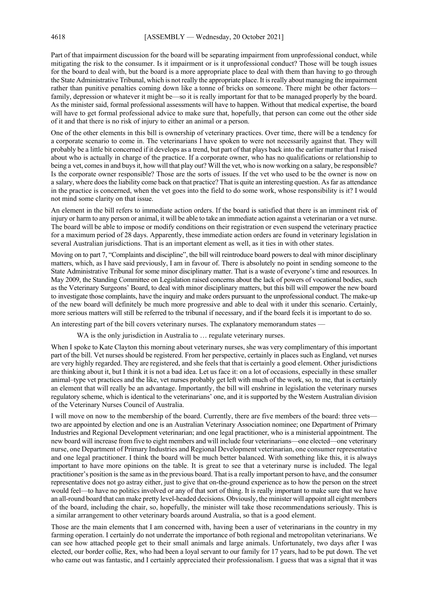Part of that impairment discussion for the board will be separating impairment from unprofessional conduct, while mitigating the risk to the consumer. Is it impairment or is it unprofessional conduct? Those will be tough issues for the board to deal with, but the board is a more appropriate place to deal with them than having to go through the State Administrative Tribunal, which is not really the appropriate place. It is really about managing the impairment rather than punitive penalties coming down like a tonne of bricks on someone. There might be other factors family, depression or whatever it might be—so it is really important for that to be managed properly by the board. As the minister said, formal professional assessments will have to happen. Without that medical expertise, the board will have to get formal professional advice to make sure that, hopefully, that person can come out the other side of it and that there is no risk of injury to either an animal or a person.

One of the other elements in this bill is ownership of veterinary practices. Over time, there will be a tendency for a corporate scenario to come in. The veterinarians I have spoken to were not necessarily against that. They will probably be a little bit concerned if it develops as a trend, but part of that plays back into the earlier matter that I raised about who is actually in charge of the practice. If a corporate owner, who has no qualifications or relationship to being a vet, comes in and buys it, how will that play out? Will the vet, who is now working on a salary, be responsible? Is the corporate owner responsible? Those are the sorts of issues. If the vet who used to be the owner is now on a salary, where does the liability come back on that practice? That is quite an interesting question. As far as attendance in the practice is concerned, when the vet goes into the field to do some work, whose responsibility is it? I would not mind some clarity on that issue.

An element in the bill refers to immediate action orders. If the board is satisfied that there is an imminent risk of injury or harm to any person or animal, it will be able to take an immediate action against a veterinarian or a vet nurse. The board will be able to impose or modify conditions on their registration or even suspend the veterinary practice for a maximum period of 28 days. Apparently, these immediate action orders are found in veterinary legislation in several Australian jurisdictions. That is an important element as well, as it ties in with other states.

Moving on to part 7, "Complaints and discipline", the bill will reintroduce board powers to deal with minor disciplinary matters, which, as I have said previously, I am in favour of. There is absolutely no point in sending someone to the State Administrative Tribunal for some minor disciplinary matter. That is a waste of everyone's time and resources. In May 2009, the Standing Committee on Legislation raised concerns about the lack of powers of vocational bodies, such as the Veterinary Surgeons' Board, to deal with minor disciplinary matters, but this bill will empower the new board to investigate those complaints, have the inquiry and make orders pursuant to the unprofessional conduct. The make-up of the new board will definitely be much more progressive and able to deal with it under this scenario. Certainly, more serious matters will still be referred to the tribunal if necessary, and if the board feels it is important to do so.

An interesting part of the bill covers veterinary nurses. The explanatory memorandum states —

WA is the only jurisdiction in Australia to ... regulate veterinary nurses.

When I spoke to Kate Clayton this morning about veterinary nurses, she was very complimentary of this important part of the bill. Vet nurses should be registered. From her perspective, certainly in places such as England, vet nurses are very highly regarded. They are registered, and she feels that that is certainly a good element. Other jurisdictions are thinking about it, but I think it is not a bad idea. Let us face it: on a lot of occasions, especially in these smaller animal–type vet practices and the like, vet nurses probably get left with much of the work, so, to me, that is certainly an element that will really be an advantage. Importantly, the bill will enshrine in legislation the veterinary nurses regulatory scheme, which is identical to the veterinarians' one, and it is supported by the Western Australian division of the Veterinary Nurses Council of Australia.

I will move on now to the membership of the board. Currently, there are five members of the board: three vets two are appointed by election and one is an Australian Veterinary Association nominee; one Department of Primary Industries and Regional Development veterinarian; and one legal practitioner, who is a ministerial appointment. The new board will increase from five to eight members and will include four veterinarians—one elected—one veterinary nurse, one Department of Primary Industries and Regional Development veterinarian, one consumer representative and one legal practitioner. I think the board will be much better balanced. With something like this, it is always important to have more opinions on the table. It is great to see that a veterinary nurse is included. The legal practitioner's position is the same as in the previous board. That is a really important person to have, and the consumer representative does not go astray either, just to give that on-the-ground experience as to how the person on the street would feel—to have no politics involved or any of that sort of thing. It is really important to make sure that we have an all-round board that can make pretty level-headed decisions. Obviously, the minister will appoint all eight members of the board, including the chair, so, hopefully, the minister will take those recommendations seriously. This is a similar arrangement to other veterinary boards around Australia, so that is a good element.

Those are the main elements that I am concerned with, having been a user of veterinarians in the country in my farming operation. I certainly do not underrate the importance of both regional and metropolitan veterinarians. We can see how attached people get to their small animals and large animals. Unfortunately, two days after I was elected, our border collie, Rex, who had been a loyal servant to our family for 17 years, had to be put down. The vet who came out was fantastic, and I certainly appreciated their professionalism. I guess that was a signal that it was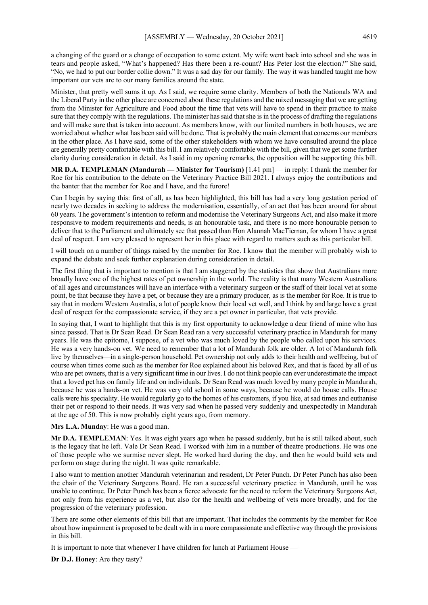a changing of the guard or a change of occupation to some extent. My wife went back into school and she was in tears and people asked, "What's happened? Has there been a re-count? Has Peter lost the election?" She said, "No, we had to put our border collie down." It was a sad day for our family. The way it was handled taught me how important our vets are to our many families around the state.

Minister, that pretty well sums it up. As I said, we require some clarity. Members of both the Nationals WA and the Liberal Party in the other place are concerned about these regulations and the mixed messaging that we are getting from the Minister for Agriculture and Food about the time that vets will have to spend in their practice to make sure that they comply with the regulations. The minister has said that she is in the process of drafting the regulations and will make sure that is taken into account. As members know, with our limited numbers in both houses, we are worried about whether what has been said will be done. That is probably the main element that concerns our members in the other place. As I have said, some of the other stakeholders with whom we have consulted around the place are generally pretty comfortable with this bill. I am relatively comfortable with the bill, given that we get some further clarity during consideration in detail. As I said in my opening remarks, the opposition will be supporting this bill.

**MR D.A. TEMPLEMAN (Mandurah — Minister for Tourism)** [1.41 pm] — in reply: I thank the member for Roe for his contribution to the debate on the Veterinary Practice Bill 2021. I always enjoy the contributions and the banter that the member for Roe and I have, and the furore!

Can I begin by saying this: first of all, as has been highlighted, this bill has had a very long gestation period of nearly two decades in seeking to address the modernisation, essentially, of an act that has been around for about 60 years. The government's intention to reform and modernise the Veterinary Surgeons Act, and also make it more responsive to modern requirements and needs, is an honourable task, and there is no more honourable person to deliver that to the Parliament and ultimately see that passed than Hon Alannah MacTiernan, for whom I have a great deal of respect. I am very pleased to represent her in this place with regard to matters such as this particular bill.

I will touch on a number of things raised by the member for Roe. I know that the member will probably wish to expand the debate and seek further explanation during consideration in detail.

The first thing that is important to mention is that I am staggered by the statistics that show that Australians more broadly have one of the highest rates of pet ownership in the world. The reality is that many Western Australians of all ages and circumstances will have an interface with a veterinary surgeon or the staff of their local vet at some point, be that because they have a pet, or because they are a primary producer, as is the member for Roe. It is true to say that in modern Western Australia, a lot of people know their local vet well, and I think by and large have a great deal of respect for the compassionate service, if they are a pet owner in particular, that vets provide.

In saying that, I want to highlight that this is my first opportunity to acknowledge a dear friend of mine who has since passed. That is Dr Sean Read. Dr Sean Read ran a very successful veterinary practice in Mandurah for many years. He was the epitome, I suppose, of a vet who was much loved by the people who called upon his services. He was a very hands-on vet. We need to remember that a lot of Mandurah folk are older. A lot of Mandurah folk live by themselves—in a single-person household. Pet ownership not only adds to their health and wellbeing, but of course when times come such as the member for Roe explained about his beloved Rex, and that is faced by all of us who are pet owners, that is a very significant time in our lives. I do not think people can ever underestimate the impact that a loved pet has on family life and on individuals. Dr Sean Read was much loved by many people in Mandurah, because he was a hands-on vet. He was very old school in some ways, because he would do house calls. House calls were his speciality. He would regularly go to the homes of his customers, if you like, at sad times and euthanise their pet or respond to their needs. It was very sad when he passed very suddenly and unexpectedly in Mandurah at the age of 50. This is now probably eight years ago, from memory.

#### **Mrs L.A. Munday**: He was a good man.

**Mr D.A. TEMPLEMAN**: Yes. It was eight years ago when he passed suddenly, but he is still talked about, such is the legacy that he left. Vale Dr Sean Read. I worked with him in a number of theatre productions. He was one of those people who we surmise never slept. He worked hard during the day, and then he would build sets and perform on stage during the night. It was quite remarkable.

I also want to mention another Mandurah veterinarian and resident, Dr Peter Punch. Dr Peter Punch has also been the chair of the Veterinary Surgeons Board. He ran a successful veterinary practice in Mandurah, until he was unable to continue. Dr Peter Punch has been a fierce advocate for the need to reform the Veterinary Surgeons Act, not only from his experience as a vet, but also for the health and wellbeing of vets more broadly, and for the progression of the veterinary profession.

There are some other elements of this bill that are important. That includes the comments by the member for Roe about how impairment is proposed to be dealt with in a more compassionate and effective way through the provisions in this bill.

It is important to note that whenever I have children for lunch at Parliament House —

**Dr D.J. Honey**: Are they tasty?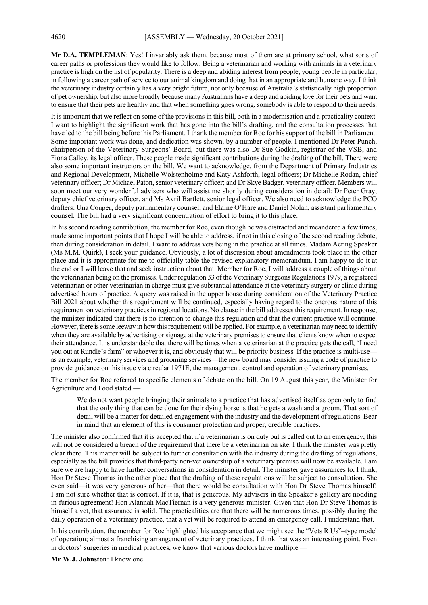**Mr D.A. TEMPLEMAN**: Yes! I invariably ask them, because most of them are at primary school, what sorts of career paths or professions they would like to follow. Being a veterinarian and working with animals in a veterinary practice is high on the list of popularity. There is a deep and abiding interest from people, young people in particular, in following a career path of service to our animal kingdom and doing that in an appropriate and humane way. I think the veterinary industry certainly has a very bright future, not only because of Australia's statistically high proportion of pet ownership, but also more broadly because many Australians have a deep and abiding love for their pets and want to ensure that their pets are healthy and that when something goes wrong, somebody is able to respond to their needs.

It is important that we reflect on some of the provisions in this bill, both in a modernisation and a practicality context. I want to highlight the significant work that has gone into the bill's drafting, and the consultation processes that have led to the bill being before this Parliament. I thank the member for Roe for his support of the bill in Parliament. Some important work was done, and dedication was shown, by a number of people. I mentioned Dr Peter Punch, chairperson of the Veterinary Surgeons' Board, but there was also Dr Sue Godkin, registrar of the VSB, and Fiona Calley, its legal officer. These people made significant contributions during the drafting of the bill. There were also some important instructors on the bill. We want to acknowledge, from the Department of Primary Industries and Regional Development, Michelle Wolstenholme and Katy Ashforth, legal officers; Dr Michelle Rodan, chief veterinary officer; Dr Michael Paton, senior veterinary officer; and Dr Skye Badger, veterinary officer. Members will soon meet our very wonderful advisers who will assist me shortly during consideration in detail: Dr Peter Gray, deputy chief veterinary officer, and Ms Avril Bartlett, senior legal officer. We also need to acknowledge the PCO drafters: Una Couper, deputy parliamentary counsel, and Elaine O'Hare and Daniel Nolan, assistant parliamentary counsel. The bill had a very significant concentration of effort to bring it to this place.

In his second reading contribution, the member for Roe, even though he was distracted and meandered a few times, made some important points that I hope I will be able to address, if not in this closing of the second reading debate, then during consideration in detail. I want to address vets being in the practice at all times. Madam Acting Speaker (Ms M.M. Quirk), I seek your guidance. Obviously, a lot of discussion about amendments took place in the other place and it is appropriate for me to officially table the revised explanatory memorandum. I am happy to do it at the end or I will leave that and seek instruction about that. Member for Roe, I will address a couple of things about the veterinarian being on the premises. Under regulation 33 of the Veterinary Surgeons Regulations 1979, a registered veterinarian or other veterinarian in charge must give substantial attendance at the veterinary surgery or clinic during advertised hours of practice. A query was raised in the upper house during consideration of the Veterinary Practice Bill 2021 about whether this requirement will be continued, especially having regard to the onerous nature of this requirement on veterinary practices in regional locations. No clause in the bill addresses this requirement. In response, the minister indicated that there is no intention to change this regulation and that the current practice will continue. However, there is some leeway in how this requirement will be applied. For example, a veterinarian may need to identify when they are available by advertising or signage at the veterinary premises to ensure that clients know when to expect their attendance. It is understandable that there will be times when a veterinarian at the practice gets the call, "I need you out at Rundle's farm" or whoever it is, and obviously that will be priority business. If the practice is multi-use as an example, veterinary services and grooming services—the new board may consider issuing a code of practice to provide guidance on this issue via circular 1971E, the management, control and operation of veterinary premises.

The member for Roe referred to specific elements of debate on the bill. On 19 August this year, the Minister for Agriculture and Food stated —

We do not want people bringing their animals to a practice that has advertised itself as open only to find that the only thing that can be done for their dying horse is that he gets a wash and a groom. That sort of detail will be a matter for detailed engagement with the industry and the development of regulations. Bear in mind that an element of this is consumer protection and proper, credible practices.

The minister also confirmed that it is accepted that if a veterinarian is on duty but is called out to an emergency, this will not be considered a breach of the requirement that there be a veterinarian on site. I think the minister was pretty clear there. This matter will be subject to further consultation with the industry during the drafting of regulations, especially as the bill provides that third-party non-vet ownership of a veterinary premise will now be available. I am sure we are happy to have further conversations in consideration in detail. The minister gave assurances to, I think, Hon Dr Steve Thomas in the other place that the drafting of these regulations will be subject to consultation. She even said—it was very generous of her—that there would be consultation with Hon Dr Steve Thomas himself! I am not sure whether that is correct. If it is, that is generous. My advisers in the Speaker's gallery are nodding in furious agreement! Hon Alannah MacTiernan is a very generous minister. Given that Hon Dr Steve Thomas is himself a vet, that assurance is solid. The practicalities are that there will be numerous times, possibly during the daily operation of a veterinary practice, that a vet will be required to attend an emergency call. I understand that.

In his contribution, the member for Roe highlighted his acceptance that we might see the "Vets R Us"–type model of operation; almost a franchising arrangement of veterinary practices. I think that was an interesting point. Even in doctors' surgeries in medical practices, we know that various doctors have multiple -

**Mr W.J. Johnston**: I know one.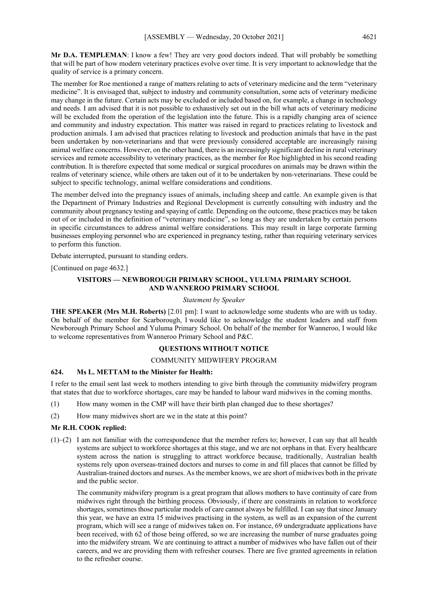**Mr D.A. TEMPLEMAN**: I know a few! They are very good doctors indeed. That will probably be something that will be part of how modern veterinary practices evolve over time. It is very important to acknowledge that the quality of service is a primary concern.

The member for Roe mentioned a range of matters relating to acts of veterinary medicine and the term "veterinary medicine". It is envisaged that, subject to industry and community consultation, some acts of veterinary medicine may change in the future. Certain acts may be excluded or included based on, for example, a change in technology and needs. I am advised that it is not possible to exhaustively set out in the bill what acts of veterinary medicine will be excluded from the operation of the legislation into the future. This is a rapidly changing area of science and community and industry expectation. This matter was raised in regard to practices relating to livestock and production animals. I am advised that practices relating to livestock and production animals that have in the past been undertaken by non-veterinarians and that were previously considered acceptable are increasingly raising animal welfare concerns. However, on the other hand, there is an increasingly significant decline in rural veterinary services and remote accessibility to veterinary practices, as the member for Roe highlighted in his second reading contribution. It is therefore expected that some medical or surgical procedures on animals may be drawn within the realms of veterinary science, while others are taken out of it to be undertaken by non-veterinarians. These could be subject to specific technology, animal welfare considerations and conditions.

The member delved into the pregnancy issues of animals, including sheep and cattle. An example given is that the Department of Primary Industries and Regional Development is currently consulting with industry and the community about pregnancy testing and spaying of cattle. Depending on the outcome, these practices may be taken out of or included in the definition of "veterinary medicine", so long as they are undertaken by certain persons in specific circumstances to address animal welfare considerations. This may result in large corporate farming businesses employing personnel who are experienced in pregnancy testing, rather than requiring veterinary services to perform this function.

Debate interrupted, pursuant to standing orders.

[Continued on page 4632.]

## **VISITORS — NEWBOROUGH PRIMARY SCHOOL, YULUMA PRIMARY SCHOOL AND WANNEROO PRIMARY SCHOOL**

#### *Statement by Speaker*

**THE SPEAKER (Mrs M.H. Roberts)** [2.01 pm]: I want to acknowledge some students who are with us today. On behalf of the member for Scarborough, I would like to acknowledge the student leaders and staff from Newborough Primary School and Yuluma Primary School. On behalf of the member for Wanneroo, I would like to welcome representatives from Wanneroo Primary School and P&C.

## **QUESTIONS WITHOUT NOTICE**

#### COMMUNITY MIDWIFERY PROGRAM

#### **624. Ms L. METTAM to the Minister for Health:**

I refer to the email sent last week to mothers intending to give birth through the community midwifery program that states that due to workforce shortages, care may be handed to labour ward midwives in the coming months.

- (1) How many women in the CMP will have their birth plan changed due to these shortages?
- (2) How many midwives short are we in the state at this point?

## **Mr R.H. COOK replied:**

(1)–(2) I am not familiar with the correspondence that the member refers to; however, I can say that all health systems are subject to workforce shortages at this stage, and we are not orphans in that. Every healthcare system across the nation is struggling to attract workforce because, traditionally, Australian health systems rely upon overseas-trained doctors and nurses to come in and fill places that cannot be filled by Australian-trained doctors and nurses. As the member knows, we are short of midwives both in the private and the public sector.

The community midwifery program is a great program that allows mothers to have continuity of care from midwives right through the birthing process. Obviously, if there are constraints in relation to workforce shortages, sometimes those particular models of care cannot always be fulfilled. I can say that since January this year, we have an extra 15 midwives practising in the system, as well as an expansion of the current program, which will see a range of midwives taken on. For instance, 69 undergraduate applications have been received, with 62 of those being offered, so we are increasing the number of nurse graduates going into the midwifery stream. We are continuing to attract a number of midwives who have fallen out of their careers, and we are providing them with refresher courses. There are five granted agreements in relation to the refresher course.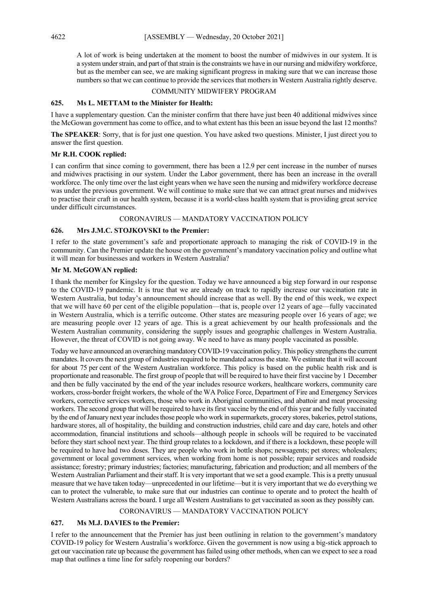A lot of work is being undertaken at the moment to boost the number of midwives in our system. It is a system under strain, and part of that strain is the constraints we have in our nursing and midwifery workforce, but as the member can see, we are making significant progress in making sure that we can increase those numbers so that we can continue to provide the services that mothers in Western Australia rightly deserve.

#### COMMUNITY MIDWIFERY PROGRAM

#### **625. Ms L. METTAM to the Minister for Health:**

I have a supplementary question. Can the minister confirm that there have just been 40 additional midwives since the McGowan government has come to office, and to what extent has this been an issue beyond the last 12 months?

**The SPEAKER**: Sorry, that is for just one question. You have asked two questions. Minister, I just direct you to answer the first question.

#### **Mr R.H. COOK replied:**

I can confirm that since coming to government, there has been a 12.9 per cent increase in the number of nurses and midwives practising in our system. Under the Labor government, there has been an increase in the overall workforce. The only time over the last eight years when we have seen the nursing and midwifery workforce decrease was under the previous government. We will continue to make sure that we can attract great nurses and midwives to practise their craft in our health system, because it is a world-class health system that is providing great service under difficult circumstances.

## CORONAVIRUS — MANDATORY VACCINATION POLICY

## **626. Mrs J.M.C. STOJKOVSKI to the Premier:**

I refer to the state government's safe and proportionate approach to managing the risk of COVID-19 in the community. Can the Premier update the house on the government's mandatory vaccination policy and outline what it will mean for businesses and workers in Western Australia?

## **Mr M. McGOWAN replied:**

I thank the member for Kingsley for the question. Today we have announced a big step forward in our response to the COVID-19 pandemic. It is true that we are already on track to rapidly increase our vaccination rate in Western Australia, but today's announcement should increase that as well. By the end of this week, we expect that we will have 60 per cent of the eligible population—that is, people over 12 years of age—fully vaccinated in Western Australia, which is a terrific outcome. Other states are measuring people over 16 years of age; we are measuring people over 12 years of age. This is a great achievement by our health professionals and the Western Australian community, considering the supply issues and geographic challenges in Western Australia. However, the threat of COVID is not going away. We need to have as many people vaccinated as possible.

Today we have announced an overarching mandatory COVID-19 vaccination policy. This policy strengthens the current mandates. It covers the next group of industries required to be mandated across the state. We estimate that it will account for about 75 per cent of the Western Australian workforce. This policy is based on the public health risk and is proportionate and reasonable. The first group of people that will be required to have their first vaccine by 1 December and then be fully vaccinated by the end of the year includes resource workers, healthcare workers, community care workers, cross-border freight workers, the whole of the WA Police Force, Department of Fire and Emergency Services workers, corrective services workers, those who work in Aboriginal communities, and abattoir and meat processing workers. The second group that will be required to have its first vaccine by the end of this year and be fully vaccinated by the end of January next year includes those people who work in supermarkets, grocery stores, bakeries, petrol stations, hardware stores, all of hospitality, the building and construction industries, child care and day care, hotels and other accommodation, financial institutions and schools—although people in schools will be required to be vaccinated before they start school next year. The third group relates to a lockdown, and if there is a lockdown, these people will be required to have had two doses. They are people who work in bottle shops; newsagents; pet stores; wholesalers; government or local government services, when working from home is not possible; repair services and roadside assistance; forestry; primary industries; factories; manufacturing, fabrication and production; and all members of the Western Australian Parliament and their staff. It is very important that we set a good example. This is a pretty unusual measure that we have taken today—unprecedented in our lifetime—but it is very important that we do everything we can to protect the vulnerable, to make sure that our industries can continue to operate and to protect the health of Western Australians across the board. I urge all Western Australians to get vaccinated as soon as they possibly can.

#### CORONAVIRUS — MANDATORY VACCINATION POLICY

#### **627. Ms M.J. DAVIES to the Premier:**

I refer to the announcement that the Premier has just been outlining in relation to the government's mandatory COVID-19 policy for Western Australia's workforce. Given the government is now using a big-stick approach to get our vaccination rate up because the government has failed using other methods, when can we expect to see a road map that outlines a time line for safely reopening our borders?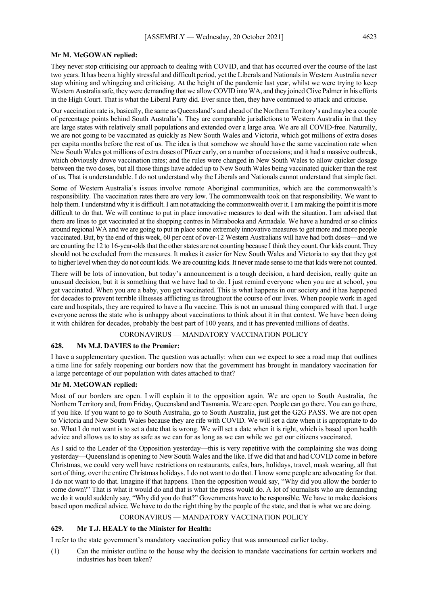#### **Mr M. McGOWAN replied:**

They never stop criticising our approach to dealing with COVID, and that has occurred over the course of the last two years. It has been a highly stressful and difficult period, yet the Liberals and Nationals in Western Australia never stop whining and whingeing and criticising. At the height of the pandemic last year, whilst we were trying to keep Western Australia safe, they were demanding that we allow COVID into WA, and they joined Clive Palmer in his efforts in the High Court. That is what the Liberal Party did. Ever since then, they have continued to attack and criticise.

Our vaccination rate is, basically, the same as Queensland's and ahead of the Northern Territory's and maybe a couple of percentage points behind South Australia's. They are comparable jurisdictions to Western Australia in that they are large states with relatively small populations and extended over a large area. We are all COVID-free. Naturally, we are not going to be vaccinated as quickly as New South Wales and Victoria, which got millions of extra doses per capita months before the rest of us. The idea is that somehow we should have the same vaccination rate when New South Wales got millions of extra doses of Pfizer early, on a number of occasions; and it had a massive outbreak, which obviously drove vaccination rates; and the rules were changed in New South Wales to allow quicker dosage between the two doses, but all those things have added up to New South Wales being vaccinated quicker than the rest of us. That is understandable. I do not understand why the Liberals and Nationals cannot understand that simple fact.

Some of Western Australia's issues involve remote Aboriginal communities, which are the commonwealth's responsibility. The vaccination rates there are very low. The commonwealth took on that responsibility. We want to help them. I understand why it is difficult. I am not attacking the commonwealth over it. I am making the point it is more difficult to do that. We will continue to put in place innovative measures to deal with the situation. I am advised that there are lines to get vaccinated at the shopping centres in Mirrabooka and Armadale. We have a hundred or so clinics around regional WA and we are going to put in place some extremely innovative measures to get more and more people vaccinated. But, by the end of this week, 60 per cent of over-12 Western Australians will have had both doses—and we are counting the 12 to 16-year-olds that the other states are not counting because I think they count. Our kids count. They should not be excluded from the measures. It makes it easier for New South Wales and Victoria to say that they got to higher level when they do not count kids. We are counting kids. It never made sense to me that kids were not counted.

There will be lots of innovation, but today's announcement is a tough decision, a hard decision, really quite an unusual decision, but it is something that we have had to do. I just remind everyone when you are at school, you get vaccinated. When you are a baby, you get vaccinated. This is what happens in our society and it has happened for decades to prevent terrible illnesses afflicting us throughout the course of our lives. When people work in aged care and hospitals, they are required to have a flu vaccine. This is not an unusual thing compared with that. I urge everyone across the state who is unhappy about vaccinations to think about it in that context. We have been doing it with children for decades, probably the best part of 100 years, and it has prevented millions of deaths.

## CORONAVIRUS — MANDATORY VACCINATION POLICY

#### **628. Ms M.J. DAVIES to the Premier:**

I have a supplementary question. The question was actually: when can we expect to see a road map that outlines a time line for safely reopening our borders now that the government has brought in mandatory vaccination for a large percentage of our population with dates attached to that?

#### **Mr M. McGOWAN replied:**

Most of our borders are open. I will explain it to the opposition again. We are open to South Australia, the Northern Territory and, from Friday, Queensland and Tasmania. We are open. People can go there. You can go there, if you like. If you want to go to South Australia, go to South Australia, just get the G2G PASS. We are not open to Victoria and New South Wales because they are rife with COVID. We will set a date when it is appropriate to do so. What I do not want is to set a date that is wrong. We will set a date when it is right, which is based upon health advice and allows us to stay as safe as we can for as long as we can while we get our citizens vaccinated.

As I said to the Leader of the Opposition yesterday—this is very repetitive with the complaining she was doing yesterday—Queensland is opening to New South Wales and the like. If we did that and had COVID come in before Christmas, we could very well have restrictions on restaurants, cafes, bars, holidays, travel, mask wearing, all that sort of thing, over the entire Christmas holidays. I do not want to do that. I know some people are advocating for that. I do not want to do that. Imagine if that happens. Then the opposition would say, "Why did you allow the border to come down?" That is what it would do and that is what the press would do. A lot of journalists who are demanding we do it would suddenly say, "Why did you do that?" Governments have to be responsible. We have to make decisions based upon medical advice. We have to do the right thing by the people of the state, and that is what we are doing.

## CORONAVIRUS — MANDATORY VACCINATION POLICY

#### **629. Mr T.J. HEALY to the Minister for Health:**

I refer to the state government's mandatory vaccination policy that was announced earlier today.

(1) Can the minister outline to the house why the decision to mandate vaccinations for certain workers and industries has been taken?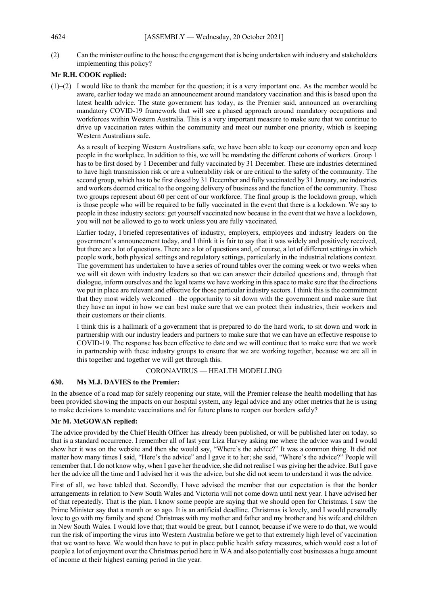(2) Can the minister outline to the house the engagement that is being undertaken with industry and stakeholders implementing this policy?

## **Mr R.H. COOK replied:**

(1)–(2) I would like to thank the member for the question; it is a very important one. As the member would be aware, earlier today we made an announcement around mandatory vaccination and this is based upon the latest health advice. The state government has today, as the Premier said, announced an overarching mandatory COVID-19 framework that will see a phased approach around mandatory occupations and workforces within Western Australia. This is a very important measure to make sure that we continue to drive up vaccination rates within the community and meet our number one priority, which is keeping Western Australians safe.

As a result of keeping Western Australians safe, we have been able to keep our economy open and keep people in the workplace. In addition to this, we will be mandating the different cohorts of workers. Group 1 has to be first dosed by 1 December and fully vaccinated by 31 December. These are industries determined to have high transmission risk or are a vulnerability risk or are critical to the safety of the community. The second group, which has to be first dosed by 31 December and fully vaccinated by 31 January, are industries and workers deemed critical to the ongoing delivery of business and the function of the community. These two groups represent about 60 per cent of our workforce. The final group is the lockdown group, which is those people who will be required to be fully vaccinated in the event that there is a lockdown. We say to people in these industry sectors: get yourself vaccinated now because in the event that we have a lockdown, you will not be allowed to go to work unless you are fully vaccinated.

Earlier today, I briefed representatives of industry, employers, employees and industry leaders on the government's announcement today, and I think it is fair to say that it was widely and positively received, but there are a lot of questions. There are a lot of questions and, of course, a lot of different settings in which people work, both physical settings and regulatory settings, particularly in the industrial relations context. The government has undertaken to have a series of round tables over the coming week or two weeks when we will sit down with industry leaders so that we can answer their detailed questions and, through that dialogue, inform ourselves and the legal teams we have working in this space to make sure that the directions we put in place are relevant and effective for those particular industry sectors. I think this is the commitment that they most widely welcomed—the opportunity to sit down with the government and make sure that they have an input in how we can best make sure that we can protect their industries, their workers and their customers or their clients.

I think this is a hallmark of a government that is prepared to do the hard work, to sit down and work in partnership with our industry leaders and partners to make sure that we can have an effective response to COVID-19. The response has been effective to date and we will continue that to make sure that we work in partnership with these industry groups to ensure that we are working together, because we are all in this together and together we will get through this.

## CORONAVIRUS — HEALTH MODELLING

#### **630. Ms M.J. DAVIES to the Premier:**

In the absence of a road map for safely reopening our state, will the Premier release the health modelling that has been provided showing the impacts on our hospital system, any legal advice and any other metrics that he is using to make decisions to mandate vaccinations and for future plans to reopen our borders safely?

#### **Mr M. McGOWAN replied:**

The advice provided by the Chief Health Officer has already been published, or will be published later on today, so that is a standard occurrence. I remember all of last year Liza Harvey asking me where the advice was and I would show her it was on the website and then she would say, "Where's the advice?" It was a common thing. It did not matter how many times I said, "Here's the advice" and I gave it to her; she said, "Where's the advice?" People will remember that. I do not know why, when I gave her the advice, she did not realise I was giving her the advice. ButI gave her the advice all the time and I advised her it was the advice, but she did not seem to understand it was the advice.

First of all, we have tabled that. Secondly, I have advised the member that our expectation is that the border arrangements in relation to New South Wales and Victoria will not come down until next year. I have advised her of that repeatedly. That is the plan. I know some people are saying that we should open for Christmas. I saw the Prime Minister say that a month or so ago. It is an artificial deadline. Christmas is lovely, and I would personally love to go with my family and spend Christmas with my mother and father and my brother and his wife and children in New South Wales. I would love that; that would be great, but I cannot, because if we were to do that, we would run the risk of importing the virus into Western Australia before we get to that extremely high level of vaccination that we want to have. We would then have to put in place public health safety measures, which would cost a lot of people a lot of enjoyment over the Christmas period here in WA and also potentially cost businesses a huge amount of income at their highest earning period in the year.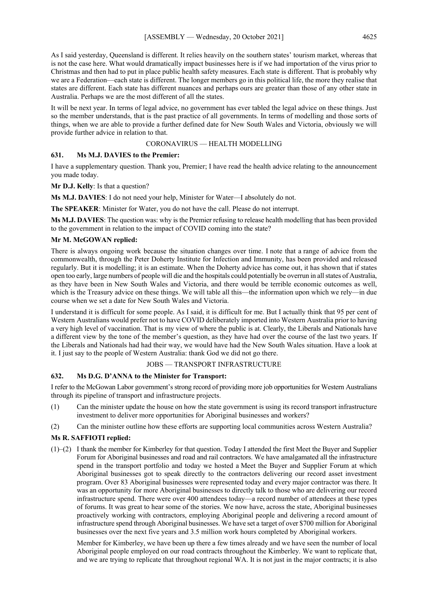As I said yesterday, Queensland is different. It relies heavily on the southern states' tourism market, whereas that is not the case here. What would dramatically impact businesses here is if we had importation of the virus prior to Christmas and then had to put in place public health safety measures. Each state is different. That is probably why we are a Federation—each state is different. The longer members go in this political life, the more they realise that states are different. Each state has different nuances and perhaps ours are greater than those of any other state in Australia. Perhaps we are the most different of all the states.

It will be next year. In terms of legal advice, no government has ever tabled the legal advice on these things. Just so the member understands, that is the past practice of all governments. In terms of modelling and those sorts of things, when we are able to provide a further defined date for New South Wales and Victoria, obviously we will provide further advice in relation to that.

## CORONAVIRUS — HEALTH MODELLING

## **631. Ms M.J. DAVIES to the Premier:**

I have a supplementary question. Thank you, Premier; I have read the health advice relating to the announcement you made today.

**Mr D.J. Kelly**: Is that a question?

**Ms M.J. DAVIES**: I do not need your help, Minister for Water—I absolutely do not.

**The SPEAKER**: Minister for Water, you do not have the call. Please do not interrupt.

**Ms M.J. DAVIES**: The question was: why is the Premier refusing to release health modelling that has been provided to the government in relation to the impact of COVID coming into the state?

## **Mr M. McGOWAN replied:**

There is always ongoing work because the situation changes over time. I note that a range of advice from the commonwealth, through the Peter Doherty Institute for Infection and Immunity, has been provided and released regularly. But it is modelling; it is an estimate. When the Doherty advice has come out, it has shown that if states open too early, large numbers of people will die and the hospitals could potentially be overrun in all states of Australia, as they have been in New South Wales and Victoria, and there would be terrible economic outcomes as well, which is the Treasury advice on these things. We will table all this—the information upon which we rely—in due course when we set a date for New South Wales and Victoria.

I understand it is difficult for some people. As I said, it is difficult for me. But I actually think that 95 per cent of Western Australians would prefer not to have COVID deliberately imported into Western Australia prior to having a very high level of vaccination. That is my view of where the public is at. Clearly, the Liberals and Nationals have a different view by the tone of the member's question, as they have had over the course of the last two years. If the Liberals and Nationals had had their way, we would have had the New South Wales situation. Have a look at it. I just say to the people of Western Australia: thank God we did not go there.

## JOBS — TRANSPORT INFRASTRUCTURE

## **632. Ms D.G. D'ANNA to the Minister for Transport:**

I refer to the McGowan Labor government's strong record of providing more job opportunities for Western Australians through its pipeline of transport and infrastructure projects.

- (1) Can the minister update the house on how the state government is using its record transport infrastructure investment to deliver more opportunities for Aboriginal businesses and workers?
- (2) Can the minister outline how these efforts are supporting local communities across Western Australia?

## **Ms R. SAFFIOTI replied:**

(1)–(2) I thank the member for Kimberley for that question. Today I attended the first Meet the Buyer and Supplier Forum for Aboriginal businesses and road and rail contractors. We have amalgamated all the infrastructure spend in the transport portfolio and today we hosted a Meet the Buyer and Supplier Forum at which Aboriginal businesses got to speak directly to the contractors delivering our record asset investment program. Over 83 Aboriginal businesses were represented today and every major contractor was there. It was an opportunity for more Aboriginal businesses to directly talk to those who are delivering our record infrastructure spend. There were over 400 attendees today—a record number of attendees at these types of forums. It was great to hear some of the stories. We now have, across the state, Aboriginal businesses proactively working with contractors, employing Aboriginal people and delivering a record amount of infrastructure spend through Aboriginal businesses. We have set a target of over \$700 million for Aboriginal businesses over the next five years and 3.5 million work hours completed by Aboriginal workers.

Member for Kimberley, we have been up there a few times already and we have seen the number of local Aboriginal people employed on our road contracts throughout the Kimberley. We want to replicate that, and we are trying to replicate that throughout regional WA. It is not just in the major contracts; it is also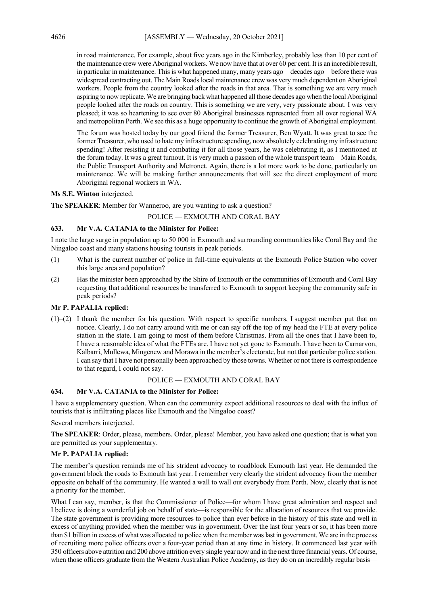in road maintenance. For example, about five years ago in the Kimberley, probably less than 10 per cent of the maintenance crew were Aboriginal workers. We now have that at over 60 per cent. It is an incredible result, in particular in maintenance. This is what happened many, many years ago—decades ago—before there was widespread contracting out. The Main Roads local maintenance crew was very much dependent on Aboriginal workers. People from the country looked after the roads in that area. That is something we are very much aspiring to now replicate. We are bringing back what happened all those decades ago when the local Aboriginal people looked after the roads on country. This is something we are very, very passionate about. I was very pleased; it was so heartening to see over 80 Aboriginal businesses represented from all over regional WA and metropolitan Perth. We see this as a huge opportunity to continue the growth of Aboriginal employment.

The forum was hosted today by our good friend the former Treasurer, Ben Wyatt. It was great to see the former Treasurer, who used to hate my infrastructure spending, now absolutely celebrating my infrastructure spending! After resisting it and combating it for all those years, he was celebrating it, as I mentioned at the forum today. It was a great turnout. It is very much a passion of the whole transport team—Main Roads, the Public Transport Authority and Metronet. Again, there is a lot more work to be done, particularly on maintenance. We will be making further announcements that will see the direct employment of more Aboriginal regional workers in WA.

## **Ms S.E. Winton** interjected.

**The SPEAKER**: Member for Wanneroo, are you wanting to ask a question?

POLICE — EXMOUTH AND CORAL BAY

## **633. Mr V.A. CATANIA to the Minister for Police:**

I note the large surge in population up to 50 000 in Exmouth and surrounding communities like Coral Bay and the Ningaloo coast and many stations housing tourists in peak periods.

- (1) What is the current number of police in full-time equivalents at the Exmouth Police Station who cover this large area and population?
- (2) Has the minister been approached by the Shire of Exmouth or the communities of Exmouth and Coral Bay requesting that additional resources be transferred to Exmouth to support keeping the community safe in peak periods?

## **Mr P. PAPALIA replied:**

(1)–(2) I thank the member for his question. With respect to specific numbers, I suggest member put that on notice. Clearly, I do not carry around with me or can say off the top of my head the FTE at every police station in the state. I am going to most of them before Christmas. From all the ones that I have been to, I have a reasonable idea of what the FTEs are. I have not yet gone to Exmouth. I have been to Carnarvon, Kalbarri, Mullewa, Mingenew and Morawa in the member's electorate, but not that particular police station. I can say that I have not personally been approached by those towns. Whether or not there is correspondence to that regard, I could not say.

## POLICE — EXMOUTH AND CORAL BAY

#### **634. Mr V.A. CATANIA to the Minister for Police:**

I have a supplementary question. When can the community expect additional resources to deal with the influx of tourists that is infiltrating places like Exmouth and the Ningaloo coast?

Several members interjected.

**The SPEAKER**: Order, please, members. Order, please! Member, you have asked one question; that is what you are permitted as your supplementary.

#### **Mr P. PAPALIA replied:**

The member's question reminds me of his strident advocacy to roadblock Exmouth last year. He demanded the government block the roads to Exmouth last year. I remember very clearly the strident advocacy from the member opposite on behalf of the community. He wanted a wall to wall out everybody from Perth. Now, clearly that is not a priority for the member.

What I can say, member, is that the Commissioner of Police—for whom I have great admiration and respect and I believe is doing a wonderful job on behalf of state—is responsible for the allocation of resources that we provide. The state government is providing more resources to police than ever before in the history of this state and well in excess of anything provided when the member was in government. Over the last four years or so, it has been more than \$1 billion in excess of what was allocated to police when the member was last in government. We are in the process of recruiting more police officers over a four-year period than at any time in history. It commenced last year with 350 officers above attrition and 200 above attrition every single year now and in the next three financial years. Of course, when those officers graduate from the Western Australian Police Academy, as they do on an incredibly regular basis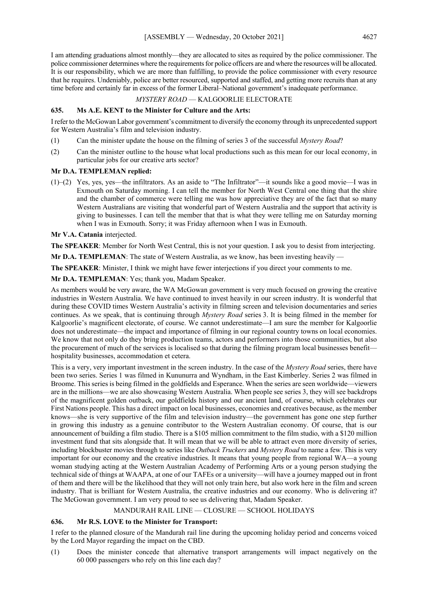I am attending graduations almost monthly—they are allocated to sites as required by the police commissioner. The police commissioner determines where the requirements for police officers are and where the resources will be allocated. It is our responsibility, which we are more than fulfilling, to provide the police commissioner with every resource that he requires. Undeniably, police are better resourced, supported and staffed, and getting more recruits than at any time before and certainly far in excess of the former Liberal–National government's inadequate performance.

*MYSTERY ROAD* — KALGOORLIE ELECTORATE

## **635. Ms A.E. KENT to the Minister for Culture and the Arts:**

I refer to the McGowan Labor government's commitment to diversify the economy through its unprecedented support for Western Australia's film and television industry.

- (1) Can the minister update the house on the filming of series 3 of the successful *Mystery Road*?
- (2) Can the minister outline to the house what local productions such as this mean for our local economy, in particular jobs for our creative arts sector?

## **Mr D.A. TEMPLEMAN replied:**

(1)–(2) Yes, yes, yes—the infiltrators. As an aside to "The Infiltrator"—it sounds like a good movie—I was in Exmouth on Saturday morning. I can tell the member for North West Central one thing that the shire and the chamber of commerce were telling me was how appreciative they are of the fact that so many Western Australians are visiting that wonderful part of Western Australia and the support that activity is giving to businesses. I can tell the member that that is what they were telling me on Saturday morning when I was in Exmouth. Sorry; it was Friday afternoon when I was in Exmouth.

## **Mr V.A. Catania** interjected.

**The SPEAKER**: Member for North West Central, this is not your question. I ask you to desist from interjecting.

**Mr D.A. TEMPLEMAN:** The state of Western Australia, as we know, has been investing heavily —

**The SPEAKER**: Minister, I think we might have fewer interjections if you direct your comments to me.

**Mr D.A. TEMPLEMAN**: Yes; thank you, Madam Speaker.

As members would be very aware, the WA McGowan government is very much focused on growing the creative industries in Western Australia. We have continued to invest heavily in our screen industry. It is wonderful that during these COVID times Western Australia's activity in filming screen and television documentaries and series continues. As we speak, that is continuing through *Mystery Road* series 3. It is being filmed in the member for Kalgoorlie's magnificent electorate, of course. We cannot underestimate—I am sure the member for Kalgoorlie does not underestimate—the impact and importance of filming in our regional country towns on local economies. We know that not only do they bring production teams, actors and performers into those communities, but also the procurement of much of the services is localised so that during the filming program local businesses benefit hospitality businesses, accommodation et cetera.

This is a very, very important investment in the screen industry. In the case of the *Mystery Road* series, there have been two series. Series 1 was filmed in Kununurra and Wyndham, in the East Kimberley. Series 2 was filmed in Broome. This series is being filmed in the goldfields and Esperance. When the series are seen worldwide—viewers are in the millions—we are also showcasing Western Australia. When people see series 3, they will see backdrops of the magnificent golden outback, our goldfields history and our ancient land, of course, which celebrates our First Nations people. This has a direct impact on local businesses, economies and creatives because, as the member knows—she is very supportive of the film and television industry—the government has gone one step further in growing this industry as a genuine contributor to the Western Australian economy. Of course, that is our announcement of building a film studio. There is a \$105 million commitment to the film studio, with a \$120 million investment fund that sits alongside that. It will mean that we will be able to attract even more diversity of series, including blockbuster movies through to series like *Outback Truckers* and *Mystery Road* to name a few. This is very important for our economy and the creative industries. It means that young people from regional WA—a young woman studying acting at the Western Australian Academy of Performing Arts or a young person studying the technical side of things at WAAPA, at one of our TAFEs or a university—will have a journey mapped out in front of them and there will be the likelihood that they will not only train here, but also work here in the film and screen industry. That is brilliant for Western Australia, the creative industries and our economy. Who is delivering it? The McGowan government. I am very proud to see us delivering that, Madam Speaker.

#### MANDURAH RAIL LINE — CLOSURE — SCHOOL HOLIDAYS

#### **636. Mr R.S. LOVE to the Minister for Transport:**

I refer to the planned closure of the Mandurah rail line during the upcoming holiday period and concerns voiced by the Lord Mayor regarding the impact on the CBD.

(1) Does the minister concede that alternative transport arrangements will impact negatively on the 60 000 passengers who rely on this line each day?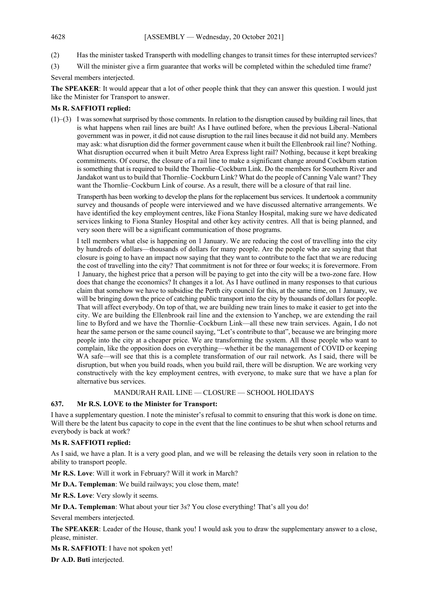- (2) Has the minister tasked Transperth with modelling changes to transit times for these interrupted services?
- (3) Will the minister give a firm guarantee that works will be completed within the scheduled time frame?

Several members interjected.

**The SPEAKER**: It would appear that a lot of other people think that they can answer this question. I would just like the Minister for Transport to answer.

## **Ms R. SAFFIOTI replied:**

(1)–(3) I was somewhat surprised by those comments. In relation to the disruption caused by building rail lines, that is what happens when rail lines are built! As I have outlined before, when the previous Liberal–National government was in power, it did not cause disruption to the rail lines because it did not build any. Members may ask: what disruption did the former government cause when it built the Ellenbrook rail line? Nothing. What disruption occurred when it built Metro Area Express light rail? Nothing, because it kept breaking commitments. Of course, the closure of a rail line to make a significant change around Cockburn station is something that is required to build the Thornlie–Cockburn Link. Do the members for Southern River and Jandakot want us to build that Thornlie–Cockburn Link? What do the people of Canning Vale want? They want the Thornlie–Cockburn Link of course. As a result, there will be a closure of that rail line.

Transperth has been working to develop the plans for the replacement bus services. It undertook a community survey and thousands of people were interviewed and we have discussed alternative arrangements. We have identified the key employment centres, like Fiona Stanley Hospital, making sure we have dedicated services linking to Fiona Stanley Hospital and other key activity centres. All that is being planned, and very soon there will be a significant communication of those programs.

I tell members what else is happening on 1 January. We are reducing the cost of travelling into the city by hundreds of dollars—thousands of dollars for many people. Are the people who are saying that that closure is going to have an impact now saying that they want to contribute to the fact that we are reducing the cost of travelling into the city? That commitment is not for three or four weeks; it is forevermore. From 1 January, the highest price that a person will be paying to get into the city will be a two-zone fare. How does that change the economics? It changes it a lot. As I have outlined in many responses to that curious claim that somehow we have to subsidise the Perth city council for this, at the same time, on 1 January, we will be bringing down the price of catching public transport into the city by thousands of dollars for people. That will affect everybody. On top of that, we are building new train lines to make it easier to get into the city. We are building the Ellenbrook rail line and the extension to Yanchep, we are extending the rail line to Byford and we have the Thornlie–Cockburn Link—all these new train services. Again, I do not hear the same person or the same council saying, "Let's contribute to that", because we are bringing more people into the city at a cheaper price. We are transforming the system. All those people who want to complain, like the opposition does on everything—whether it be the management of COVID or keeping WA safe—will see that this is a complete transformation of our rail network. As I said, there will be disruption, but when you build roads, when you build rail, there will be disruption. We are working very constructively with the key employment centres, with everyone, to make sure that we have a plan for alternative bus services.

## MANDURAH RAIL LINE — CLOSURE — SCHOOL HOLIDAYS

## **637. Mr R.S. LOVE to the Minister for Transport:**

I have a supplementary question. I note the minister's refusal to commit to ensuring that this work is done on time. Will there be the latent bus capacity to cope in the event that the line continues to be shut when school returns and everybody is back at work?

## **Ms R. SAFFIOTI replied:**

As I said, we have a plan. It is a very good plan, and we will be releasing the details very soon in relation to the ability to transport people.

**Mr R.S. Love**: Will it work in February? Will it work in March?

**Mr D.A. Templeman**: We build railways; you close them, mate!

**Mr R.S. Love**: Very slowly it seems.

**Mr D.A. Templeman**: What about your tier 3s? You close everything! That's all you do!

Several members interjected.

**The SPEAKER**: Leader of the House, thank you! I would ask you to draw the supplementary answer to a close, please, minister.

**Ms R. SAFFIOTI**: I have not spoken yet!

**Dr A.D. Buti** interjected.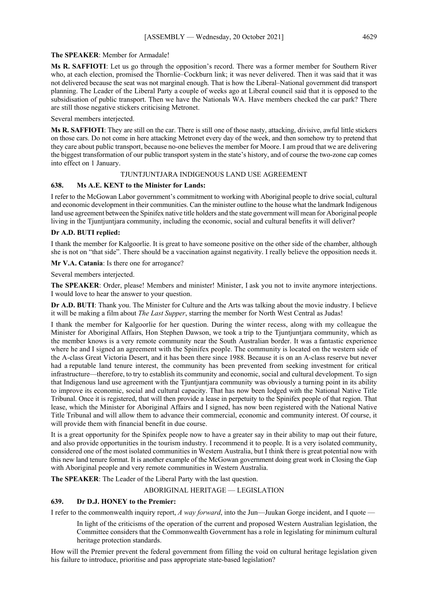## **The SPEAKER**: Member for Armadale!

**Ms R. SAFFIOTI**: Let us go through the opposition's record. There was a former member for Southern River who, at each election, promised the Thornlie–Cockburn link; it was never delivered. Then it was said that it was not delivered because the seat was not marginal enough. That is how the Liberal–National government did transport planning. The Leader of the Liberal Party a couple of weeks ago at Liberal council said that it is opposed to the subsidisation of public transport. Then we have the Nationals WA. Have members checked the car park? There are still those negative stickers criticising Metronet.

Several members interjected.

**Ms R. SAFFIOTI**: They are still on the car. There is still one of those nasty, attacking, divisive, awful little stickers on those cars. Do not come in here attacking Metronet every day of the week, and then somehow try to pretend that they care about public transport, because no-one believes the member for Moore. I am proud that we are delivering the biggest transformation of our public transport system in the state's history, and of course the two-zone cap comes into effect on 1 January.

## TJUNTJUNTJARA INDIGENOUS LAND USE AGREEMENT

## **638. Ms A.E. KENT to the Minister for Lands:**

I refer to the McGowan Labor government's commitment to working with Aboriginal people to drive social, cultural and economic development in their communities. Can the minister outline to the house what the landmark Indigenous land use agreement between the Spinifex native title holders and the state government will mean for Aboriginal people living in the Tjuntjuntjara community, including the economic, social and cultural benefits it will deliver?

## **Dr A.D. BUTI replied:**

I thank the member for Kalgoorlie. It is great to have someone positive on the other side of the chamber, although she is not on "that side". There should be a vaccination against negativity. I really believe the opposition needs it.

**Mr V.A. Catania**: Is there one for arrogance?

Several members interjected.

**The SPEAKER**: Order, please! Members and minister! Minister, I ask you not to invite anymore interjections. I would love to hear the answer to your question.

**Dr A.D. BUTI**: Thank you. The Minister for Culture and the Arts was talking about the movie industry. I believe it will be making a film about *The Last Supper*, starring the member for North West Central as Judas!

I thank the member for Kalgoorlie for her question. During the winter recess, along with my colleague the Minister for Aboriginal Affairs, Hon Stephen Dawson, we took a trip to the Tjuntjuntjara community, which as the member knows is a very remote community near the South Australian border. It was a fantastic experience where he and I signed an agreement with the Spinifex people. The community is located on the western side of the A-class Great Victoria Desert, and it has been there since 1988. Because it is on an A-class reserve but never had a reputable land tenure interest, the community has been prevented from seeking investment for critical infrastructure—therefore, to try to establish its community and economic, social and cultural development. To sign that Indigenous land use agreement with the Tjuntjuntjara community was obviously a turning point in its ability to improve its economic, social and cultural capacity. That has now been lodged with the National Native Title Tribunal. Once it is registered, that will then provide a lease in perpetuity to the Spinifex people of that region. That lease, which the Minister for Aboriginal Affairs and I signed, has now been registered with the National Native Title Tribunal and will allow them to advance their commercial, economic and community interest. Of course, it will provide them with financial benefit in due course.

It is a great opportunity for the Spinifex people now to have a greater say in their ability to map out their future, and also provide opportunities in the tourism industry. I recommend it to people. It is a very isolated community, considered one of the most isolated communities in Western Australia, but I think there is great potential now with this new land tenure format. It is another example of the McGowan government doing great work in Closing the Gap with Aboriginal people and very remote communities in Western Australia.

**The SPEAKER**: The Leader of the Liberal Party with the last question.

ABORIGINAL HERITAGE — LEGISLATION

## **639. Dr D.J. HONEY to the Premier:**

I refer to the commonwealth inquiry report, *A way forward*, into the Jun—Juukan Gorge incident, and I quote —

In light of the criticisms of the operation of the current and proposed Western Australian legislation, the Committee considers that the Commonwealth Government has a role in legislating for minimum cultural heritage protection standards.

How will the Premier prevent the federal government from filling the void on cultural heritage legislation given his failure to introduce, prioritise and pass appropriate state-based legislation?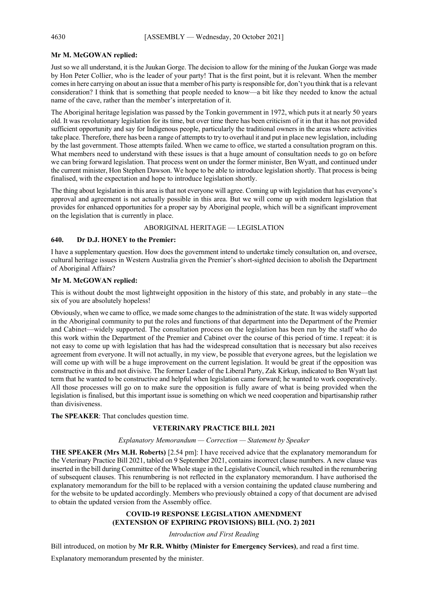## **Mr M. McGOWAN replied:**

Just so we all understand, it is the Juukan Gorge. The decision to allow for the mining of the Juukan Gorge was made by Hon Peter Collier, who is the leader of your party! That is the first point, but it is relevant. When the member comes in here carrying on about an issue that a member of his party is responsible for, don't you think that is a relevant consideration? I think that is something that people needed to know—a bit like they needed to know the actual name of the cave, rather than the member's interpretation of it.

The Aboriginal heritage legislation was passed by the Tonkin government in 1972, which puts it at nearly 50 years old. It was revolutionary legislation for its time, but over time there has been criticism of it in that it has not provided sufficient opportunity and say for Indigenous people, particularly the traditional owners in the areas where activities take place. Therefore, there has been a range of attempts to try to overhaul it and put in place new legislation, including by the last government. Those attempts failed. When we came to office, we started a consultation program on this. What members need to understand with these issues is that a huge amount of consultation needs to go on before we can bring forward legislation. That process went on under the former minister, Ben Wyatt, and continued under the current minister, Hon Stephen Dawson. We hope to be able to introduce legislation shortly. That process is being finalised, with the expectation and hope to introduce legislation shortly.

The thing about legislation in this area is that not everyone will agree. Coming up with legislation that has everyone's approval and agreement is not actually possible in this area. But we will come up with modern legislation that provides for enhanced opportunities for a proper say by Aboriginal people, which will be a significant improvement on the legislation that is currently in place.

## ABORIGINAL HERITAGE — LEGISLATION

## **640. Dr D.J. HONEY to the Premier:**

I have a supplementary question. How does the government intend to undertake timely consultation on, and oversee, cultural heritage issues in Western Australia given the Premier's short-sighted decision to abolish the Department of Aboriginal Affairs?

## **Mr M. McGOWAN replied:**

This is without doubt the most lightweight opposition in the history of this state, and probably in any state—the six of you are absolutely hopeless!

Obviously, when we came to office, we made some changes to the administration of the state. It was widely supported in the Aboriginal community to put the roles and functions of that department into the Department of the Premier and Cabinet—widely supported. The consultation process on the legislation has been run by the staff who do this work within the Department of the Premier and Cabinet over the course of this period of time. I repeat: it is not easy to come up with legislation that has had the widespread consultation that is necessary but also receives agreement from everyone. It will not actually, in my view, be possible that everyone agrees, but the legislation we will come up with will be a huge improvement on the current legislation. It would be great if the opposition was constructive in this and not divisive. The former Leader of the Liberal Party, Zak Kirkup, indicated to Ben Wyatt last term that he wanted to be constructive and helpful when legislation came forward; he wanted to work cooperatively. All those processes will go on to make sure the opposition is fully aware of what is being provided when the legislation is finalised, but this important issue is something on which we need cooperation and bipartisanship rather than divisiveness.

#### **The SPEAKER**: That concludes question time.

## **VETERINARY PRACTICE BILL 2021**

#### *Explanatory Memorandum — Correction — Statement by Speaker*

**THE SPEAKER (Mrs M.H. Roberts)** [2.54 pm]: I have received advice that the explanatory memorandum for the Veterinary Practice Bill 2021, tabled on 9 September 2021, contains incorrect clause numbers. A new clause was inserted in the bill during Committee of the Whole stage in the Legislative Council, which resulted in the renumbering of subsequent clauses. This renumbering is not reflected in the explanatory memorandum. I have authorised the explanatory memorandum for the bill to be replaced with a version containing the updated clause numbering and for the website to be updated accordingly. Members who previously obtained a copy of that document are advised to obtain the updated version from the Assembly office.

## **COVID-19 RESPONSE LEGISLATION AMENDMENT (EXTENSION OF EXPIRING PROVISIONS) BILL (NO. 2) 2021**

#### *Introduction and First Reading*

Bill introduced, on motion by **Mr R.R. Whitby (Minister for Emergency Services)**, and read a first time.

Explanatory memorandum presented by the minister.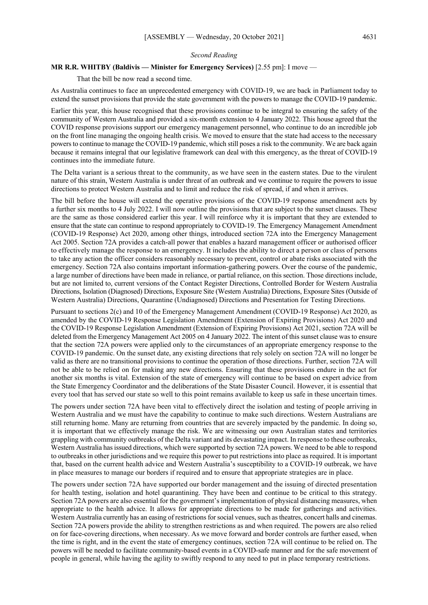#### *Second Reading*

## **MR R.R. WHITBY (Baldivis — Minister for Emergency Services)** [2.55 pm]: I move —

That the bill be now read a second time.

As Australia continues to face an unprecedented emergency with COVID-19, we are back in Parliament today to extend the sunset provisions that provide the state government with the powers to manage the COVID-19 pandemic.

Earlier this year, this house recognised that these provisions continue to be integral to ensuring the safety of the community of Western Australia and provided a six-month extension to 4 January 2022. This house agreed that the COVID response provisions support our emergency management personnel, who continue to do an incredible job on the front line managing the ongoing health crisis. We moved to ensure that the state had access to the necessary powers to continue to manage the COVID-19 pandemic, which still poses a risk to the community. We are back again because it remains integral that our legislative framework can deal with this emergency, as the threat of COVID-19 continues into the immediate future.

The Delta variant is a serious threat to the community, as we have seen in the eastern states. Due to the virulent nature of this strain, Western Australia is under threat of an outbreak and we continue to require the powers to issue directions to protect Western Australia and to limit and reduce the risk of spread, if and when it arrives.

The bill before the house will extend the operative provisions of the COVID-19 response amendment acts by a further six months to 4 July 2022. I will now outline the provisions that are subject to the sunset clauses. These are the same as those considered earlier this year. I will reinforce why it is important that they are extended to ensure that the state can continue to respond appropriately to COVID-19. The Emergency Management Amendment (COVID-19 Response) Act 2020, among other things, introduced section 72A into the Emergency Management Act 2005. Section 72A provides a catch-all power that enables a hazard management officer or authorised officer to effectively manage the response to an emergency. It includes the ability to direct a person or class of persons to take any action the officer considers reasonably necessary to prevent, control or abate risks associated with the emergency. Section 72A also contains important information-gathering powers. Over the course of the pandemic, a large number of directions have been made in reliance, or partial reliance, on this section. Those directions include, but are not limited to, current versions of the Contact Register Directions, Controlled Border for Western Australia Directions, Isolation (Diagnosed) Directions, Exposure Site (Western Australia) Directions, Exposure Sites (Outside of Western Australia) Directions, Quarantine (Undiagnosed) Directions and Presentation for Testing Directions.

Pursuant to sections 2(c) and 10 of the Emergency Management Amendment (COVID-19 Response) Act 2020, as amended by the COVID-19 Response Legislation Amendment (Extension of Expiring Provisions) Act 2020 and the COVID-19 Response Legislation Amendment (Extension of Expiring Provisions) Act 2021, section 72A will be deleted from the Emergency Management Act 2005 on 4 January 2022. The intent of this sunset clause was to ensure that the section 72A powers were applied only to the circumstances of an appropriate emergency response to the COVID-19 pandemic. On the sunset date, any existing directions that rely solely on section 72A will no longer be valid as there are no transitional provisions to continue the operation of those directions. Further, section 72A will not be able to be relied on for making any new directions. Ensuring that these provisions endure in the act for another six months is vital. Extension of the state of emergency will continue to be based on expert advice from the State Emergency Coordinator and the deliberations of the State Disaster Council. However, it is essential that every tool that has served our state so well to this point remains available to keep us safe in these uncertain times.

The powers under section 72A have been vital to effectively direct the isolation and testing of people arriving in Western Australia and we must have the capability to continue to make such directions. Western Australians are still returning home. Many are returning from countries that are severely impacted by the pandemic. In doing so, it is important that we effectively manage the risk. We are witnessing our own Australian states and territories grappling with community outbreaks of the Delta variant and its devastating impact. In response to these outbreaks, Western Australia has issued directions, which were supported by section 72A powers. We need to be able to respond to outbreaks in other jurisdictions and we require this power to put restrictions into place as required. It is important that, based on the current health advice and Western Australia's susceptibility to a COVID-19 outbreak, we have in place measures to manage our borders if required and to ensure that appropriate strategies are in place.

The powers under section 72A have supported our border management and the issuing of directed presentation for health testing, isolation and hotel quarantining. They have been and continue to be critical to this strategy. Section 72A powers are also essential for the government's implementation of physical distancing measures, when appropriate to the health advice. It allows for appropriate directions to be made for gatherings and activities. Western Australia currently has an easing of restrictions for social venues, such as theatres, concert halls and cinemas. Section 72A powers provide the ability to strengthen restrictions as and when required. The powers are also relied on for face-covering directions, when necessary. As we move forward and border controls are further eased, when the time is right, and in the event the state of emergency continues, section 72A will continue to be relied on. The powers will be needed to facilitate community-based events in a COVID-safe manner and for the safe movement of people in general, while having the agility to swiftly respond to any need to put in place temporary restrictions.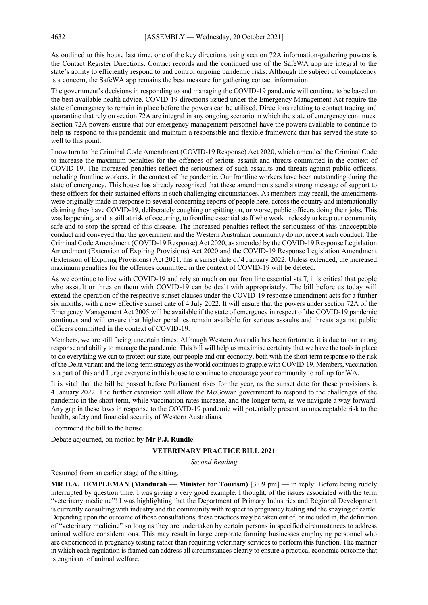As outlined to this house last time, one of the key directions using section 72A information-gathering powers is the Contact Register Directions. Contact records and the continued use of the SafeWA app are integral to the state's ability to efficiently respond to and control ongoing pandemic risks. Although the subject of complacency is a concern, the SafeWA app remains the best measure for gathering contact information.

The government's decisions in responding to and managing the COVID-19 pandemic will continue to be based on the best available health advice. COVID-19 directions issued under the Emergency Management Act require the state of emergency to remain in place before the powers can be utilised. Directions relating to contact tracing and quarantine that rely on section 72A are integral in any ongoing scenario in which the state of emergency continues. Section 72A powers ensure that our emergency management personnel have the powers available to continue to help us respond to this pandemic and maintain a responsible and flexible framework that has served the state so well to this point.

I now turn to the Criminal Code Amendment (COVID-19 Response) Act 2020, which amended the Criminal Code to increase the maximum penalties for the offences of serious assault and threats committed in the context of COVID-19. The increased penalties reflect the seriousness of such assaults and threats against public officers, including frontline workers, in the context of the pandemic. Our frontline workers have been outstanding during the state of emergency. This house has already recognised that these amendments send a strong message of support to these officers for their sustained efforts in such challenging circumstances. As members may recall, the amendments were originally made in response to several concerning reports of people here, across the country and internationally claiming they have COVID-19, deliberately coughing or spitting on, or worse, public officers doing their jobs. This was happening, and is still at risk of occurring, to frontline essential staff who work tirelessly to keep our community safe and to stop the spread of this disease. The increased penalties reflect the seriousness of this unacceptable conduct and conveyed that the government and the Western Australian community do not accept such conduct. The Criminal Code Amendment (COVID-19 Response) Act 2020, as amended by the COVID-19 Response Legislation Amendment (Extension of Expiring Provisions) Act 2020 and the COVID-19 Response Legislation Amendment (Extension of Expiring Provisions) Act 2021, has a sunset date of 4 January 2022. Unless extended, the increased maximum penalties for the offences committed in the context of COVID-19 will be deleted.

As we continue to live with COVID-19 and rely so much on our frontline essential staff, it is critical that people who assault or threaten them with COVID-19 can be dealt with appropriately. The bill before us today will extend the operation of the respective sunset clauses under the COVID-19 response amendment acts for a further six months, with a new effective sunset date of 4 July 2022. It will ensure that the powers under section 72A of the Emergency Management Act 2005 will be available if the state of emergency in respect of the COVID-19 pandemic continues and will ensure that higher penalties remain available for serious assaults and threats against public officers committed in the context of COVID-19.

Members, we are still facing uncertain times. Although Western Australia has been fortunate, it is due to our strong response and ability to manage the pandemic. This bill will help us maximise certainty that we have the tools in place to do everything we can to protect our state, our people and our economy, both with the short-term response to the risk of the Delta variant and the long-term strategy as the world continues to grapple with COVID-19. Members, vaccination is a part of this and I urge everyone in this house to continue to encourage your community to roll up for WA.

It is vital that the bill be passed before Parliament rises for the year, as the sunset date for these provisions is 4 January 2022. The further extension will allow the McGowan government to respond to the challenges of the pandemic in the short term, while vaccination rates increase, and the longer term, as we navigate a way forward. Any gap in these laws in response to the COVID-19 pandemic will potentially present an unacceptable risk to the health, safety and financial security of Western Australians.

I commend the bill to the house.

Debate adjourned, on motion by **Mr P.J. Rundle**.

#### **VETERINARY PRACTICE BILL 2021**

*Second Reading*

Resumed from an earlier stage of the sitting.

**MR D.A. TEMPLEMAN (Mandurah — Minister for Tourism)** [3.09 pm] — in reply: Before being rudely interrupted by question time, I was giving a very good example, I thought, of the issues associated with the term "veterinary medicine"! I was highlighting that the Department of Primary Industries and Regional Development is currently consulting with industry and the community with respect to pregnancy testing and the spaying of cattle. Depending upon the outcome of those consultations, these practices may be taken out of, or included in, the definition of "veterinary medicine" so long as they are undertaken by certain persons in specified circumstances to address animal welfare considerations. This may result in large corporate farming businesses employing personnel who are experienced in pregnancy testing rather than requiring veterinary services to perform this function. The manner in which each regulation is framed can address all circumstances clearly to ensure a practical economic outcome that is cognisant of animal welfare.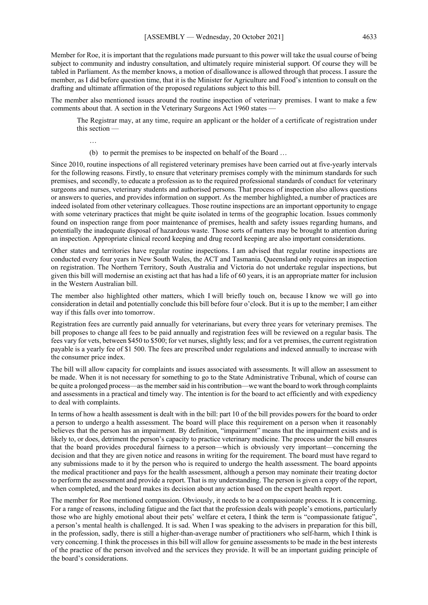Member for Roe, it is important that the regulations made pursuant to this power will take the usual course of being subject to community and industry consultation, and ultimately require ministerial support. Of course they will be tabled in Parliament. As the member knows, a motion of disallowance is allowed through that process. I assure the member, as I did before question time, that it is the Minister for Agriculture and Food's intention to consult on the drafting and ultimate affirmation of the proposed regulations subject to this bill.

The member also mentioned issues around the routine inspection of veterinary premises. I want to make a few comments about that. A section in the Veterinary Surgeons Act 1960 states —

The Registrar may, at any time, require an applicant or the holder of a certificate of registration under this section —

…

(b) to permit the premises to be inspected on behalf of the Board …

Since 2010, routine inspections of all registered veterinary premises have been carried out at five-yearly intervals for the following reasons. Firstly, to ensure that veterinary premises comply with the minimum standards for such premises, and secondly, to educate a profession as to the required professional standards of conduct for veterinary surgeons and nurses, veterinary students and authorised persons. That process of inspection also allows questions or answers to queries, and provides information on support. As the member highlighted, a number of practices are indeed isolated from other veterinary colleagues. Those routine inspections are an important opportunity to engage with some veterinary practices that might be quite isolated in terms of the geographic location. Issues commonly found on inspection range from poor maintenance of premises, health and safety issues regarding humans, and potentially the inadequate disposal of hazardous waste. Those sorts of matters may be brought to attention during an inspection. Appropriate clinical record keeping and drug record keeping are also important considerations.

Other states and territories have regular routine inspections. I am advised that regular routine inspections are conducted every four years in New South Wales, the ACT and Tasmania. Queensland only requires an inspection on registration. The Northern Territory, South Australia and Victoria do not undertake regular inspections, but given this bill will modernise an existing act that has had a life of 60 years, it is an appropriate matter for inclusion in the Western Australian bill.

The member also highlighted other matters, which I will briefly touch on, because I know we will go into consideration in detail and potentially conclude this bill before four o'clock. But it is up to the member; I am either way if this falls over into tomorrow.

Registration fees are currently paid annually for veterinarians, but every three years for veterinary premises. The bill proposes to change all fees to be paid annually and registration fees will be reviewed on a regular basis. The fees vary for vets, between \$450 to \$500; for vet nurses, slightly less; and for a vet premises, the current registration payable is a yearly fee of \$1 500. The fees are prescribed under regulations and indexed annually to increase with the consumer price index.

The bill will allow capacity for complaints and issues associated with assessments. It will allow an assessment to be made. When it is not necessary for something to go to the State Administrative Tribunal, which of course can be quite a prolonged process—as the member said in his contribution—we want the board to work through complaints and assessments in a practical and timely way. The intention is for the board to act efficiently and with expediency to deal with complaints.

In terms of how a health assessment is dealt with in the bill: part 10 of the bill provides powers for the board to order a person to undergo a health assessment. The board will place this requirement on a person when it reasonably believes that the person has an impairment. By definition, "impairment" means that the impairment exists and is likely to, or does, detriment the person's capacity to practice veterinary medicine. The process under the bill ensures that the board provides procedural fairness to a person—which is obviously very important—concerning the decision and that they are given notice and reasons in writing for the requirement. The board must have regard to any submissions made to it by the person who is required to undergo the health assessment. The board appoints the medical practitioner and pays for the health assessment, although a person may nominate their treating doctor to perform the assessment and provide a report. That is my understanding. The person is given a copy of the report, when completed, and the board makes its decision about any action based on the expert health report.

The member for Roe mentioned compassion. Obviously, it needs to be a compassionate process. It is concerning. For a range of reasons, including fatigue and the fact that the profession deals with people's emotions, particularly those who are highly emotional about their pets' welfare et cetera, I think the term is "compassionate fatigue", a person's mental health is challenged. It is sad. When I was speaking to the advisers in preparation for this bill, in the profession, sadly, there is still a higher-than-average number of practitioners who self-harm, which I think is very concerning. I think the processes in this bill will allow for genuine assessments to be made in the best interests of the practice of the person involved and the services they provide. It will be an important guiding principle of the board's considerations.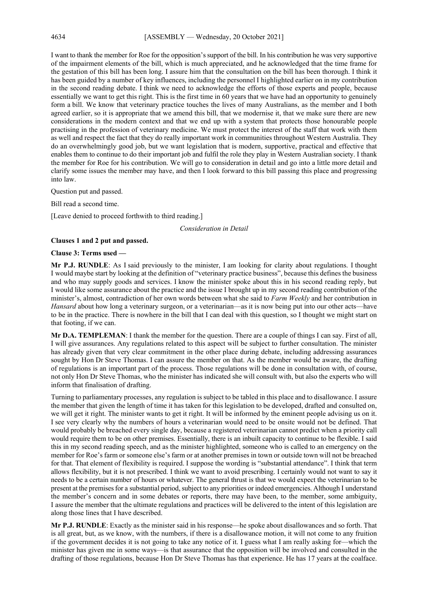I want to thank the member for Roe for the opposition's support of the bill. In his contribution he was very supportive of the impairment elements of the bill, which is much appreciated, and he acknowledged that the time frame for the gestation of this bill has been long. I assure him that the consultation on the bill has been thorough. I think it has been guided by a number of key influences, including the personnel I highlighted earlier on in my contribution in the second reading debate. I think we need to acknowledge the efforts of those experts and people, because essentially we want to get this right. This is the first time in 60 years that we have had an opportunity to genuinely form a bill. We know that veterinary practice touches the lives of many Australians, as the member and I both agreed earlier, so it is appropriate that we amend this bill, that we modernise it, that we make sure there are new considerations in the modern context and that we end up with a system that protects those honourable people practising in the profession of veterinary medicine. We must protect the interest of the staff that work with them as well and respect the fact that they do really important work in communities throughout Western Australia. They do an overwhelmingly good job, but we want legislation that is modern, supportive, practical and effective that enables them to continue to do their important job and fulfil the role they play in Western Australian society. I thank the member for Roe for his contribution. We will go to consideration in detail and go into a little more detail and clarify some issues the member may have, and then I look forward to this bill passing this place and progressing into law.

Question put and passed.

Bill read a second time.

[Leave denied to proceed forthwith to third reading.]

*Consideration in Detail*

#### **Clauses 1 and 2 put and passed.**

#### **Clause 3: Terms used —**

**Mr P.J. RUNDLE**: As I said previously to the minister, I am looking for clarity about regulations. I thought I would maybe start by looking at the definition of "veterinary practice business", because this defines the business and who may supply goods and services. I know the minister spoke about this in his second reading reply, but I would like some assurance about the practice and the issue I brought up in my second reading contribution of the minister's, almost, contradiction of her own words between what she said to *Farm Weekly* and her contribution in *Hansard* about how long a veterinary surgeon, or a veterinarian—as it is now being put into our other acts—have to be in the practice. There is nowhere in the bill that I can deal with this question, so I thought we might start on that footing, if we can.

**Mr D.A. TEMPLEMAN**: I thank the member for the question. There are a couple of things I can say. First of all, I will give assurances. Any regulations related to this aspect will be subject to further consultation. The minister has already given that very clear commitment in the other place during debate, including addressing assurances sought by Hon Dr Steve Thomas. I can assure the member on that. As the member would be aware, the drafting of regulations is an important part of the process. Those regulations will be done in consultation with, of course, not only Hon Dr Steve Thomas, who the minister has indicated she will consult with, but also the experts who will inform that finalisation of drafting.

Turning to parliamentary processes, any regulation is subject to be tabled in this place and to disallowance. I assure the member that given the length of time it has taken for this legislation to be developed, drafted and consulted on, we will get it right. The minister wants to get it right. It will be informed by the eminent people advising us on it. I see very clearly why the numbers of hours a veterinarian would need to be onsite would not be defined. That would probably be breached every single day, because a registered veterinarian cannot predict when a priority call would require them to be on other premises. Essentially, there is an inbuilt capacity to continue to be flexible. I said this in my second reading speech, and as the minister highlighted, someone who is called to an emergency on the member for Roe's farm or someone else's farm or at another premises in town or outside town will not be breached for that. That element of flexibility is required. I suppose the wording is "substantial attendance". I think that term allows flexibility, but it is not prescribed. I think we want to avoid prescribing. I certainly would not want to say it needs to be a certain number of hours or whatever. The general thrust is that we would expect the veterinarian to be present at the premises for a substantial period, subject to any priorities or indeed emergencies. Although I understand the member's concern and in some debates or reports, there may have been, to the member, some ambiguity, I assure the member that the ultimate regulations and practices will be delivered to the intent of this legislation are along those lines that I have described.

**Mr P.J. RUNDLE**: Exactly as the minister said in his response—he spoke about disallowances and so forth. That is all great, but, as we know, with the numbers, if there is a disallowance motion, it will not come to any fruition if the government decides it is not going to take any notice of it. I guess what I am really asking for—which the minister has given me in some ways—is that assurance that the opposition will be involved and consulted in the drafting of those regulations, because Hon Dr Steve Thomas has that experience. He has 17 years at the coalface.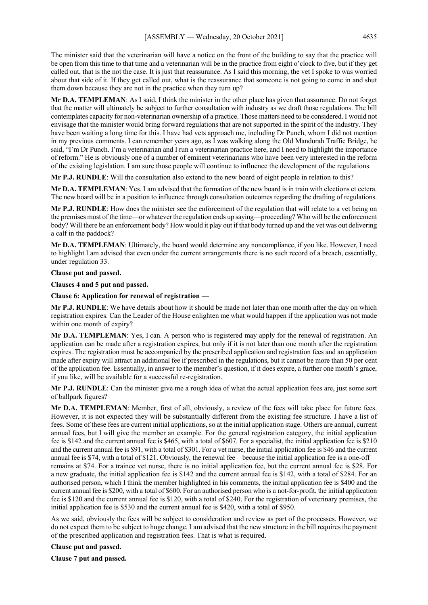The minister said that the veterinarian will have a notice on the front of the building to say that the practice will be open from this time to that time and a veterinarian will be in the practice from eight o'clock to five, but if they get called out, that is the not the case. It is just that reassurance. As I said this morning, the vet I spoke to was worried about that side of it. If they get called out, what is the reassurance that someone is not going to come in and shut them down because they are not in the practice when they turn up?

**Mr D.A. TEMPLEMAN**: As I said, I think the minister in the other place has given that assurance. Do not forget that the matter will ultimately be subject to further consultation with industry as we draft those regulations. The bill contemplates capacity for non-veterinarian ownership of a practice. Those matters need to be considered. I would not envisage that the minister would bring forward regulations that are not supported in the spirit of the industry. They have been waiting a long time for this. I have had vets approach me, including Dr Punch, whom I did not mention in my previous comments. I can remember years ago, as I was walking along the Old Mandurah Traffic Bridge, he said, "I'm Dr Punch. I'm a veterinarian and I run a veterinarian practice here, and I need to highlight the importance of reform." He is obviously one of a number of eminent veterinarians who have been very interested in the reform of the existing legislation. I am sure those people will continue to influence the development of the regulations.

**Mr P.J. RUNDLE**: Will the consultation also extend to the new board of eight people in relation to this?

**Mr D.A. TEMPLEMAN**: Yes. I am advised that the formation of the new board is in train with elections et cetera. The new board will be in a position to influence through consultation outcomes regarding the drafting of regulations.

**Mr P.J. RUNDLE**: How does the minister see the enforcement of the regulation that will relate to a vet being on the premises most of the time—or whatever the regulation ends up saying—proceeding? Who will be the enforcement body? Will there be an enforcement body? How would it play out if that body turned up and the vet was out delivering a calf in the paddock?

**Mr D.A. TEMPLEMAN**: Ultimately, the board would determine any noncompliance, if you like. However, I need to highlight I am advised that even under the current arrangements there is no such record of a breach, essentially, under regulation 33.

## **Clause put and passed.**

**Clauses 4 and 5 put and passed.**

**Clause 6: Application for renewal of registration —**

**Mr P.J. RUNDLE**: We have details about how it should be made not later than one month after the day on which registration expires. Can the Leader of the House enlighten me what would happen if the application was not made within one month of expiry?

**Mr D.A. TEMPLEMAN**: Yes, I can. A person who is registered may apply for the renewal of registration. An application can be made after a registration expires, but only if it is not later than one month after the registration expires. The registration must be accompanied by the prescribed application and registration fees and an application made after expiry will attract an additional fee if prescribed in the regulations, but it cannot be more than 50 per cent of the application fee. Essentially, in answer to the member's question, if it does expire, a further one month's grace, if you like, will be available for a successful re-registration.

**Mr P.J. RUNDLE**: Can the minister give me a rough idea of what the actual application fees are, just some sort of ballpark figures?

**Mr D.A. TEMPLEMAN**: Member, first of all, obviously, a review of the fees will take place for future fees. However, it is not expected they will be substantially different from the existing fee structure. I have a list of fees. Some of these fees are current initial applications, so at the initial application stage. Others are annual, current annual fees, but I will give the member an example. For the general registration category, the initial application fee is \$142 and the current annual fee is \$465, with a total of \$607. For a specialist, the initial application fee is \$210 and the current annual fee is \$91, with a total of \$301. For a vet nurse, the initial application fee is \$46 and the current annual fee is \$74, with a total of \$121. Obviously, the renewal fee—because the initial application fee is a one-off remains at \$74. For a trainee vet nurse, there is no initial application fee, but the current annual fee is \$28. For a new graduate, the initial application fee is \$142 and the current annual fee is \$142, with a total of \$284. For an authorised person, which I think the member highlighted in his comments, the initial application fee is \$400 and the current annual fee is \$200, with a total of \$600. For an authorised person who is a not-for-profit, the initial application fee is \$120 and the current annual fee is \$120, with a total of \$240. For the registration of veterinary premises, the initial application fee is \$530 and the current annual fee is \$420, with a total of \$950.

As we said, obviously the fees will be subject to consideration and review as part of the processes. However, we do not expect them to be subject to huge change. I am advised that the new structure in the bill requires the payment of the prescribed application and registration fees. That is what is required.

## **Clause put and passed.**

**Clause 7 put and passed.**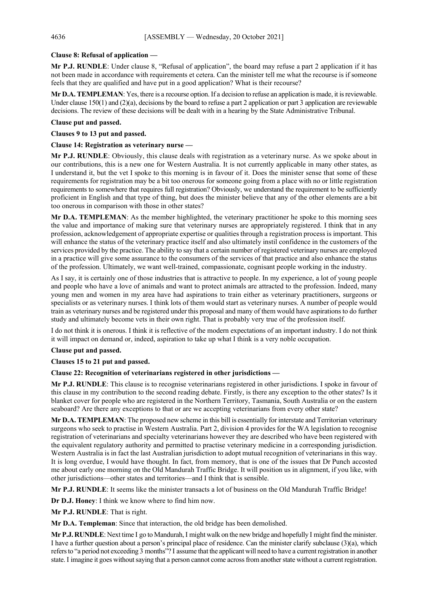## **Clause 8: Refusal of application —**

**Mr P.J. RUNDLE**: Under clause 8, "Refusal of application", the board may refuse a part 2 application if it has not been made in accordance with requirements et cetera. Can the minister tell me what the recourse is if someone feels that they are qualified and have put in a good application? What is their recourse?

**Mr D.A. TEMPLEMAN**: Yes, there is a recourse option. If a decision to refuse an application is made, it is reviewable. Under clause  $150(1)$  and  $(2)(a)$ , decisions by the board to refuse a part 2 application or part 3 application are reviewable decisions. The review of these decisions will be dealt with in a hearing by the State Administrative Tribunal.

## **Clause put and passed.**

**Clauses 9 to 13 put and passed.**

**Clause 14: Registration as veterinary nurse —**

**Mr P.J. RUNDLE**: Obviously, this clause deals with registration as a veterinary nurse. As we spoke about in our contributions, this is a new one for Western Australia. It is not currently applicable in many other states, as I understand it, but the vet I spoke to this morning is in favour of it. Does the minister sense that some of these requirements for registration may be a bit too onerous for someone going from a place with no or little registration requirements to somewhere that requires full registration? Obviously, we understand the requirement to be sufficiently proficient in English and that type of thing, but does the minister believe that any of the other elements are a bit too onerous in comparison with those in other states?

**Mr D.A. TEMPLEMAN:** As the member highlighted, the veterinary practitioner he spoke to this morning sees the value and importance of making sure that veterinary nurses are appropriately registered. I think that in any profession, acknowledgement of appropriate expertise or qualities through a registration process is important. This will enhance the status of the veterinary practice itself and also ultimately instil confidence in the customers of the services provided by the practice. The ability to say that a certain number of registered veterinary nurses are employed in a practice will give some assurance to the consumers of the services of that practice and also enhance the status of the profession. Ultimately, we want well-trained, compassionate, cognisant people working in the industry.

As I say, it is certainly one of those industries that is attractive to people. In my experience, a lot of young people and people who have a love of animals and want to protect animals are attracted to the profession. Indeed, many young men and women in my area have had aspirations to train either as veterinary practitioners, surgeons or specialists or as veterinary nurses. I think lots of them would start as veterinary nurses. A number of people would train as veterinary nurses and be registered under this proposal and many of them would have aspirations to do further study and ultimately become vets in their own right. That is probably very true of the profession itself.

I do not think it is onerous. I think it is reflective of the modern expectations of an important industry. I do not think it will impact on demand or, indeed, aspiration to take up what I think is a very noble occupation.

## **Clause put and passed.**

## **Clauses 15 to 21 put and passed.**

## **Clause 22: Recognition of veterinarians registered in other jurisdictions —**

**Mr P.J. RUNDLE**: This clause is to recognise veterinarians registered in other jurisdictions. I spoke in favour of this clause in my contribution to the second reading debate. Firstly, is there any exception to the other states? Is it blanket cover for people who are registered in the Northern Territory, Tasmania, South Australia or on the eastern seaboard? Are there any exceptions to that or are we accepting veterinarians from every other state?

**Mr D.A. TEMPLEMAN**: The proposed new scheme in this bill is essentially for interstate and Territorian veterinary surgeons who seek to practise in Western Australia. Part 2, division 4 provides for the WA legislation to recognise registration of veterinarians and specialty veterinarians however they are described who have been registered with the equivalent regulatory authority and permitted to practise veterinary medicine in a corresponding jurisdiction. Western Australia is in fact the last Australian jurisdiction to adopt mutual recognition of veterinarians in this way. It is long overdue, I would have thought. In fact, from memory, that is one of the issues that Dr Punch accosted me about early one morning on the Old Mandurah Traffic Bridge. It will position us in alignment, if you like, with other jurisdictions—other states and territories—and I think that is sensible.

**Mr P.J. RUNDLE**: It seems like the minister transacts a lot of business on the Old Mandurah Traffic Bridge!

**Dr D.J. Honey**: I think we know where to find him now.

**Mr P.J. RUNDLE**: That is right.

**Mr D.A. Templeman**: Since that interaction, the old bridge has been demolished.

**Mr P.J. RUNDLE**: Next time I go to Mandurah,I might walk on the new bridge and hopefully I might find the minister. I have a further question about a person's principal place of residence. Can the minister clarify subclause (3)(a), which refers to "a period not exceeding 3 months"? I assume that the applicant will need to have a current registration in another state. I imagine it goes without saying that a person cannot come across from another state without a current registration.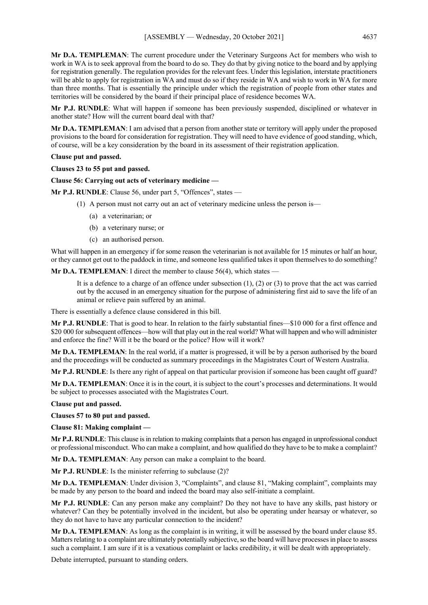**Mr D.A. TEMPLEMAN**: The current procedure under the Veterinary Surgeons Act for members who wish to work in WA is to seek approval from the board to do so. They do that by giving notice to the board and by applying for registration generally. The regulation provides for the relevant fees. Under this legislation, interstate practitioners will be able to apply for registration in WA and must do so if they reside in WA and wish to work in WA for more than three months. That is essentially the principle under which the registration of people from other states and territories will be considered by the board if their principal place of residence becomes WA.

**Mr P.J. RUNDLE**: What will happen if someone has been previously suspended, disciplined or whatever in another state? How will the current board deal with that?

**Mr D.A. TEMPLEMAN**: I am advised that a person from another state or territory will apply under the proposed provisions to the board for consideration for registration. They will need to have evidence of good standing, which, of course, will be a key consideration by the board in its assessment of their registration application.

#### **Clause put and passed.**

**Clauses 23 to 55 put and passed.**

**Clause 56: Carrying out acts of veterinary medicine —**

**Mr P.J. RUNDLE**: Clause 56, under part 5, "Offences", states —

- (1) A person must not carry out an act of veterinary medicine unless the person is—
	- (a) a veterinarian; or
	- (b) a veterinary nurse; or
	- (c) an authorised person.

What will happen in an emergency if for some reason the veterinarian is not available for 15 minutes or half an hour, or they cannot get out to the paddock in time, and someone less qualified takes it upon themselves to do something?

**Mr D.A. TEMPLEMAN:** I direct the member to clause 56(4), which states —

It is a defence to a charge of an offence under subsection  $(1)$ ,  $(2)$  or  $(3)$  to prove that the act was carried out by the accused in an emergency situation for the purpose of administering first aid to save the life of an animal or relieve pain suffered by an animal.

There is essentially a defence clause considered in this bill.

**Mr P.J. RUNDLE**: That is good to hear. In relation to the fairly substantial fines—\$10 000 for a first offence and \$20 000 for subsequent offences—how will that play out in the real world? What will happen and who will administer and enforce the fine? Will it be the board or the police? How will it work?

**Mr D.A. TEMPLEMAN**: In the real world, if a matter is progressed, it will be by a person authorised by the board and the proceedings will be conducted as summary proceedings in the Magistrates Court of Western Australia.

**Mr P.J. RUNDLE**: Is there any right of appeal on that particular provision if someone has been caught off guard?

**Mr D.A. TEMPLEMAN**: Once it is in the court, it is subject to the court's processes and determinations. It would be subject to processes associated with the Magistrates Court.

**Clause put and passed.**

**Clauses 57 to 80 put and passed.**

**Clause 81: Making complaint —**

**Mr P.J. RUNDLE**: This clause is in relation to making complaints that a person has engaged in unprofessional conduct or professional misconduct. Who can make a complaint, and how qualified do they have to be to make a complaint?

**Mr D.A. TEMPLEMAN**: Any person can make a complaint to the board.

**Mr P.J. RUNDLE**: Is the minister referring to subclause (2)?

**Mr D.A. TEMPLEMAN**: Under division 3, "Complaints", and clause 81, "Making complaint", complaints may be made by any person to the board and indeed the board may also self-initiate a complaint.

**Mr P.J. RUNDLE**: Can any person make any complaint? Do they not have to have any skills, past history or whatever? Can they be potentially involved in the incident, but also be operating under hearsay or whatever, so they do not have to have any particular connection to the incident?

**Mr D.A. TEMPLEMAN**: As long as the complaint is in writing, it will be assessed by the board under clause 85. Matters relating to a complaint are ultimately potentially subjective, so the board will have processes in place to assess such a complaint. I am sure if it is a vexatious complaint or lacks credibility, it will be dealt with appropriately.

Debate interrupted, pursuant to standing orders.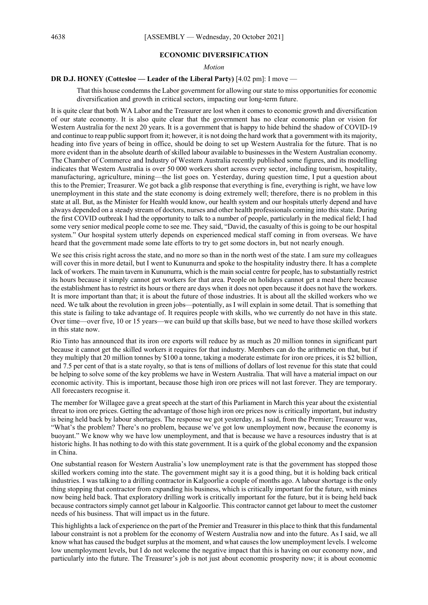#### **ECONOMIC DIVERSIFICATION**

#### *Motion*

#### **DR D.J. HONEY (Cottesloe — Leader of the Liberal Party)** [4.02 pm]: I move —

That this house condemns the Labor government for allowing our state to miss opportunities for economic diversification and growth in critical sectors, impacting our long-term future.

It is quite clear that both WA Labor and the Treasurer are lost when it comes to economic growth and diversification of our state economy. It is also quite clear that the government has no clear economic plan or vision for Western Australia for the next 20 years. It is a government that is happy to hide behind the shadow of COVID-19 and continue to reap public support from it; however, it is not doing the hard work that a government with its majority, heading into five years of being in office, should be doing to set up Western Australia for the future. That is no more evident than in the absolute dearth of skilled labour available to businesses in the Western Australian economy. The Chamber of Commerce and Industry of Western Australia recently published some figures, and its modelling indicates that Western Australia is over 50 000 workers short across every sector, including tourism, hospitality, manufacturing, agriculture, mining—the list goes on. Yesterday, during question time, I put a question about this to the Premier; Treasurer. We got back a glib response that everything is fine, everything is right, we have low unemployment in this state and the state economy is doing extremely well; therefore, there is no problem in this state at all. But, as the Minister for Health would know, our health system and our hospitals utterly depend and have always depended on a steady stream of doctors, nurses and other health professionals coming into this state. During the first COVID outbreak I had the opportunity to talk to a number of people, particularly in the medical field; I had some very senior medical people come to see me. They said, "David, the casualty of this is going to be our hospital system." Our hospital system utterly depends on experienced medical staff coming in from overseas. We have heard that the government made some late efforts to try to get some doctors in, but not nearly enough.

We see this crisis right across the state, and no more so than in the north west of the state. I am sure my colleagues will cover this in more detail, but I went to Kununurra and spoke to the hospitality industry there. It has a complete lack of workers. The main tavern in Kununurra, which is the main social centre for people, has to substantially restrict its hours because it simply cannot get workers for that area. People on holidays cannot get a meal there because the establishment has to restrict its hours or there are days when it does not open because it does not have the workers. It is more important than that; it is about the future of those industries. It is about all the skilled workers who we need. We talk about the revolution in green jobs—potentially, as I will explain in some detail. That is something that this state is failing to take advantage of. It requires people with skills, who we currently do not have in this state. Over time—over five, 10 or 15 years—we can build up that skills base, but we need to have those skilled workers in this state now.

Rio Tinto has announced that its iron ore exports will reduce by as much as 20 million tonnes in significant part because it cannot get the skilled workers it requires for that industry. Members can do the arithmetic on that, but if they multiply that 20 million tonnes by \$100 a tonne, taking a moderate estimate for iron ore prices, it is \$2 billion, and 7.5 per cent of that is a state royalty, so that is tens of millions of dollars of lost revenue for this state that could be helping to solve some of the key problems we have in Western Australia. That will have a material impact on our economic activity. This is important, because those high iron ore prices will not last forever. They are temporary. All forecasters recognise it.

The member for Willagee gave a great speech at the start of this Parliament in March this year about the existential threat to iron ore prices. Getting the advantage of those high iron ore prices now is critically important, but industry is being held back by labour shortages. The response we got yesterday, as I said, from the Premier; Treasurer was, "What's the problem? There's no problem, because we've got low unemployment now, because the economy is buoyant." We know why we have low unemployment, and that is because we have a resources industry that is at historic highs. It has nothing to do with this state government. It is a quirk of the global economy and the expansion in China.

One substantial reason for Western Australia's low unemployment rate is that the government has stopped those skilled workers coming into the state. The government might say it is a good thing, but it is holding back critical industries. I was talking to a drilling contractor in Kalgoorlie a couple of months ago. A labour shortage is the only thing stopping that contractor from expanding his business, which is critically important for the future, with mines now being held back. That exploratory drilling work is critically important for the future, but it is being held back because contractors simply cannot get labour in Kalgoorlie. This contractor cannot get labour to meet the customer needs of his business. That will impact us in the future.

This highlights a lack of experience on the part of the Premier and Treasurer in this place to think that this fundamental labour constraint is not a problem for the economy of Western Australia now and into the future. As I said, we all know what has caused the budget surplus at the moment, and what causes the low unemployment levels. I welcome low unemployment levels, but I do not welcome the negative impact that this is having on our economy now, and particularly into the future. The Treasurer's job is not just about economic prosperity now; it is about economic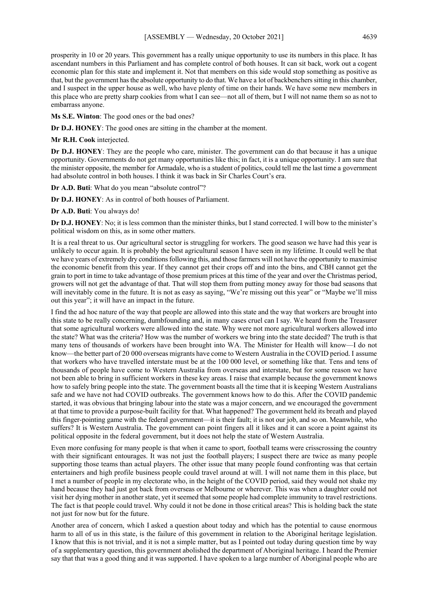prosperity in 10 or 20 years. This government has a really unique opportunity to use its numbers in this place. It has ascendant numbers in this Parliament and has complete control of both houses. It can sit back, work out a cogent economic plan for this state and implement it. Not that members on this side would stop something as positive as that, but the government has the absolute opportunity to do that. We have a lot of backbenchers sitting in this chamber, and I suspect in the upper house as well, who have plenty of time on their hands. We have some new members in this place who are pretty sharp cookies from what I can see—not all of them, but I will not name them so as not to embarrass anyone.

**Ms S.E. Winton**: The good ones or the bad ones?

**Dr D.J. HONEY**: The good ones are sitting in the chamber at the moment.

**Mr R.H. Cook** interjected.

**Dr D.J. HONEY**: They are the people who care, minister. The government can do that because it has a unique opportunity. Governments do not get many opportunities like this; in fact, it is a unique opportunity. I am sure that the minister opposite, the member for Armadale, who is a student of politics, could tell me the last time a government had absolute control in both houses. I think it was back in Sir Charles Court's era.

**Dr A.D. Buti**: What do you mean "absolute control"?

**Dr D.J. HONEY**: As in control of both houses of Parliament.

**Dr A.D. Buti**: You always do!

**Dr D.J. HONEY**: No; it is less common than the minister thinks, but I stand corrected. I will bow to the minister's political wisdom on this, as in some other matters.

It is a real threat to us. Our agricultural sector is struggling for workers. The good season we have had this year is unlikely to occur again. It is probably the best agricultural season I have seen in my lifetime. It could well be that we have years of extremely dry conditions following this, and those farmers will not have the opportunity to maximise the economic benefit from this year. If they cannot get their crops off and into the bins, and CBH cannot get the grain to port in time to take advantage of those premium prices at this time of the year and over the Christmas period, growers will not get the advantage of that. That will stop them from putting money away for those bad seasons that will inevitably come in the future. It is not as easy as saying, "We're missing out this year" or "Maybe we'll miss out this year"; it will have an impact in the future.

I find the ad hoc nature of the way that people are allowed into this state and the way that workers are brought into this state to be really concerning, dumbfounding and, in many cases cruel can I say. We heard from the Treasurer that some agricultural workers were allowed into the state. Why were not more agricultural workers allowed into the state? What was the criteria? How was the number of workers we bring into the state decided? The truth is that many tens of thousands of workers have been brought into WA. The Minister for Health will know—I do not know—the better part of 20 000 overseas migrants have come to Western Australia in the COVID period. I assume that workers who have travelled interstate must be at the 100 000 level, or something like that. Tens and tens of thousands of people have come to Western Australia from overseas and interstate, but for some reason we have not been able to bring in sufficient workers in these key areas. I raise that example because the government knows how to safely bring people into the state. The government boasts all the time that it is keeping Western Australians safe and we have not had COVID outbreaks. The government knows how to do this. After the COVID pandemic started, it was obvious that bringing labour into the state was a major concern, and we encouraged the government at that time to provide a purpose-built facility for that. What happened? The government held its breath and played this finger-pointing game with the federal government—it is their fault; it is not our job, and so on. Meanwhile, who suffers? It is Western Australia. The government can point fingers all it likes and it can score a point against its political opposite in the federal government, but it does not help the state of Western Australia.

Even more confusing for many people is that when it came to sport, football teams were crisscrossing the country with their significant entourages. It was not just the football players; I suspect there are twice as many people supporting those teams than actual players. The other issue that many people found confronting was that certain entertainers and high profile business people could travel around at will. I will not name them in this place, but I met a number of people in my electorate who, in the height of the COVID period, said they would not shake my hand because they had just got back from overseas or Melbourne or wherever. This was when a daughter could not visit her dying mother in another state, yet it seemed that some people had complete immunity to travel restrictions. The fact is that people could travel. Why could it not be done in those critical areas? This is holding back the state not just for now but for the future.

Another area of concern, which I asked a question about today and which has the potential to cause enormous harm to all of us in this state, is the failure of this government in relation to the Aboriginal heritage legislation. I know that this is not trivial, and it is not a simple matter, but as I pointed out today during question time by way of a supplementary question, this government abolished the department of Aboriginal heritage. I heard the Premier say that that was a good thing and it was supported. I have spoken to a large number of Aboriginal people who are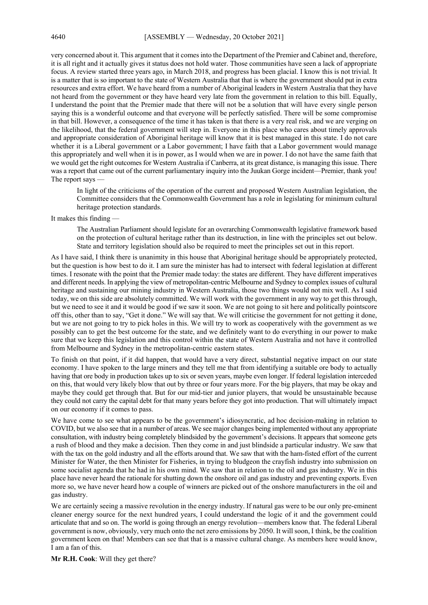very concerned about it. This argument that it comes into the Department of the Premier and Cabinet and, therefore, it is all right and it actually gives it status does not hold water. Those communities have seen a lack of appropriate focus. A review started three years ago, in March 2018, and progress has been glacial. I know this is not trivial. It is a matter that is so important to the state of Western Australia that that is where the government should put in extra resources and extra effort. We have heard from a number of Aboriginal leaders in Western Australia that they have not heard from the government or they have heard very late from the government in relation to this bill. Equally, I understand the point that the Premier made that there will not be a solution that will have every single person saying this is a wonderful outcome and that everyone will be perfectly satisfied. There will be some compromise in that bill. However, a consequence of the time it has taken is that there is a very real risk, and we are verging on the likelihood, that the federal government will step in. Everyone in this place who cares about timely approvals and appropriate consideration of Aboriginal heritage will know that it is best managed in this state. I do not care whether it is a Liberal government or a Labor government; I have faith that a Labor government would manage this appropriately and well when it is in power, as I would when we are in power. I do not have the same faith that we would get the right outcomes for Western Australia if Canberra, at its great distance, is managing this issue. There was a report that came out of the current parliamentary inquiry into the Juukan Gorge incident—Premier, thank you! The report says —

In light of the criticisms of the operation of the current and proposed Western Australian legislation, the Committee considers that the Commonwealth Government has a role in legislating for minimum cultural heritage protection standards.

It makes this finding —

The Australian Parliament should legislate for an overarching Commonwealth legislative framework based on the protection of cultural heritage rather than its destruction, in line with the principles set out below. State and territory legislation should also be required to meet the principles set out in this report.

As I have said, I think there is unanimity in this house that Aboriginal heritage should be appropriately protected, but the question is how best to do it. I am sure the minister has had to intersect with federal legislation at different times. I resonate with the point that the Premier made today: the states are different. They have different imperatives and different needs. In applying the view of metropolitan-centric Melbourne and Sydney to complex issues of cultural heritage and sustaining our mining industry in Western Australia, those two things would not mix well. As I said today, we on this side are absolutely committed. We will work with the government in any way to get this through, but we need to see it and it would be good if we saw it soon. We are not going to sit here and politically pointscore off this, other than to say, "Get it done." We will say that. We will criticise the government for not getting it done, but we are not going to try to pick holes in this. We will try to work as cooperatively with the government as we possibly can to get the best outcome for the state, and we definitely want to do everything in our power to make sure that we keep this legislation and this control within the state of Western Australia and not have it controlled from Melbourne and Sydney in the metropolitan-centric eastern states.

To finish on that point, if it did happen, that would have a very direct, substantial negative impact on our state economy. I have spoken to the large miners and they tell me that from identifying a suitable ore body to actually having that ore body in production takes up to six or seven years, maybe even longer. If federal legislation interceded on this, that would very likely blow that out by three or four years more. For the big players, that may be okay and maybe they could get through that. But for our mid-tier and junior players, that would be unsustainable because they could not carry the capital debt for that many years before they got into production. That will ultimately impact on our economy if it comes to pass.

We have come to see what appears to be the government's idiosyncratic, ad hoc decision-making in relation to COVID, but we also see that in a number of areas. We see major changes being implemented without any appropriate consultation, with industry being completely blindsided by the government's decisions. It appears that someone gets a rush of blood and they make a decision. Then they come in and just blindside a particular industry. We saw that with the tax on the gold industry and all the efforts around that. We saw that with the ham-fisted effort of the current Minister for Water, the then Minister for Fisheries, in trying to bludgeon the crayfish industry into submission on some socialist agenda that he had in his own mind. We saw that in relation to the oil and gas industry. We in this place have never heard the rationale for shutting down the onshore oil and gas industry and preventing exports. Even more so, we have never heard how a couple of winners are picked out of the onshore manufacturers in the oil and gas industry.

We are certainly seeing a massive revolution in the energy industry. If natural gas were to be our only pre-eminent cleaner energy source for the next hundred years, I could understand the logic of it and the government could articulate that and so on. The world is going through an energy revolution—members know that. The federal Liberal government is now, obviously, very much onto the net zero emissions by 2050. It will soon, I think, be the coalition government keen on that! Members can see that that is a massive cultural change. As members here would know, I am a fan of this.

**Mr R.H. Cook**: Will they get there?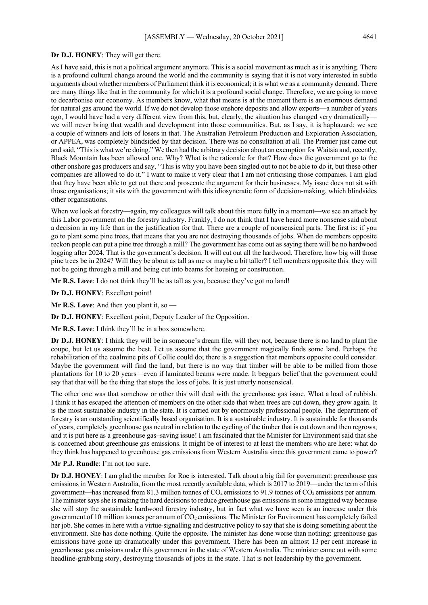#### **Dr D.J. HONEY**: They will get there.

As I have said, this is not a political argument anymore. This is a social movement as much as it is anything. There is a profound cultural change around the world and the community is saying that it is not very interested in subtle arguments about whether members of Parliament think it is economical; it is what we as a community demand. There are many things like that in the community for which it is a profound social change. Therefore, we are going to move to decarbonise our economy. As members know, what that means is at the moment there is an enormous demand for natural gas around the world. If we do not develop those onshore deposits and allow exports—a number of years ago, I would have had a very different view from this, but, clearly, the situation has changed very dramatically we will never bring that wealth and development into those communities. But, as I say, it is haphazard; we see a couple of winners and lots of losers in that. The Australian Petroleum Production and Exploration Association, or APPEA, was completely blindsided by that decision. There was no consultation at all. The Premier just came out and said, "This is what we're doing." We then had the arbitrary decision about an exemption for Waitsia and, recently, Black Mountain has been allowed one. Why? What is the rationale for that? How does the government go to the other onshore gas producers and say, "This is why you have been singled out to not be able to do it, but these other companies are allowed to do it." I want to make it very clear that I am not criticising those companies. I am glad that they have been able to get out there and prosecute the argument for their businesses. My issue does not sit with those organisations; it sits with the government with this idiosyncratic form of decision-making, which blindsides other organisations.

When we look at forestry—again, my colleagues will talk about this more fully in a moment—we see an attack by this Labor government on the forestry industry. Frankly, I do not think that I have heard more nonsense said about a decision in my life than in the justification for that. There are a couple of nonsensical parts. The first is: if you go to plant some pine trees, that means that you are not destroying thousands of jobs. When do members opposite reckon people can put a pine tree through a mill? The government has come out as saying there will be no hardwood logging after 2024. That is the government's decision. It will cut out all the hardwood. Therefore, how big will those pine trees be in 2024? Will they be about as tall as me or maybe a bit taller? I tell members opposite this: they will not be going through a mill and being cut into beams for housing or construction.

**Mr R.S. Love**: I do not think they'll be as tall as you, because they've got no land!

**Dr D.J. HONEY**: Excellent point!

**Mr R.S. Love**: And then you plant it, so —

**Dr D.J. HONEY**: Excellent point, Deputy Leader of the Opposition.

**Mr R.S. Love**: I think they'll be in a box somewhere.

**Dr D.J. HONEY**: I think they will be in someone's dream file, will they not, because there is no land to plant the coupe, but let us assume the best. Let us assume that the government magically finds some land. Perhaps the rehabilitation of the coalmine pits of Collie could do; there is a suggestion that members opposite could consider. Maybe the government will find the land, but there is no way that timber will be able to be milled from those plantations for 10 to 20 years—even if laminated beams were made. It beggars belief that the government could say that that will be the thing that stops the loss of jobs. It is just utterly nonsensical.

The other one was that somehow or other this will deal with the greenhouse gas issue. What a load of rubbish. I think it has escaped the attention of members on the other side that when trees are cut down, they grow again. It is the most sustainable industry in the state. It is carried out by enormously professional people. The department of forestry is an outstanding scientifically based organisation. It is a sustainable industry. It is sustainable for thousands of years, completely greenhouse gas neutral in relation to the cycling of the timber that is cut down and then regrows, and it is put here as a greenhouse gas–saving issue! I am fascinated that the Minister for Environment said that she is concerned about greenhouse gas emissions. It might be of interest to at least the members who are here: what do they think has happened to greenhouse gas emissions from Western Australia since this government came to power?

**Mr P.J. Rundle**: I'm not too sure.

**Dr D.J. HONEY**: I am glad the member for Roe is interested. Talk about a big fail for government: greenhouse gas emissions in Western Australia, from the most recently available data, which is 2017 to 2019—under the term of this government—has increased from 81.3 million tonnes of  $CO<sub>2</sub>$  emissions to 91.9 tonnes of  $CO<sub>2</sub>$  emissions per annum. The minister says she is making the hard decisions to reduce greenhouse gas emissions in some imagined way because she will stop the sustainable hardwood forestry industry, but in fact what we have seen is an increase under this government of 10 million tonnes per annum of  $CO<sub>2</sub>$  emissions. The Minister for Environment has completely failed her job. She comes in here with a virtue-signalling and destructive policy to say that she is doing something about the environment. She has done nothing. Quite the opposite. The minister has done worse than nothing: greenhouse gas emissions have gone up dramatically under this government. There has been an almost 13 per cent increase in greenhouse gas emissions under this government in the state of Western Australia. The minister came out with some headline-grabbing story, destroying thousands of jobs in the state. That is not leadership by the government.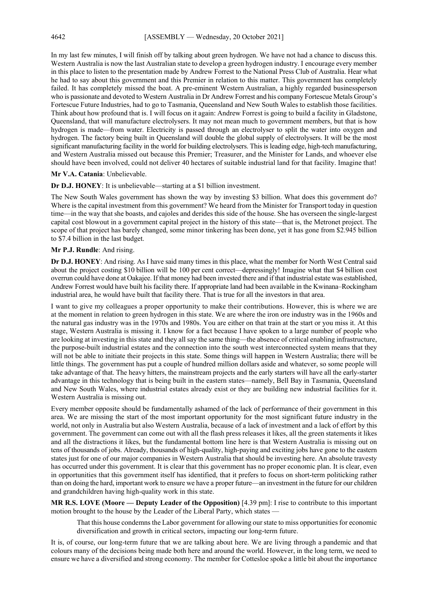In my last few minutes, I will finish off by talking about green hydrogen. We have not had a chance to discuss this. Western Australia is now the last Australian state to develop a green hydrogen industry. I encourage every member in this place to listen to the presentation made by Andrew Forrest to the National Press Club of Australia. Hear what he had to say about this government and this Premier in relation to this matter. This government has completely failed. It has completely missed the boat. A pre-eminent Western Australian, a highly regarded businessperson who is passionate and devoted to Western Australia in Dr Andrew Forrest and his company Fortescue Metals Group's Fortescue Future Industries, had to go to Tasmania, Queensland and New South Wales to establish those facilities. Think about how profound that is. I will focus on it again: Andrew Forrest is going to build a facility in Gladstone, Queensland, that will manufacture electrolysers. It may not mean much to government members, but that is how hydrogen is made—from water. Electricity is passed through an electrolyser to split the water into oxygen and hydrogen. The factory being built in Queensland will double the global supply of electrolysers. It will be the most significant manufacturing facility in the world for building electrolysers. This is leading edge, high-tech manufacturing, and Western Australia missed out because this Premier; Treasurer, and the Minister for Lands, and whoever else should have been involved, could not deliver 40 hectares of suitable industrial land for that facility. Imagine that!

## **Mr V.A. Catania**: Unbelievable.

**Dr D.J. HONEY**: It is unbelievable—starting at a \$1 billion investment.

The New South Wales government has shown the way by investing \$3 billion. What does this government do? Where is the capital investment from this government? We heard from the Minister for Transport today in question time—in the way that she boasts, and cajoles and derides this side of the house. She has overseen the single-largest capital cost blowout in a government capital project in the history of this state—that is, the Metronet project. The scope of that project has barely changed, some minor tinkering has been done, yet it has gone from \$2.945 billion to \$7.4 billion in the last budget.

#### **Mr P.J. Rundle**: And rising.

**Dr D.J. HONEY**: And rising. As I have said many times in this place, what the member for North West Central said about the project costing \$10 billion will be 100 per cent correct—depressingly! Imagine what that \$4 billion cost overrun could have done at Oakajee. If that money had been invested there and if that industrial estate was established, Andrew Forrest would have built his facility there. If appropriate land had been available in the Kwinana–Rockingham industrial area, he would have built that facility there. That is true for all the investors in that area.

I want to give my colleagues a proper opportunity to make their contributions. However, this is where we are at the moment in relation to green hydrogen in this state. We are where the iron ore industry was in the 1960s and the natural gas industry was in the 1970s and 1980s. You are either on that train at the start or you miss it. At this stage, Western Australia is missing it. I know for a fact because I have spoken to a large number of people who are looking at investing in this state and they all say the same thing—the absence of critical enabling infrastructure, the purpose-built industrial estates and the connection into the south west interconnected system means that they will not be able to initiate their projects in this state. Some things will happen in Western Australia; there will be little things. The government has put a couple of hundred million dollars aside and whatever, so some people will take advantage of that. The heavy hitters, the mainstream projects and the early starters will have all the early-starter advantage in this technology that is being built in the eastern states—namely, Bell Bay in Tasmania, Queensland and New South Wales, where industrial estates already exist or they are building new industrial facilities for it. Western Australia is missing out.

Every member opposite should be fundamentally ashamed of the lack of performance of their government in this area. We are missing the start of the most important opportunity for the most significant future industry in the world, not only in Australia but also Western Australia, because of a lack of investment and a lack of effort by this government. The government can come out with all the flash press releases it likes, all the green statements it likes and all the distractions it likes, but the fundamental bottom line here is that Western Australia is missing out on tens of thousands of jobs. Already, thousands of high-quality, high-paying and exciting jobs have gone to the eastern states just for one of our major companies in Western Australia that should be investing here. An absolute travesty has occurred under this government. It is clear that this government has no proper economic plan. It is clear, even in opportunities that this government itself has identified, that it prefers to focus on short-term politicking rather than on doing the hard, important work to ensure we have a proper future—an investment in the future for our children and grandchildren having high-quality work in this state.

**MR R.S. LOVE (Moore — Deputy Leader of the Opposition)** [4.39 pm]: I rise to contribute to this important motion brought to the house by the Leader of the Liberal Party, which states —

That this house condemns the Labor government for allowing our state to miss opportunities for economic diversification and growth in critical sectors, impacting our long-term future.

It is, of course, our long-term future that we are talking about here. We are living through a pandemic and that colours many of the decisions being made both here and around the world. However, in the long term, we need to ensure we have a diversified and strong economy. The member for Cottesloe spoke a little bit about the importance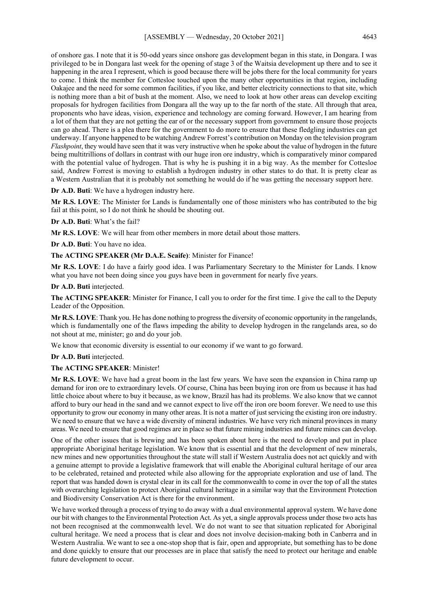of onshore gas. I note that it is 50-odd years since onshore gas development began in this state, in Dongara. I was privileged to be in Dongara last week for the opening of stage 3 of the Waitsia development up there and to see it happening in the area I represent, which is good because there will be jobs there for the local community for years to come. I think the member for Cottesloe touched upon the many other opportunities in that region, including Oakajee and the need for some common facilities, if you like, and better electricity connections to that site, which is nothing more than a bit of bush at the moment. Also, we need to look at how other areas can develop exciting proposals for hydrogen facilities from Dongara all the way up to the far north of the state. All through that area, proponents who have ideas, vision, experience and technology are coming forward. However, I am hearing from a lot of them that they are not getting the ear of or the necessary support from government to ensure those projects can go ahead. There is a plea there for the government to do more to ensure that these fledgling industries can get underway. If anyone happened to be watching Andrew Forrest's contribution on Monday on the television program *Flashpoint*, they would have seen that it was very instructive when he spoke about the value of hydrogen in the future being multitrillions of dollars in contrast with our huge iron ore industry, which is comparatively minor compared with the potential value of hydrogen. That is why he is pushing it in a big way. As the member for Cottesloe said, Andrew Forrest is moving to establish a hydrogen industry in other states to do that. It is pretty clear as a Western Australian that it is probably not something he would do if he was getting the necessary support here.

**Dr A.D. Buti**: We have a hydrogen industry here.

**Mr R.S. LOVE**: The Minister for Lands is fundamentally one of those ministers who has contributed to the big fail at this point, so I do not think he should be shouting out.

**Dr A.D. Buti**: What's the fail?

**Mr R.S. LOVE**: We will hear from other members in more detail about those matters.

**Dr A.D. Buti**: You have no idea.

**The ACTING SPEAKER (Mr D.A.E. Scaife)**: Minister for Finance!

**Mr R.S. LOVE**: I do have a fairly good idea. I was Parliamentary Secretary to the Minister for Lands. I know what you have not been doing since you guys have been in government for nearly five years.

**Dr A.D. Buti** interjected.

**The ACTING SPEAKER**: Minister for Finance, I call you to order for the first time. I give the call to the Deputy Leader of the Opposition.

**Mr R.S. LOVE**: Thank you. He has done nothing to progress the diversity of economic opportunity in the rangelands, which is fundamentally one of the flaws impeding the ability to develop hydrogen in the rangelands area, so do not shout at me, minister; go and do your job.

We know that economic diversity is essential to our economy if we want to go forward.

**Dr A.D. Buti** interjected.

#### **The ACTING SPEAKER**: Minister!

**Mr R.S. LOVE**: We have had a great boom in the last few years. We have seen the expansion in China ramp up demand for iron ore to extraordinary levels. Of course, China has been buying iron ore from us because it has had little choice about where to buy it because, as we know, Brazil has had its problems. We also know that we cannot afford to bury our head in the sand and we cannot expect to live off the iron ore boom forever. We need to use this opportunity to grow our economy in many other areas. It is not a matter of just servicing the existing iron ore industry. We need to ensure that we have a wide diversity of mineral industries. We have very rich mineral provinces in many areas. We need to ensure that good regimes are in place so that future mining industries and future mines can develop.

One of the other issues that is brewing and has been spoken about here is the need to develop and put in place appropriate Aboriginal heritage legislation. We know that is essential and that the development of new minerals, new mines and new opportunities throughout the state will stall if Western Australia does not act quickly and with a genuine attempt to provide a legislative framework that will enable the Aboriginal cultural heritage of our area to be celebrated, retained and protected while also allowing for the appropriate exploration and use of land. The report that was handed down is crystal clear in its call for the commonwealth to come in over the top of all the states with overarching legislation to protect Aboriginal cultural heritage in a similar way that the Environment Protection and Biodiversity Conservation Act is there for the environment.

We have worked through a process of trying to do away with a dual environmental approval system. We have done our bit with changes to the Environmental Protection Act. As yet, a single approvals process under those two acts has not been recognised at the commonwealth level. We do not want to see that situation replicated for Aboriginal cultural heritage. We need a process that is clear and does not involve decision-making both in Canberra and in Western Australia. We want to see a one-stop shop that is fair, open and appropriate, but something has to be done and done quickly to ensure that our processes are in place that satisfy the need to protect our heritage and enable future development to occur.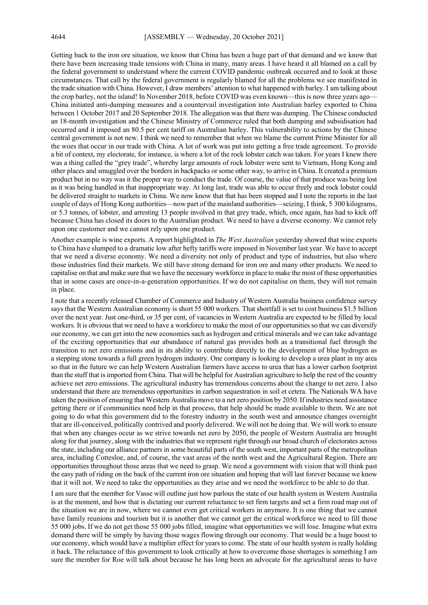Getting back to the iron ore situation, we know that China has been a huge part of that demand and we know that there have been increasing trade tensions with China in many, many areas. I have heard it all blamed on a call by the federal government to understand where the current COVID pandemic outbreak occurred and to look at those circumstances. That call by the federal government is regularly blamed for all the problems we see manifested in the trade situation with China. However, I draw members' attention to what happened with barley. I am talking about the crop barley, not the island! In November 2018, before COVID was even known—this is now three years ago— China initiated anti-dumping measures and a countervail investigation into Australian barley exported to China between 1 October 2017 and 20 September 2018. The allegation was that there was dumping. The Chinese conducted an 18-month investigation and the Chinese Ministry of Commerce ruled that both dumping and subsidisation had occurred and it imposed an 80.5 per cent tariff on Australian barley. This vulnerability to actions by the Chinese central government is not new. I think we need to remember that when we blame the current Prime Minister for all the woes that occur in our trade with China. A lot of work was put into getting a free trade agreement. To provide a bit of context, my electorate, for instance, is where a lot of the rock lobster catch was taken. For years I knew there was a thing called the "grey trade", whereby large amounts of rock lobster were sent to Vietnam, Hong Kong and other places and smuggled over the borders in backpacks or some other way, to arrive in China. It created a premium product but in no way was it the proper way to conduct the trade. Of course, the value of that produce was being lost as it was being handled in that inappropriate way. At long last, trade was able to occur freely and rock lobster could be delivered straight to markets in China. We now know that that has been stopped and I note the reports in the last couple of days of Hong Kong authorities—now part of the mainland authorities—seizing, I think, 5 300 kilograms, or 5.3 tonnes, of lobster, and arresting 13 people involved in that grey trade, which, once again, has had to kick off because China has closed its doors to the Australian product. We need to have a diverse economy. We cannot rely upon one customer and we cannot rely upon one product.

Another example is wine exports. A report highlighted in *The West Australian* yesterday showed that wine exports to China have slumped to a dramatic low after hefty tariffs were imposed in November last year. We have to accept that we need a diverse economy. We need a diversity not only of product and type of industries, but also where those industries find their markets. We still have strong demand for iron ore and many other products. We need to capitalise on that and make sure that we have the necessary workforce in place to make the most of these opportunities that in some cases are once-in-a-generation opportunities. If we do not capitalise on them, they will not remain in place.

I note that a recently released Chamber of Commerce and Industry of Western Australia business confidence survey says that the Western Australian economy is short 55 000 workers. That shortfall is set to cost business \$1.5 billion over the next year. Just one-third, or 35 per cent, of vacancies in Western Australia are expected to be filled by local workers. It is obvious that we need to have a workforce to make the most of our opportunities so that we can diversify our economy, we can get into the new economies such as hydrogen and critical minerals and we can take advantage of the exciting opportunities that our abundance of natural gas provides both as a transitional fuel through the transition to net zero emissions and in its ability to contribute directly to the development of blue hydrogen as a stepping stone towards a full green hydrogen industry. One company is looking to develop a urea plant in my area so that in the future we can help Western Australian farmers have access to urea that has a lower carbon footprint than the stuff that is imported from China. That will be helpful for Australian agriculture to help the rest of the country achieve net zero emissions. The agricultural industry has tremendous concerns about the change to net zero. I also understand that there are tremendous opportunities in carbon sequestration in soil et cetera. The Nationals WA have taken the position of ensuring that Western Australia move to a net zero position by 2050. If industries need assistance getting there or if communities need help in that process, that help should be made available to them. We are not going to do what this government did to the forestry industry in the south west and announce changes overnight that are ill-conceived, politically contrived and poorly delivered. We will not be doing that. We will work to ensure that when any changes occur as we strive towards net zero by 2050, the people of Western Australia are brought along for that journey, along with the industries that we represent right through our broad church of electorates across the state, including our alliance partners in some beautiful parts of the south west, important parts of the metropolitan area, including Cottesloe, and, of course, the vast areas of the north west and the Agricultural Region. There are opportunities throughout those areas that we need to grasp. We need a government with vision that will think past the easy path of riding on the back of the current iron ore situation and hoping that will last forever because we know that it will not. We need to take the opportunities as they arise and we need the workforce to be able to do that.

I am sure that the member for Vasse will outline just how parlous the state of our health system in Western Australia is at the moment, and how that is dictating our current reluctance to set firm targets and set a firm road map out of the situation we are in now, where we cannot even get critical workers in anymore. It is one thing that we cannot have family reunions and tourism but it is another that we cannot get the critical workforce we need to fill those 55 000 jobs. If we do not get those 55 000 jobs filled, imagine what opportunities we will lose. Imagine what extra demand there will be simply by having those wages flowing through our economy. That would be a huge boost to our economy, which would have a multiplier effect for years to come. The state of our health system is really holding it back. The reluctance of this government to look critically at how to overcome those shortages is something I am sure the member for Roe will talk about because he has long been an advocate for the agricultural areas to have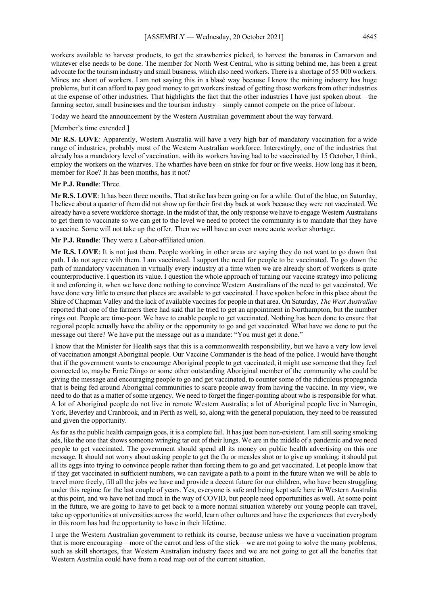workers available to harvest products, to get the strawberries picked, to harvest the bananas in Carnarvon and whatever else needs to be done. The member for North West Central, who is sitting behind me, has been a great advocate for the tourism industry and small business, which also need workers. There is a shortage of 55 000 workers. Mines are short of workers. I am not saying this in a blasé way because I know the mining industry has huge problems, but it can afford to pay good money to get workers instead of getting those workers from other industries at the expense of other industries. That highlights the fact that the other industries I have just spoken about—the farming sector, small businesses and the tourism industry—simply cannot compete on the price of labour.

Today we heard the announcement by the Western Australian government about the way forward.

#### [Member's time extended.]

**Mr R.S. LOVE**: Apparently, Western Australia will have a very high bar of mandatory vaccination for a wide range of industries, probably most of the Western Australian workforce. Interestingly, one of the industries that already has a mandatory level of vaccination, with its workers having had to be vaccinated by 15 October, I think, employ the workers on the wharves. The wharfies have been on strike for four or five weeks. How long has it been, member for Roe? It has been months, has it not?

#### **Mr P.J. Rundle**: Three.

**Mr R.S. LOVE**: It has been three months. That strike has been going on for a while. Out of the blue, on Saturday, I believe about a quarter of them did not show up for their first day back at work because they were not vaccinated. We already have a severe workforce shortage. In the midst of that, the only response we have to engage Western Australians to get them to vaccinate so we can get to the level we need to protect the community is to mandate that they have a vaccine. Some will not take up the offer. Then we will have an even more acute worker shortage.

**Mr P.J. Rundle**: They were a Labor-affiliated union.

**Mr R.S. LOVE**: It is not just them. People working in other areas are saying they do not want to go down that path. I do not agree with them. I am vaccinated. I support the need for people to be vaccinated. To go down the path of mandatory vaccination in virtually every industry at a time when we are already short of workers is quite counterproductive. I question its value. I question the whole approach of turning our vaccine strategy into policing it and enforcing it, when we have done nothing to convince Western Australians of the need to get vaccinated. We have done very little to ensure that places are available to get vaccinated. I have spoken before in this place about the Shire of Chapman Valley and the lack of available vaccines for people in that area. On Saturday, *The West Australian* reported that one of the farmers there had said that he tried to get an appointment in Northampton, but the number rings out. People are time-poor. We have to enable people to get vaccinated. Nothing has been done to ensure that regional people actually have the ability or the opportunity to go and get vaccinated. What have we done to put the message out there? We have put the message out as a mandate: "You must get it done."

I know that the Minister for Health says that this is a commonwealth responsibility, but we have a very low level of vaccination amongst Aboriginal people. Our Vaccine Commander is the head of the police. I would have thought that if the government wants to encourage Aboriginal people to get vaccinated, it might use someone that they feel connected to, maybe Ernie Dingo or some other outstanding Aboriginal member of the community who could be giving the message and encouraging people to go and get vaccinated, to counter some of the ridiculous propaganda that is being fed around Aboriginal communities to scare people away from having the vaccine. In my view, we need to do that as a matter of some urgency. We need to forget the finger-pointing about who is responsible for what. A lot of Aboriginal people do not live in remote Western Australia; a lot of Aboriginal people live in Narrogin, York, Beverley and Cranbrook, and in Perth as well, so, along with the general population, they need to be reassured and given the opportunity.

As far as the public health campaign goes, it is a complete fail. It has just been non-existent. I am still seeing smoking ads, like the one that shows someone wringing tar out of their lungs. We are in the middle of a pandemic and we need people to get vaccinated. The government should spend all its money on public health advertising on this one message. It should not worry about asking people to get the flu or measles shot or to give up smoking; it should put all its eggs into trying to convince people rather than forcing them to go and get vaccinated. Let people know that if they get vaccinated in sufficient numbers, we can navigate a path to a point in the future when we will be able to travel more freely, fill all the jobs we have and provide a decent future for our children, who have been struggling under this regime for the last couple of years. Yes, everyone is safe and being kept safe here in Western Australia at this point, and we have not had much in the way of COVID, but people need opportunities as well. At some point in the future, we are going to have to get back to a more normal situation whereby our young people can travel, take up opportunities at universities across the world, learn other cultures and have the experiences that everybody in this room has had the opportunity to have in their lifetime.

I urge the Western Australian government to rethink its course, because unless we have a vaccination program that is more encouraging—more of the carrot and less of the stick—we are not going to solve the many problems, such as skill shortages, that Western Australian industry faces and we are not going to get all the benefits that Western Australia could have from a road map out of the current situation.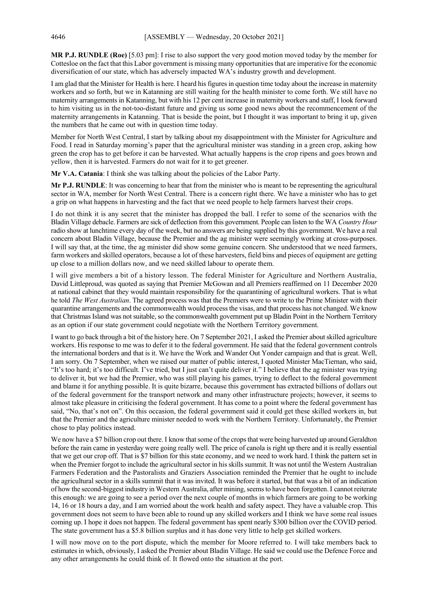**MR P.J. RUNDLE (Roe)** [5.03 pm]: I rise to also support the very good motion moved today by the member for Cottesloe on the fact that this Labor government is missing many opportunities that are imperative for the economic diversification of our state, which has adversely impacted WA's industry growth and development.

I am glad that the Minister for Health is here. I heard his figures in question time today about the increase in maternity workers and so forth, but we in Katanning are still waiting for the health minister to come forth. We still have no maternity arrangements in Katanning, but with his 12 per cent increase in maternity workers and staff, I look forward to him visiting us in the not-too-distant future and giving us some good news about the recommencement of the maternity arrangements in Katanning. That is beside the point, but I thought it was important to bring it up, given the numbers that he came out with in question time today.

Member for North West Central, I start by talking about my disappointment with the Minister for Agriculture and Food. I read in Saturday morning's paper that the agricultural minister was standing in a green crop, asking how green the crop has to get before it can be harvested. What actually happens is the crop ripens and goes brown and yellow, then it is harvested. Farmers do not wait for it to get greener.

**Mr V.A. Catania**: I think she was talking about the policies of the Labor Party.

**Mr P.J. RUNDLE**: It was concerning to hear that from the minister who is meant to be representing the agricultural sector in WA, member for North West Central. There is a concern right there. We have a minister who has to get a grip on what happens in harvesting and the fact that we need people to help farmers harvest their crops.

I do not think it is any secret that the minister has dropped the ball. I refer to some of the scenarios with the Bladin Village debacle. Farmers are sick of deflection from this government. People can listen to the WA *Country Hour* radio show at lunchtime every day of the week, but no answers are being supplied by this government. We have a real concern about Bladin Village, because the Premier and the ag minister were seemingly working at cross-purposes. I will say that, at the time, the ag minister did show some genuine concern. She understood that we need farmers, farm workers and skilled operators, because a lot of these harvesters, field bins and pieces of equipment are getting up close to a million dollars now, and we need skilled labour to operate them.

I will give members a bit of a history lesson. The federal Minister for Agriculture and Northern Australia, David Littleproud, was quoted as saying that Premier McGowan and all Premiers reaffirmed on 11 December 2020 at national cabinet that they would maintain responsibility for the quarantining of agricultural workers. That is what he told *The West Australian*. The agreed process was that the Premiers were to write to the Prime Minister with their quarantine arrangements and the commonwealth would process the visas, and that process has not changed. We know that Christmas Island was not suitable, so the commonwealth government put up Bladin Point in the Northern Territory as an option if our state government could negotiate with the Northern Territory government.

I want to go back through a bit of the history here. On 7 September 2021, I asked the Premier about skilled agriculture workers. His response to me was to defer it to the federal government. He said that the federal government controls the international borders and that is it. We have the Work and Wander Out Yonder campaign and that is great. Well, I am sorry. On 7 September, when we raised our matter of public interest, I quoted Minister MacTiernan, who said, "It's too hard; it's too difficult. I've tried, but I just can't quite deliver it." I believe that the ag minister was trying to deliver it, but we had the Premier, who was still playing his games, trying to deflect to the federal government and blame it for anything possible. It is quite bizarre, because this government has extracted billions of dollars out of the federal government for the transport network and many other infrastructure projects; however, it seems to almost take pleasure in criticising the federal government. It has come to a point where the federal government has said, "No, that's not on". On this occasion, the federal government said it could get these skilled workers in, but that the Premier and the agriculture minister needed to work with the Northern Territory. Unfortunately, the Premier chose to play politics instead.

We now have a \$7 billion crop out there. I know that some of the crops that were being harvested up around Geraldton before the rain came in yesterday were going really well. The price of canola is right up there and it is really essential that we get our crop off. That is \$7 billion for this state economy, and we need to work hard. I think the pattern set in when the Premier forgot to include the agricultural sector in his skills summit. It was not until the Western Australian Farmers Federation and the Pastoralists and Graziers Association reminded the Premier that he ought to include the agricultural sector in a skills summit that it was invited. It was before it started, but that was a bit of an indication of how the second-biggest industry in Western Australia, after mining, seems to have been forgotten. I cannot reiterate this enough: we are going to see a period over the next couple of months in which farmers are going to be working 14, 16 or 18 hours a day, and I am worried about the work health and safety aspect. They have a valuable crop. This government does not seem to have been able to round up any skilled workers and I think we have some real issues coming up. I hope it does not happen. The federal government has spent nearly \$300 billion over the COVID period. The state government has a \$5.8 billion surplus and it has done very little to help get skilled workers.

I will now move on to the port dispute, which the member for Moore referred to. I will take members back to estimates in which, obviously, I asked the Premier about Bladin Village. He said we could use the Defence Force and any other arrangements he could think of. It flowed onto the situation at the port.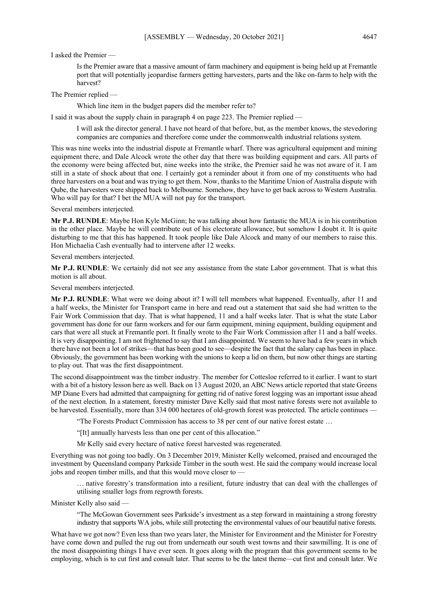I asked the Premier —

Is the Premier aware that a massive amount of farm machinery and equipment is being held up at Fremantle port that will potentially jeopardise farmers getting harvesters, parts and the like on-farm to help with the harvest?

The Premier replied —

Which line item in the budget papers did the member refer to?

I said it was about the supply chain in paragraph 4 on page 223. The Premier replied —

I will ask the director general. I have not heard of that before, but, as the member knows, the stevedoring companies are companies and therefore come under the commonwealth industrial relations system.

This was nine weeks into the industrial dispute at Fremantle wharf. There was agricultural equipment and mining equipment there, and Dale Alcock wrote the other day that there was building equipment and cars. All parts of the economy were being affected but, nine weeks into the strike, the Premier said he was not aware of it. I am still in a state of shock about that one. I certainly got a reminder about it from one of my constituents who had three harvesters on a boat and was trying to get them. Now, thanks to the Maritime Union of Australia dispute with Qube, the harvesters were shipped back to Melbourne. Somehow, they have to get back across to Western Australia. Who will pay for that? I bet the MUA will not pay for the transport.

Several members interjected.

**Mr P.J. RUNDLE**: Maybe Hon Kyle McGinn; he was talking about how fantastic the MUA is in his contribution in the other place. Maybe he will contribute out of his electorate allowance, but somehow I doubt it. It is quite disturbing to me that this has happened. It took people like Dale Alcock and many of our members to raise this. Hon Michaelia Cash eventually had to intervene after 12 weeks.

Several members interjected.

**Mr P.J. RUNDLE**: We certainly did not see any assistance from the state Labor government. That is what this motion is all about.

Several members interjected.

**Mr P.J. RUNDLE**: What were we doing about it? I will tell members what happened. Eventually, after 11 and a half weeks, the Minister for Transport came in here and read out a statement that said she had written to the Fair Work Commission that day. That is what happened, 11 and a half weeks later. That is what the state Labor government has done for our farm workers and for our farm equipment, mining equipment, building equipment and cars that were all stuck at Fremantle port. It finally wrote to the Fair Work Commission after 11 and a half weeks. It is very disappointing. I am not frightened to say that I am disappointed. We seem to have had a few years in which there have not been a lot of strikes—that has been good to see—despite the fact that the salary cap has been in place. Obviously, the government has been working with the unions to keep a lid on them, but now other things are starting to play out. That was the first disappointment.

The second disappointment was the timber industry. The member for Cottesloe referred to it earlier. I want to start with a bit of a history lesson here as well. Back on 13 August 2020, an ABC News article reported that state Greens MP Diane Evers had admitted that campaigning for getting rid of native forest logging was an important issue ahead of the next election. In a statement, forestry minister Dave Kelly said that most native forests were not available to be harvested. Essentially, more than 334 000 hectares of old-growth forest was protected. The article continues

"The Forests Product Commission has access to 38 per cent of our native forest estate …

"[It] annually harvests less than one per cent of this allocation."

Mr Kelly said every hectare of native forest harvested was regenerated.

Everything was not going too badly. On 3 December 2019, Minister Kelly welcomed, praised and encouraged the investment by Queensland company Parkside Timber in the south west. He said the company would increase local jobs and reopen timber mills, and that this would move closer to —

… native forestry's transformation into a resilient, future industry that can deal with the challenges of utilising smaller logs from regrowth forests.

Minister Kelly also said —

"The McGowan Government sees Parkside's investment as a step forward in maintaining a strong forestry industry that supports WA jobs, while still protecting the environmental values of our beautiful native forests.

What have we got now? Even less than two years later, the Minister for Environment and the Minister for Forestry have come down and pulled the rug out from underneath our south west towns and their sawmilling. It is one of the most disappointing things I have ever seen. It goes along with the program that this government seems to be employing, which is to cut first and consult later. That seems to be the latest theme—cut first and consult later. We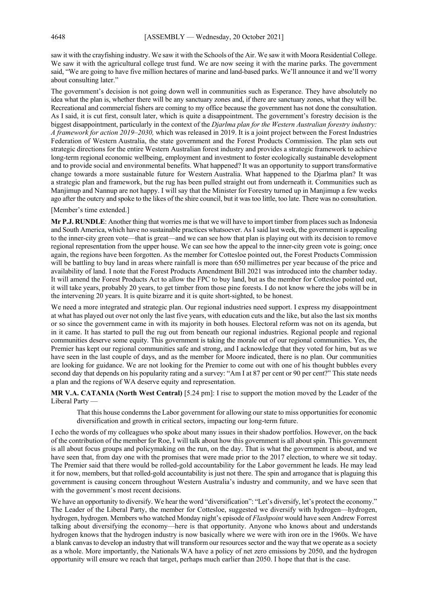saw it with the crayfishing industry. We saw it with the Schools of the Air. We saw it with Moora Residential College. We saw it with the agricultural college trust fund. We are now seeing it with the marine parks. The government said, "We are going to have five million hectares of marine and land-based parks. We'll announce it and we'll worry about consulting later."

The government's decision is not going down well in communities such as Esperance. They have absolutely no idea what the plan is, whether there will be any sanctuary zones and, if there are sanctuary zones, what they will be. Recreational and commercial fishers are coming to my office because the government has not done the consultation. As I said, it is cut first, consult later, which is quite a disappointment. The government's forestry decision is the biggest disappointment, particularly in the context of the *Djarlma plan for the Western Australian forestry industry: A framework for action 2019–2030,* which was released in 2019. It is a joint project between the Forest Industries Federation of Western Australia, the state government and the Forest Products Commission. The plan sets out strategic directions for the entire Western Australian forest industry and provides a strategic framework to achieve long-term regional economic wellbeing, employment and investment to foster ecologically sustainable development and to provide social and environmental benefits. What happened? It was an opportunity to support transformative change towards a more sustainable future for Western Australia. What happened to the Djarlma plan? It was a strategic plan and framework, but the rug has been pulled straight out from underneath it. Communities such as Manjimup and Nannup are not happy. I will say that the Minister for Forestry turned up in Manjimup a few weeks ago after the outcry and spoke to the likes of the shire council, but it was too little, too late. There was no consultation.

#### [Member's time extended.]

**Mr P.J. RUNDLE**: Another thing that worries me is that we will have to import timber from places such as Indonesia and South America, which have no sustainable practices whatsoever. AsI said last week, the government is appealing to the inner-city green vote—that is great—and we can see how that plan is playing out with its decision to remove regional representation from the upper house. We can see how the appeal to the inner-city green vote is going; once again, the regions have been forgotten. As the member for Cottesloe pointed out, the Forest Products Commission will be battling to buy land in areas where rainfall is more than 650 millimetres per year because of the price and availability of land. I note that the Forest Products Amendment Bill 2021 was introduced into the chamber today. It will amend the Forest Products Act to allow the FPC to buy land, but as the member for Cottesloe pointed out, it will take years, probably 20 years, to get timber from those pine forests. I do not know where the jobs will be in the intervening 20 years. It is quite bizarre and it is quite short-sighted, to be honest.

We need a more integrated and strategic plan. Our regional industries need support. I express my disappointment at what has played out over not only the last five years, with education cuts and the like, but also the last six months or so since the government came in with its majority in both houses. Electoral reform was not on its agenda, but in it came. It has started to pull the rug out from beneath our regional industries. Regional people and regional communities deserve some equity. This government is taking the morale out of our regional communities. Yes, the Premier has kept our regional communities safe and strong, and I acknowledge that they voted for him, but as we have seen in the last couple of days, and as the member for Moore indicated, there is no plan. Our communities are looking for guidance. We are not looking for the Premier to come out with one of his thought bubbles every second day that depends on his popularity rating and a survey: "Am I at 87 per cent or 90 per cent?" This state needs a plan and the regions of WA deserve equity and representation.

**MR V.A. CATANIA (North West Central)** [5.24 pm]: I rise to support the motion moved by the Leader of the Liberal Party —

That this house condemns the Labor government for allowing our state to miss opportunities for economic diversification and growth in critical sectors, impacting our long-term future.

I echo the words of my colleagues who spoke about many issues in their shadow portfolios. However, on the back of the contribution of the member for Roe, I will talk about how this government is all about spin. This government is all about focus groups and policymaking on the run, on the day. That is what the government is about, and we have seen that, from day one with the promises that were made prior to the 2017 election, to where we sit today. The Premier said that there would be rolled-gold accountability for the Labor government he leads. He may lead it for now, members, but that rolled-gold accountability is just not there. The spin and arrogance that is plaguing this government is causing concern throughout Western Australia's industry and community, and we have seen that with the government's most recent decisions.

We have an opportunity to diversify. We hear the word "diversification": "Let's diversify, let's protect the economy." The Leader of the Liberal Party, the member for Cottesloe, suggested we diversify with hydrogen—hydrogen, hydrogen, hydrogen. Members who watched Monday night's episode of *Flashpoint* would have seen Andrew Forrest talking about diversifying the economy—here is that opportunity. Anyone who knows about and understands hydrogen knows that the hydrogen industry is now basically where we were with iron ore in the 1960s. We have a blank canvas to develop an industry that will transform our resources sector and the way that we operate as a society as a whole. More importantly, the Nationals WA have a policy of net zero emissions by 2050, and the hydrogen opportunity will ensure we reach that target, perhaps much earlier than 2050. I hope that that is the case.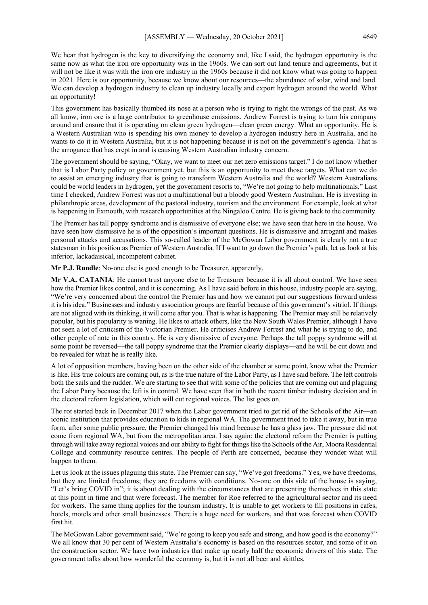We hear that hydrogen is the key to diversifying the economy and, like I said, the hydrogen opportunity is the same now as what the iron ore opportunity was in the 1960s. We can sort out land tenure and agreements, but it will not be like it was with the iron ore industry in the 1960s because it did not know what was going to happen in 2021. Here is our opportunity, because we know about our resources—the abundance of solar, wind and land. We can develop a hydrogen industry to clean up industry locally and export hydrogen around the world. What an opportunity!

This government has basically thumbed its nose at a person who is trying to right the wrongs of the past. As we all know, iron ore is a large contributor to greenhouse emissions. Andrew Forrest is trying to turn his company around and ensure that it is operating on clean green hydrogen—clean green energy. What an opportunity. He is a Western Australian who is spending his own money to develop a hydrogen industry here in Australia, and he wants to do it in Western Australia, but it is not happening because it is not on the government's agenda. That is the arrogance that has crept in and is causing Western Australian industry concern.

The government should be saying, "Okay, we want to meet our net zero emissions target." I do not know whether that is Labor Party policy or government yet, but this is an opportunity to meet those targets. What can we do to assist an emerging industry that is going to transform Western Australia and the world? Western Australians could be world leaders in hydrogen, yet the government resorts to, "We're not going to help multinationals." Last time I checked, Andrew Forrest was not a multinational but a bloody good Western Australian. He is investing in philanthropic areas, development of the pastoral industry, tourism and the environment. For example, look at what is happening in Exmouth, with research opportunities at the Ningaloo Centre. He is giving back to the community.

The Premier has tall poppy syndrome and is dismissive of everyone else; we have seen that here in the house. We have seen how dismissive he is of the opposition's important questions. He is dismissive and arrogant and makes personal attacks and accusations. This so-called leader of the McGowan Labor government is clearly not a true statesman in his position as Premier of Western Australia. If I want to go down the Premier's path, let us look at his inferior, lackadaisical, incompetent cabinet.

**Mr P.J. Rundle**: No-one else is good enough to be Treasurer, apparently.

**Mr V.A. CATANIA**: He cannot trust anyone else to be Treasurer because it is all about control. We have seen how the Premier likes control, and it is concerning. As I have said before in this house, industry people are saying, "We're very concerned about the control the Premier has and how we cannot put our suggestions forward unless it is his idea." Businesses and industry association groups are fearful because of this government's vitriol. If things are not aligned with its thinking, it will come after you. That is what is happening. The Premier may still be relatively popular, but his popularity is waning. He likes to attack others, like the New South Wales Premier, although I have not seen a lot of criticism of the Victorian Premier. He criticises Andrew Forrest and what he is trying to do, and other people of note in this country. He is very dismissive of everyone. Perhaps the tall poppy syndrome will at some point be reversed—the tall poppy syndrome that the Premier clearly displays—and he will be cut down and be revealed for what he is really like.

A lot of opposition members, having been on the other side of the chamber at some point, know what the Premier is like. His true colours are coming out, as is the true nature of the Labor Party, as I have said before. The left controls both the sails and the rudder. We are starting to see that with some of the policies that are coming out and plaguing the Labor Party because the left is in control. We have seen that in both the recent timber industry decision and in the electoral reform legislation, which will cut regional voices. The list goes on.

The rot started back in December 2017 when the Labor government tried to get rid of the Schools of the Air—an iconic institution that provides education to kids in regional WA. The government tried to take it away, but in true form, after some public pressure, the Premier changed his mind because he has a glass jaw. The pressure did not come from regional WA, but from the metropolitan area. I say again: the electoral reform the Premier is putting through will take away regional voices and our ability to fight for things like the Schools of the Air, Moora Residential College and community resource centres. The people of Perth are concerned, because they wonder what will happen to them.

Let us look at the issues plaguing this state. The Premier can say, "We've got freedoms." Yes, we have freedoms, but they are limited freedoms; they are freedoms with conditions. No-one on this side of the house is saying, "Let's bring COVID in"; it is about dealing with the circumstances that are presenting themselves in this state at this point in time and that were forecast. The member for Roe referred to the agricultural sector and its need for workers. The same thing applies for the tourism industry. It is unable to get workers to fill positions in cafes, hotels, motels and other small businesses. There is a huge need for workers, and that was forecast when COVID first hit.

The McGowan Labor government said, "We're going to keep you safe and strong, and how good is the economy?" We all know that 30 per cent of Western Australia's economy is based on the resources sector, and some of it on the construction sector. We have two industries that make up nearly half the economic drivers of this state. The government talks about how wonderful the economy is, but it is not all beer and skittles.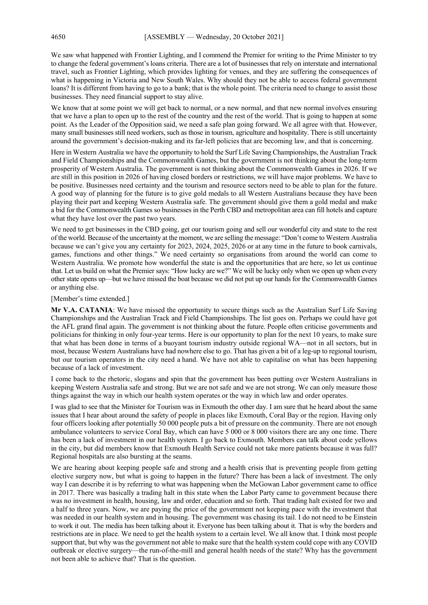We saw what happened with Frontier Lighting, and I commend the Premier for writing to the Prime Minister to try to change the federal government's loans criteria. There are a lot of businesses that rely on interstate and international travel, such as Frontier Lighting, which provides lighting for venues, and they are suffering the consequences of what is happening in Victoria and New South Wales. Why should they not be able to access federal government loans? It is different from having to go to a bank; that is the whole point. The criteria need to change to assist those businesses. They need financial support to stay alive.

We know that at some point we will get back to normal, or a new normal, and that new normal involves ensuring that we have a plan to open up to the rest of the country and the rest of the world. That is going to happen at some point. As the Leader of the Opposition said, we need a safe plan going forward. We all agree with that. However, many small businesses still need workers, such as those in tourism, agriculture and hospitality. There is still uncertainty around the government's decision-making and its far-left policies that are becoming law, and that is concerning.

Here in Western Australia we have the opportunity to hold the Surf Life Saving Championships, the Australian Track and Field Championships and the Commonwealth Games, but the government is not thinking about the long-term prosperity of Western Australia. The government is not thinking about the Commonwealth Games in 2026. If we are still in this position in 2026 of having closed borders or restrictions, we will have major problems. We have to be positive. Businesses need certainty and the tourism and resource sectors need to be able to plan for the future. A good way of planning for the future is to give gold medals to all Western Australians because they have been playing their part and keeping Western Australia safe. The government should give them a gold medal and make a bid for the Commonwealth Games so businesses in the Perth CBD and metropolitan area can fill hotels and capture what they have lost over the past two years.

We need to get businesses in the CBD going, get our tourism going and sell our wonderful city and state to the rest of the world. Because of the uncertainty at the moment, we are selling the message: "Don't come to Western Australia because we can't give you any certainty for 2023, 2024, 2025, 2026 or at any time in the future to book carnivals, games, functions and other things." We need certainty so organisations from around the world can come to Western Australia. We promote how wonderful the state is and the opportunities that are here, so let us continue that. Let us build on what the Premier says: "How lucky are we?" We will be lucky only when we open up when every other state opens up—but we have missed the boat because we did not put up our hands for the Commonwealth Games or anything else.

#### [Member's time extended.]

**Mr V.A. CATANIA**: We have missed the opportunity to secure things such as the Australian Surf Life Saving Championships and the Australian Track and Field Championships. The list goes on. Perhaps we could have got the AFL grand final again. The government is not thinking about the future. People often criticise governments and politicians for thinking in only four-year terms. Here is our opportunity to plan for the next 10 years, to make sure that what has been done in terms of a buoyant tourism industry outside regional WA—not in all sectors, but in most, because Western Australians have had nowhere else to go. That has given a bit of a leg-up to regional tourism, but our tourism operators in the city need a hand. We have not able to capitalise on what has been happening because of a lack of investment.

I come back to the rhetoric, slogans and spin that the government has been putting over Western Australians in keeping Western Australia safe and strong. But we are not safe and we are not strong. We can only measure those things against the way in which our health system operates or the way in which law and order operates.

I was glad to see that the Minister for Tourism was in Exmouth the other day. I am sure that he heard about the same issues that I hear about around the safety of people in places like Exmouth, Coral Bay or the region. Having only four officers looking after potentially 50 000 people puts a bit of pressure on the community. There are not enough ambulance volunteers to service Coral Bay, which can have 5 000 or 8 000 visitors there are any one time. There has been a lack of investment in our health system. I go back to Exmouth. Members can talk about code yellows in the city, but did members know that Exmouth Health Service could not take more patients because it was full? Regional hospitals are also bursting at the seams.

We are hearing about keeping people safe and strong and a health crisis that is preventing people from getting elective surgery now, but what is going to happen in the future? There has been a lack of investment. The only way I can describe it is by referring to what was happening when the McGowan Labor government came to office in 2017. There was basically a trading halt in this state when the Labor Party came to government because there was no investment in health, housing, law and order, education and so forth. That trading halt existed for two and a half to three years. Now, we are paying the price of the government not keeping pace with the investment that was needed in our health system and in housing. The government was chasing its tail. I do not need to be Einstein to work it out. The media has been talking about it. Everyone has been talking about it. That is why the borders and restrictions are in place. We need to get the health system to a certain level. We all know that. I think most people support that, but why was the government not able to make sure that the health system could cope with any COVID outbreak or elective surgery—the run-of-the-mill and general health needs of the state? Why has the government not been able to achieve that? That is the question.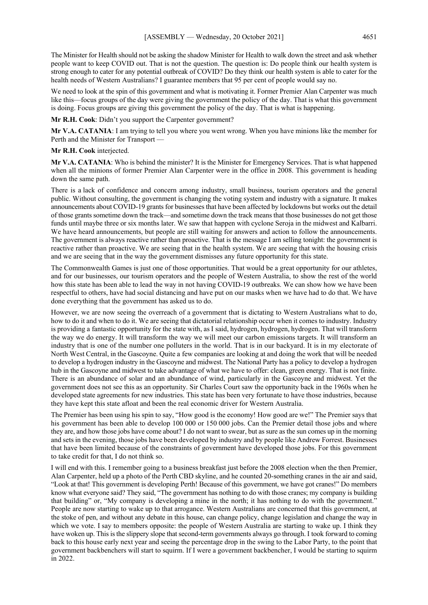The Minister for Health should not be asking the shadow Minister for Health to walk down the street and ask whether people want to keep COVID out. That is not the question. The question is: Do people think our health system is strong enough to cater for any potential outbreak of COVID? Do they think our health system is able to cater for the health needs of Western Australians? I guarantee members that 95 per cent of people would say no.

We need to look at the spin of this government and what is motivating it. Former Premier Alan Carpenter was much like this—focus groups of the day were giving the government the policy of the day. That is what this government is doing. Focus groups are giving this government the policy of the day. That is what is happening.

**Mr R.H. Cook**: Didn't you support the Carpenter government?

**Mr V.A. CATANIA**: I am trying to tell you where you went wrong. When you have minions like the member for Perth and the Minister for Transport —

**Mr R.H. Cook** interjected.

**Mr V.A. CATANIA**: Who is behind the minister? It is the Minister for Emergency Services. That is what happened when all the minions of former Premier Alan Carpenter were in the office in 2008. This government is heading down the same path.

There is a lack of confidence and concern among industry, small business, tourism operators and the general public. Without consulting, the government is changing the voting system and industry with a signature. It makes announcements about COVID-19 grants for businesses that have been affected by lockdowns but works out the detail of those grants sometime down the track—and sometime down the track means that those businesses do not get those funds until maybe three or six months later. We saw that happen with cyclone Seroja in the midwest and Kalbarri. We have heard announcements, but people are still waiting for answers and action to follow the announcements. The government is always reactive rather than proactive. That is the message I am selling tonight: the government is reactive rather than proactive. We are seeing that in the health system. We are seeing that with the housing crisis and we are seeing that in the way the government dismisses any future opportunity for this state.

The Commonwealth Games is just one of those opportunities. That would be a great opportunity for our athletes, and for our businesses, our tourism operators and the people of Western Australia, to show the rest of the world how this state has been able to lead the way in not having COVID-19 outbreaks. We can show how we have been respectful to others, have had social distancing and have put on our masks when we have had to do that. We have done everything that the government has asked us to do.

However, we are now seeing the overreach of a government that is dictating to Western Australians what to do, how to do it and when to do it. We are seeing that dictatorial relationship occur when it comes to industry. Industry is providing a fantastic opportunity for the state with, as I said, hydrogen, hydrogen, hydrogen. That will transform the way we do energy. It will transform the way we will meet our carbon emissions targets. It will transform an industry that is one of the number one polluters in the world. That is in our backyard. It is in my electorate of North West Central, in the Gascoyne. Quite a few companies are looking at and doing the work that will be needed to develop a hydrogen industry in the Gascoyne and midwest. The National Party has a policy to develop a hydrogen hub in the Gascoyne and midwest to take advantage of what we have to offer: clean, green energy. That is not finite. There is an abundance of solar and an abundance of wind, particularly in the Gascoyne and midwest. Yet the government does not see this as an opportunity. Sir Charles Court saw the opportunity back in the 1960s when he developed state agreements for new industries. This state has been very fortunate to have those industries, because they have kept this state afloat and been the real economic driver for Western Australia.

The Premier has been using his spin to say, "How good is the economy! How good are we!" The Premier says that his government has been able to develop 100 000 or 150 000 jobs. Can the Premier detail those jobs and where they are, and how those jobs have come about? I do not want to swear, but as sure as the sun comes up in the morning and sets in the evening, those jobs have been developed by industry and by people like Andrew Forrest. Businesses that have been limited because of the constraints of government have developed those jobs. For this government to take credit for that, I do not think so.

I will end with this. I remember going to a business breakfast just before the 2008 election when the then Premier, Alan Carpenter, held up a photo of the Perth CBD skyline, and he counted 20-something cranes in the air and said, "Look at that! This government is developing Perth! Because of this government, we have got cranes!" Do members know what everyone said? They said, "The government has nothing to do with those cranes; my company is building that building" or, "My company is developing a mine in the north; it has nothing to do with the government." People are now starting to wake up to that arrogance. Western Australians are concerned that this government, at the stoke of pen, and without any debate in this house, can change policy, change legislation and change the way in which we vote. I say to members opposite: the people of Western Australia are starting to wake up. I think they have woken up. This is the slippery slope that second-term governments always go through. I took forward to coming back to this house early next year and seeing the percentage drop in the swing to the Labor Party, to the point that government backbenchers will start to squirm. If I were a government backbencher, I would be starting to squirm in 2022.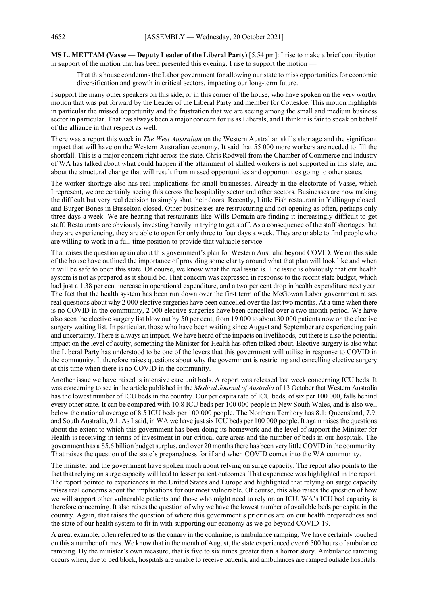**MS L. METTAM (Vasse — Deputy Leader of the Liberal Party)** [5.54 pm]: I rise to make a brief contribution in support of the motion that has been presented this evening. I rise to support the motion

That this house condemns the Labor government for allowing our state to miss opportunities for economic diversification and growth in critical sectors, impacting our long-term future.

I support the many other speakers on this side, or in this corner of the house, who have spoken on the very worthy motion that was put forward by the Leader of the Liberal Party and member for Cottesloe. This motion highlights in particular the missed opportunity and the frustration that we are seeing among the small and medium business sector in particular. That has always been a major concern for us as Liberals, and I think it is fair to speak on behalf of the alliance in that respect as well.

There was a report this week in *The West Australian* on the Western Australian skills shortage and the significant impact that will have on the Western Australian economy. It said that 55 000 more workers are needed to fill the shortfall. This is a major concern right across the state. Chris Rodwell from the Chamber of Commerce and Industry of WA has talked about what could happen if the attainment of skilled workers is not supported in this state, and about the structural change that will result from missed opportunities and opportunities going to other states.

The worker shortage also has real implications for small businesses. Already in the electorate of Vasse, which I represent, we are certainly seeing this across the hospitality sector and other sectors. Businesses are now making the difficult but very real decision to simply shut their doors. Recently, Little Fish restaurant in Yallingup closed, and Burger Bones in Busselton closed. Other businesses are restructuring and not opening as often, perhaps only three days a week. We are hearing that restaurants like Wills Domain are finding it increasingly difficult to get staff. Restaurants are obviously investing heavily in trying to get staff. As a consequence of the staff shortages that they are experiencing, they are able to open for only three to four days a week. They are unable to find people who are willing to work in a full-time position to provide that valuable service.

That raises the question again about this government's plan for Western Australia beyond COVID. We on this side of the house have outlined the importance of providing some clarity around what that plan will look like and when it will be safe to open this state. Of course, we know what the real issue is. The issue is obviously that our health system is not as prepared as it should be. That concern was expressed in response to the recent state budget, which had just a 1.38 per cent increase in operational expenditure, and a two per cent drop in health expenditure next year. The fact that the health system has been run down over the first term of the McGowan Labor government raises real questions about why 2 000 elective surgeries have been cancelled over the last two months. At a time when there is no COVID in the community, 2 000 elective surgeries have been cancelled over a two-month period. We have also seen the elective surgery list blow out by 50 per cent, from 19 000 to about 30 000 patients now on the elective surgery waiting list. In particular, those who have been waiting since August and September are experiencing pain and uncertainty. There is always an impact. We have heard of the impacts on livelihoods, but there is also the potential impact on the level of acuity, something the Minister for Health has often talked about. Elective surgery is also what the Liberal Party has understood to be one of the levers that this government will utilise in response to COVID in the community. It therefore raises questions about why the government is restricting and cancelling elective surgery at this time when there is no COVID in the community.

Another issue we have raised is intensive care unit beds. A report was released last week concerning ICU beds. It was concerning to see in the article published in the *Medical Journal of Australia* of 13 October that Western Australia has the lowest number of ICU beds in the country. Our per capita rate of ICU beds, of six per 100 000, falls behind every other state. It can be compared with 10.8 ICU beds per 100 000 people in New South Wales, and is also well below the national average of 8.5 ICU beds per 100 000 people. The Northern Territory has 8.1; Queensland, 7.9; and South Australia, 9.1. As I said, in WA we have just six ICU beds per 100 000 people. It again raises the questions about the extent to which this government has been doing its homework and the level of support the Minister for Health is receiving in terms of investment in our critical care areas and the number of beds in our hospitals. The government has a \$5.6 billion budget surplus, and over 20 months there has been very little COVID in the community. That raises the question of the state's preparedness for if and when COVID comes into the WA community.

The minister and the government have spoken much about relying on surge capacity. The report also points to the fact that relying on surge capacity will lead to lesser patient outcomes. That experience was highlighted in the report. The report pointed to experiences in the United States and Europe and highlighted that relying on surge capacity raises real concerns about the implications for our most vulnerable. Of course, this also raises the question of how we will support other vulnerable patients and those who might need to rely on an ICU. WA's ICU bed capacity is therefore concerning. It also raises the question of why we have the lowest number of available beds per capita in the country. Again, that raises the question of where this government's priorities are on our health preparedness and the state of our health system to fit in with supporting our economy as we go beyond COVID-19.

A great example, often referred to as the canary in the coalmine, is ambulance ramping. We have certainly touched on this a number of times. We know that in the month of August, the state experienced over 6 500 hours of ambulance ramping. By the minister's own measure, that is five to six times greater than a horror story. Ambulance ramping occurs when, due to bed block, hospitals are unable to receive patients, and ambulances are ramped outside hospitals.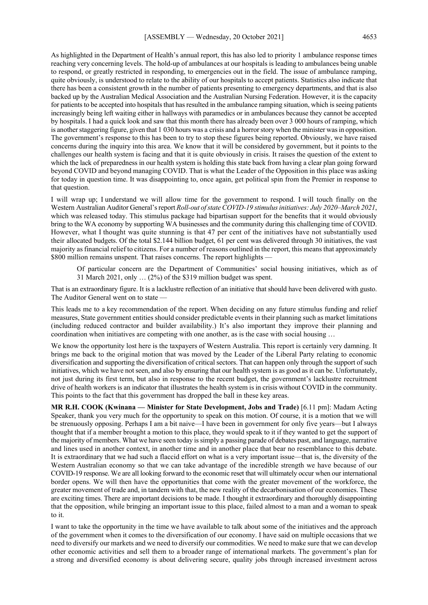As highlighted in the Department of Health's annual report, this has also led to priority 1 ambulance response times reaching very concerning levels. The hold-up of ambulances at our hospitals is leading to ambulances being unable to respond, or greatly restricted in responding, to emergencies out in the field. The issue of ambulance ramping, quite obviously, is understood to relate to the ability of our hospitals to accept patients. Statistics also indicate that there has been a consistent growth in the number of patients presenting to emergency departments, and that is also backed up by the Australian Medical Association and the Australian Nursing Federation. However, it is the capacity for patients to be accepted into hospitals that has resulted in the ambulance ramping situation, which is seeing patients increasingly being left waiting either in hallways with paramedics or in ambulances because they cannot be accepted by hospitals. I had a quick look and saw that this month there has already been over 3 000 hours of ramping, which is another staggering figure, given that 1 030 hours was a crisis and a horror story when the minister was in opposition. The government's response to this has been to try to stop these figures being reported. Obviously, we have raised concerns during the inquiry into this area. We know that it will be considered by government, but it points to the challenges our health system is facing and that it is quite obviously in crisis. It raises the question of the extent to which the lack of preparedness in our health system is holding this state back from having a clear plan going forward beyond COVID and beyond managing COVID. That is what the Leader of the Opposition in this place was asking for today in question time. It was disappointing to, once again, get political spin from the Premier in response to that question.

I will wrap up; I understand we will allow time for the government to respond. I will touch finally on the Western Australian Auditor General's report *Roll-out of state COVID-19 stimulus initiatives: July 2020–March 2021*, which was released today. This stimulus package had bipartisan support for the benefits that it would obviously bring to the WA economy by supporting WA businesses and the community during this challenging time of COVID. However, what I thought was quite stunning is that 47 per cent of the initiatives have not substantially used their allocated budgets. Of the total \$2.144 billion budget, 61 per cent was delivered through 30 initiatives, the vast majority as financial relief to citizens. For a number of reasons outlined in the report, this means that approximately \$800 million remains unspent. That raises concerns. The report highlights

Of particular concern are the Department of Communities' social housing initiatives, which as of 31 March 2021, only … (2%) of the \$319 million budget was spent.

That is an extraordinary figure. It is a lacklustre reflection of an initiative that should have been delivered with gusto. The Auditor General went on to state

This leads me to a key recommendation of the report. When deciding on any future stimulus funding and relief measures, State government entities should consider predictable events in their planning such as market limitations (including reduced contractor and builder availability.) It's also important they improve their planning and coordination when initiatives are competing with one another, as is the case with social housing …

We know the opportunity lost here is the taxpayers of Western Australia. This report is certainly very damning. It brings me back to the original motion that was moved by the Leader of the Liberal Party relating to economic diversification and supporting the diversification of critical sectors. That can happen only through the support of such initiatives, which we have not seen, and also by ensuring that our health system is as good as it can be. Unfortunately, not just during its first term, but also in response to the recent budget, the government's lacklustre recruitment drive of health workers is an indicator that illustrates the health system is in crisis without COVID in the community. This points to the fact that this government has dropped the ball in these key areas.

**MR R.H. COOK (Kwinana — Minister for State Development, Jobs and Trade)** [6.11 pm]: Madam Acting Speaker, thank you very much for the opportunity to speak on this motion. Of course, it is a motion that we will be strenuously opposing. Perhaps I am a bit naive—I have been in government for only five years—but I always thought that if a member brought a motion to this place, they would speak to it if they wanted to get the support of the majority of members. What we have seen today is simply a passing parade of debates past, and language, narrative and lines used in another context, in another time and in another place that bear no resemblance to this debate. It is extraordinary that we had such a flaccid effort on what is a very important issue—that is, the diversity of the Western Australian economy so that we can take advantage of the incredible strength we have because of our COVID-19 response. We are all looking forward to the economic reset that will ultimately occur when our international border opens. We will then have the opportunities that come with the greater movement of the workforce, the greater movement of trade and, in tandem with that, the new reality of the decarbonisation of our economies. These are exciting times. There are important decisions to be made. I thought it extraordinary and thoroughly disappointing that the opposition, while bringing an important issue to this place, failed almost to a man and a woman to speak to it.

I want to take the opportunity in the time we have available to talk about some of the initiatives and the approach of the government when it comes to the diversification of our economy. I have said on multiple occasions that we need to diversify our markets and we need to diversify our commodities. We need to make sure that we can develop other economic activities and sell them to a broader range of international markets. The government's plan for a strong and diversified economy is about delivering secure, quality jobs through increased investment across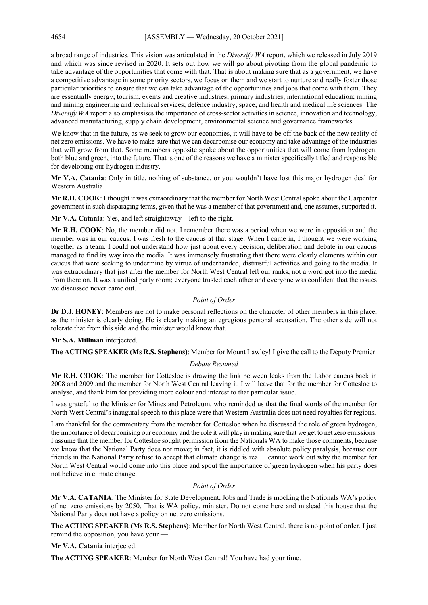a broad range of industries. This vision was articulated in the *Diversify WA* report, which we released in July 2019 and which was since revised in 2020. It sets out how we will go about pivoting from the global pandemic to take advantage of the opportunities that come with that. That is about making sure that as a government, we have a competitive advantage in some priority sectors, we focus on them and we start to nurture and really foster those particular priorities to ensure that we can take advantage of the opportunities and jobs that come with them. They are essentially energy; tourism, events and creative industries; primary industries; international education; mining and mining engineering and technical services; defence industry; space; and health and medical life sciences. The *Diversify WA* report also emphasises the importance of cross-sector activities in science, innovation and technology, advanced manufacturing, supply chain development, environmental science and governance frameworks.

We know that in the future, as we seek to grow our economies, it will have to be off the back of the new reality of net zero emissions. We have to make sure that we can decarbonise our economy and take advantage of the industries that will grow from that. Some members opposite spoke about the opportunities that will come from hydrogen, both blue and green, into the future. That is one of the reasons we have a minister specifically titled and responsible for developing our hydrogen industry.

**Mr V.A. Catania**: Only in title, nothing of substance, or you wouldn't have lost this major hydrogen deal for Western Australia.

**Mr R.H. COOK**: I thought it was extraordinary that the member for North West Central spoke about the Carpenter government in such disparaging terms, given that he was a member of that government and, one assumes, supported it.

**Mr V.A. Catania**: Yes, and left straightaway—left to the right.

**Mr R.H. COOK**: No, the member did not. I remember there was a period when we were in opposition and the member was in our caucus. I was fresh to the caucus at that stage. When I came in, I thought we were working together as a team. I could not understand how just about every decision, deliberation and debate in our caucus managed to find its way into the media. It was immensely frustrating that there were clearly elements within our caucus that were seeking to undermine by virtue of underhanded, distrustful activities and going to the media. It was extraordinary that just after the member for North West Central left our ranks, not a word got into the media from there on. It was a unified party room; everyone trusted each other and everyone was confident that the issues we discussed never came out.

## *Point of Order*

**Dr D.J. HONEY**: Members are not to make personal reflections on the character of other members in this place, as the minister is clearly doing. He is clearly making an egregious personal accusation. The other side will not tolerate that from this side and the minister would know that.

#### **Mr S.A. Millman** interjected.

**The ACTING SPEAKER (Ms R.S. Stephens)**: Member for Mount Lawley! I give the call to the Deputy Premier.

#### *Debate Resumed*

**Mr R.H. COOK**: The member for Cottesloe is drawing the link between leaks from the Labor caucus back in 2008 and 2009 and the member for North West Central leaving it. I will leave that for the member for Cottesloe to analyse, and thank him for providing more colour and interest to that particular issue.

I was grateful to the Minister for Mines and Petroleum, who reminded us that the final words of the member for North West Central's inaugural speech to this place were that Western Australia does not need royalties for regions.

I am thankful for the commentary from the member for Cottesloe when he discussed the role of green hydrogen, the importance of decarbonising our economy and the role it will play in making sure that we get to net zero emissions. I assume that the member for Cottesloe sought permission from the Nationals WA to make those comments, because we know that the National Party does not move; in fact, it is riddled with absolute policy paralysis, because our friends in the National Party refuse to accept that climate change is real. I cannot work out why the member for North West Central would come into this place and spout the importance of green hydrogen when his party does not believe in climate change.

#### *Point of Order*

**Mr V.A. CATANIA**: The Minister for State Development, Jobs and Trade is mocking the Nationals WA's policy of net zero emissions by 2050. That is WA policy, minister. Do not come here and mislead this house that the National Party does not have a policy on net zero emissions.

**The ACTING SPEAKER (Ms R.S. Stephens)**: Member for North West Central, there is no point of order. I just remind the opposition, you have your —

**Mr V.A. Catania** interjected.

**The ACTING SPEAKER**: Member for North West Central! You have had your time.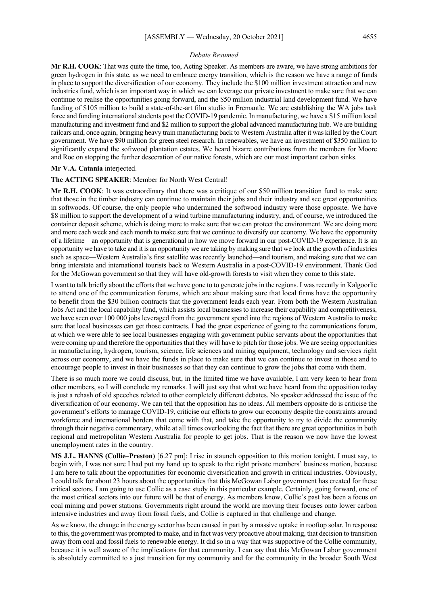#### *Debate Resumed*

**Mr R.H. COOK**: That was quite the time, too, Acting Speaker. As members are aware, we have strong ambitions for green hydrogen in this state, as we need to embrace energy transition, which is the reason we have a range of funds in place to support the diversification of our economy. They include the \$100 million investment attraction and new industries fund, which is an important way in which we can leverage our private investment to make sure that we can continue to realise the opportunities going forward, and the \$50 million industrial land development fund. We have funding of \$105 million to build a state-of-the-art film studio in Fremantle. We are establishing the WA jobs task force and funding international students post the COVID-19 pandemic. In manufacturing, we have a \$15 million local manufacturing and investment fund and \$2 million to support the global advanced manufacturing hub. We are building railcars and, once again, bringing heavy train manufacturing back to Western Australia after it was killed by the Court government. We have \$90 million for green steel research. In renewables, we have an investment of \$350 million to significantly expand the softwood plantation estates. We heard bizarre contributions from the members for Moore and Roe on stopping the further desecration of our native forests, which are our most important carbon sinks.

## **Mr V.A. Catania** interjected.

#### **The ACTING SPEAKER**: Member for North West Central!

**Mr R.H. COOK**: It was extraordinary that there was a critique of our \$50 million transition fund to make sure that those in the timber industry can continue to maintain their jobs and their industry and see great opportunities in softwoods. Of course, the only people who undermined the softwood industry were those opposite. We have \$8 million to support the development of a wind turbine manufacturing industry, and, of course, we introduced the container deposit scheme, which is doing more to make sure that we can protect the environment. We are doing more and more each week and each month to make sure that we continue to diversify our economy. We have the opportunity of a lifetime—an opportunity that is generational in how we move forward in our post-COVID-19 experience. It is an opportunity we have to take and it is an opportunity we are taking by making sure that we look at the growth of industries such as space—Western Australia's first satellite was recently launched—and tourism, and making sure that we can bring interstate and international tourists back to Western Australia in a post-COVID-19 environment. Thank God for the McGowan government so that they will have old-growth forests to visit when they come to this state.

I want to talk briefly about the efforts that we have gone to to generate jobs in the regions. I was recently in Kalgoorlie to attend one of the communication forums, which are about making sure that local firms have the opportunity to benefit from the \$30 billion contracts that the government leads each year. From both the Western Australian Jobs Act and the local capability fund, which assists local businesses to increase their capability and competitiveness, we have seen over 100 000 jobs leveraged from the government spend into the regions of Western Australia to make sure that local businesses can get those contracts. I had the great experience of going to the communications forum, at which we were able to see local businesses engaging with government public servants about the opportunities that were coming up and therefore the opportunities that they will have to pitch for those jobs. We are seeing opportunities in manufacturing, hydrogen, tourism, science, life sciences and mining equipment, technology and services right across our economy, and we have the funds in place to make sure that we can continue to invest in those and to encourage people to invest in their businesses so that they can continue to grow the jobs that come with them.

There is so much more we could discuss, but, in the limited time we have available, I am very keen to hear from other members, so I will conclude my remarks. I will just say that what we have heard from the opposition today is just a rehash of old speeches related to other completely different debates. No speaker addressed the issue of the diversification of our economy. We can tell that the opposition has no ideas. All members opposite do is criticise the government's efforts to manage COVID-19, criticise our efforts to grow our economy despite the constraints around workforce and international borders that come with that, and take the opportunity to try to divide the community through their negative commentary, while at all times overlooking the fact that there are great opportunities in both regional and metropolitan Western Australia for people to get jobs. That is the reason we now have the lowest unemployment rates in the country.

**MS J.L. HANNS (Collie–Preston)** [6.27 pm]: I rise in staunch opposition to this motion tonight. I must say, to begin with, I was not sure I had put my hand up to speak to the right private members' business motion, because I am here to talk about the opportunities for economic diversification and growth in critical industries. Obviously, I could talk for about 23 hours about the opportunities that this McGowan Labor government has created for these critical sectors. I am going to use Collie as a case study in this particular example. Certainly, going forward, one of the most critical sectors into our future will be that of energy. As members know, Collie's past has been a focus on coal mining and power stations. Governments right around the world are moving their focuses onto lower carbon intensive industries and away from fossil fuels, and Collie is captured in that challenge and change.

As we know, the change in the energy sector has been caused in part by a massive uptake in rooftop solar. In response to this, the government was prompted to make, and in fact was very proactive about making, that decision to transition away from coal and fossil fuels to renewable energy. It did so in a way that was supportive of the Collie community, because it is well aware of the implications for that community. I can say that this McGowan Labor government is absolutely committed to a just transition for my community and for the community in the broader South West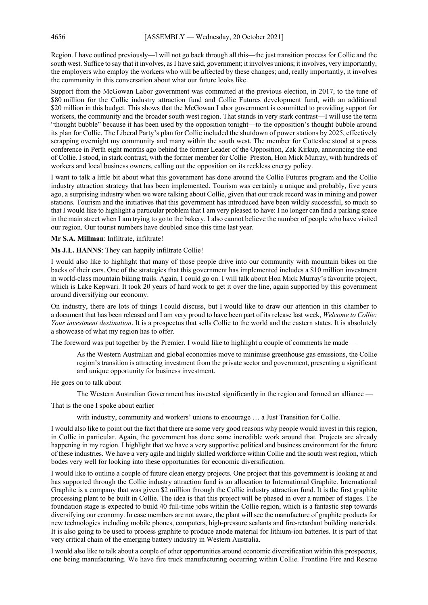Region. I have outlined previously—I will not go back through all this—the just transition process for Collie and the south west. Suffice to say that it involves, as I have said, government; it involves unions; it involves, very importantly, the employers who employ the workers who will be affected by these changes; and, really importantly, it involves the community in this conversation about what our future looks like.

Support from the McGowan Labor government was committed at the previous election, in 2017, to the tune of \$80 million for the Collie industry attraction fund and Collie Futures development fund, with an additional \$20 million in this budget. This shows that the McGowan Labor government is committed to providing support for workers, the community and the broader south west region. That stands in very stark contrast—I will use the term "thought bubble" because it has been used by the opposition tonight—to the opposition's thought bubble around its plan for Collie. The Liberal Party's plan for Collie included the shutdown of power stations by 2025, effectively scrapping overnight my community and many within the south west. The member for Cottesloe stood at a press conference in Perth eight months ago behind the former Leader of the Opposition, Zak Kirkup, announcing the end of Collie. I stood, in stark contrast, with the former member for Collie–Preston, Hon Mick Murray, with hundreds of workers and local business owners, calling out the opposition on its reckless energy policy.

I want to talk a little bit about what this government has done around the Collie Futures program and the Collie industry attraction strategy that has been implemented. Tourism was certainly a unique and probably, five years ago, a surprising industry when we were talking about Collie, given that our track record was in mining and power stations. Tourism and the initiatives that this government has introduced have been wildly successful, so much so that I would like to highlight a particular problem that I am very pleased to have: I no longer can find a parking space in the main street when I am trying to go to the bakery. I also cannot believe the number of people who have visited our region. Our tourist numbers have doubled since this time last year.

**Mr S.A. Millman**: Infiltrate, infiltrate!

**Ms J.L. HANNS**: They can happily infiltrate Collie!

I would also like to highlight that many of those people drive into our community with mountain bikes on the backs of their cars. One of the strategies that this government has implemented includes a \$10 million investment in world-class mountain biking trails. Again, I could go on. I will talk about Hon Mick Murray's favourite project, which is Lake Kepwari. It took 20 years of hard work to get it over the line, again supported by this government around diversifying our economy.

On industry, there are lots of things I could discuss, but I would like to draw our attention in this chamber to a document that has been released and I am very proud to have been part of its release last week, *Welcome to Collie: Your investment destination*. It is a prospectus that sells Collie to the world and the eastern states. It is absolutely a showcase of what my region has to offer.

The foreword was put together by the Premier. I would like to highlight a couple of comments he made —

As the Western Australian and global economies move to minimise greenhouse gas emissions, the Collie region's transition is attracting investment from the private sector and government, presenting a significant and unique opportunity for business investment.

He goes on to talk about —

The Western Australian Government has invested significantly in the region and formed an alliance —

That is the one I spoke about earlier —

with industry, community and workers' unions to encourage … a Just Transition for Collie.

I would also like to point out the fact that there are some very good reasons why people would invest in this region, in Collie in particular. Again, the government has done some incredible work around that. Projects are already happening in my region. I highlight that we have a very supportive political and business environment for the future of these industries. We have a very agile and highly skilled workforce within Collie and the south west region, which bodes very well for looking into these opportunities for economic diversification.

I would like to outline a couple of future clean energy projects. One project that this government is looking at and has supported through the Collie industry attraction fund is an allocation to International Graphite. International Graphite is a company that was given \$2 million through the Collie industry attraction fund. It is the first graphite processing plant to be built in Collie. The idea is that this project will be phased in over a number of stages. The foundation stage is expected to build 40 full-time jobs within the Collie region, which is a fantastic step towards diversifying our economy. In case members are not aware, the plant will see the manufacture of graphite products for new technologies including mobile phones, computers, high-pressure sealants and fire-retardant building materials. It is also going to be used to process graphite to produce anode material for lithium-ion batteries. It is part of that very critical chain of the emerging battery industry in Western Australia.

I would also like to talk about a couple of other opportunities around economic diversification within this prospectus, one being manufacturing. We have fire truck manufacturing occurring within Collie. Frontline Fire and Rescue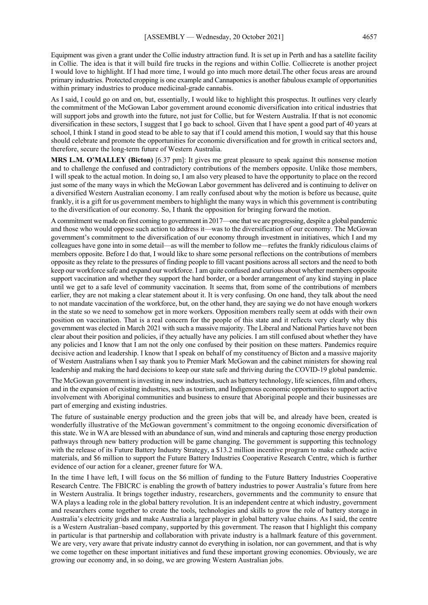Equipment was given a grant under the Collie industry attraction fund. It is set up in Perth and has a satellite facility in Collie. The idea is that it will build fire trucks in the regions and within Collie. Colliecrete is another project I would love to highlight. If I had more time, I would go into much more detail.The other focus areas are around primary industries. Protected cropping is one example and Cannaponics is another fabulous example of opportunities within primary industries to produce medicinal-grade cannabis.

As I said, I could go on and on, but, essentially, I would like to highlight this prospectus. It outlines very clearly the commitment of the McGowan Labor government around economic diversification into critical industries that will support jobs and growth into the future, not just for Collie, but for Western Australia. If that is not economic diversification in these sectors, I suggest that I go back to school. Given that I have spent a good part of 40 years at school, I think I stand in good stead to be able to say that if I could amend this motion, I would say that this house should celebrate and promote the opportunities for economic diversification and for growth in critical sectors and, therefore, secure the long-term future of Western Australia.

**MRS L.M. O'MALLEY (Bicton)** [6.37 pm]: It gives me great pleasure to speak against this nonsense motion and to challenge the confused and contradictory contributions of the members opposite. Unlike those members, I will speak to the actual motion. In doing so, I am also very pleased to have the opportunity to place on the record just some of the many ways in which the McGowan Labor government has delivered and is continuing to deliver on a diversified Western Australian economy. I am really confused about why the motion is before us because, quite frankly, it is a gift for us government members to highlight the many ways in which this government is contributing to the diversification of our economy. So, I thank the opposition for bringing forward the motion.

A commitment we made on first coming to government in 2017—one that we are progressing, despite a global pandemic and those who would oppose such action to address it—was to the diversification of our economy. The McGowan government's commitment to the diversification of our economy through investment in initiatives, which I and my colleagues have gone into in some detail—as will the member to follow me—refutes the frankly ridiculous claims of members opposite. Before I do that, I would like to share some personal reflections on the contributions of members opposite as they relate to the pressures of finding people to fill vacant positions across all sectors and the need to both keep our workforce safe and expand our workforce. I am quite confused and curious about whether members opposite support vaccination and whether they support the hard border, or a border arrangement of any kind staying in place until we get to a safe level of community vaccination. It seems that, from some of the contributions of members earlier, they are not making a clear statement about it. It is very confusing. On one hand, they talk about the need to not mandate vaccination of the workforce, but, on the other hand, they are saying we do not have enough workers in the state so we need to somehow get in more workers. Opposition members really seem at odds with their own position on vaccination. That is a real concern for the people of this state and it reflects very clearly why this government was elected in March 2021 with such a massive majority. The Liberal and National Parties have not been clear about their position and policies, if they actually have any policies. I am still confused about whether they have any policies and I know that I am not the only one confused by their position on these matters. Pandemics require decisive action and leadership. I know that I speak on behalf of my constituency of Bicton and a massive majority of Western Australians when I say thank you to Premier Mark McGowan and the cabinet ministers for showing real leadership and making the hard decisions to keep our state safe and thriving during the COVID-19 global pandemic.

The McGowan government is investing in new industries, such as battery technology, life sciences, film and others, and in the expansion of existing industries, such as tourism, and Indigenous economic opportunities to support active involvement with Aboriginal communities and business to ensure that Aboriginal people and their businesses are part of emerging and existing industries.

The future of sustainable energy production and the green jobs that will be, and already have been, created is wonderfully illustrative of the McGowan government's commitment to the ongoing economic diversification of this state. We in WA are blessed with an abundance of sun, wind and minerals and capturing those energy production pathways through new battery production will be game changing. The government is supporting this technology with the release of its Future Battery Industry Strategy, a \$13.2 million incentive program to make cathode active materials, and \$6 million to support the Future Battery Industries Cooperative Research Centre, which is further evidence of our action for a cleaner, greener future for WA.

In the time I have left, I will focus on the \$6 million of funding to the Future Battery Industries Cooperative Research Centre. The FBICRC is enabling the growth of battery industries to power Australia's future from here in Western Australia. It brings together industry, researchers, governments and the community to ensure that WA plays a leading role in the global battery revolution. It is an independent centre at which industry, government and researchers come together to create the tools, technologies and skills to grow the role of battery storage in Australia's electricity grids and make Australia a larger player in global battery value chains. As I said, the centre is a Western Australian–based company, supported by this government. The reason that I highlight this company in particular is that partnership and collaboration with private industry is a hallmark feature of this government. We are very, very aware that private industry cannot do everything in isolation, nor can government, and that is why we come together on these important initiatives and fund these important growing economies. Obviously, we are growing our economy and, in so doing, we are growing Western Australian jobs.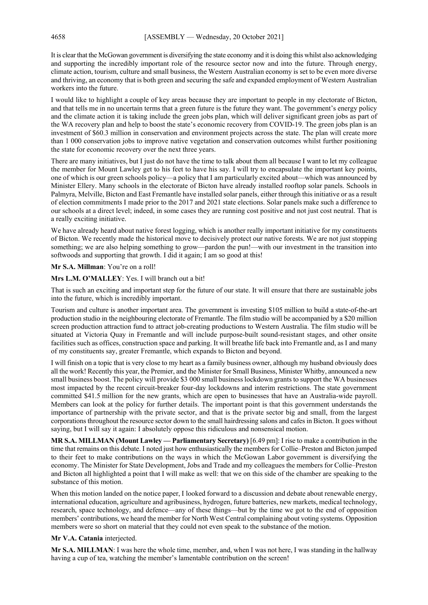It is clear that the McGowan government is diversifying the state economy and it is doing this whilst also acknowledging and supporting the incredibly important role of the resource sector now and into the future. Through energy, climate action, tourism, culture and small business, the Western Australian economy is set to be even more diverse and thriving, an economy that is both green and securing the safe and expanded employment of Western Australian workers into the future.

I would like to highlight a couple of key areas because they are important to people in my electorate of Bicton, and that tells me in no uncertain terms that a green future is the future they want. The government's energy policy and the climate action it is taking include the green jobs plan, which will deliver significant green jobs as part of the WA recovery plan and help to boost the state's economic recovery from COVID-19. The green jobs plan is an investment of \$60.3 million in conservation and environment projects across the state. The plan will create more than 1 000 conservation jobs to improve native vegetation and conservation outcomes whilst further positioning the state for economic recovery over the next three years.

There are many initiatives, but I just do not have the time to talk about them all because I want to let my colleague the member for Mount Lawley get to his feet to have his say. I will try to encapsulate the important key points, one of which is our green schools policy—a policy that I am particularly excited about—which was announced by Minister Ellery. Many schools in the electorate of Bicton have already installed rooftop solar panels. Schools in Palmyra, Melville, Bicton and East Fremantle have installed solar panels, either through this initiative or as a result of election commitments I made prior to the 2017 and 2021 state elections. Solar panels make such a difference to our schools at a direct level; indeed, in some cases they are running cost positive and not just cost neutral. That is a really exciting initiative.

We have already heard about native forest logging, which is another really important initiative for my constituents of Bicton. We recently made the historical move to decisively protect our native forests. We are not just stopping something; we are also helping something to grow—pardon the pun!—with our investment in the transition into softwoods and supporting that growth. I did it again; I am so good at this!

**Mr S.A. Millman**: You're on a roll!

**Mrs L.M. O'MALLEY**: Yes. I will branch out a bit!

That is such an exciting and important step for the future of our state. It will ensure that there are sustainable jobs into the future, which is incredibly important.

Tourism and culture is another important area. The government is investing \$105 million to build a state-of-the-art production studio in the neighbouring electorate of Fremantle. The film studio will be accompanied by a \$20 million screen production attraction fund to attract job-creating productions to Western Australia. The film studio will be situated at Victoria Quay in Fremantle and will include purpose-built sound-resistant stages, and other onsite facilities such as offices, construction space and parking. It will breathe life back into Fremantle and, as I and many of my constituents say, greater Fremantle, which expands to Bicton and beyond.

I will finish on a topic that is very close to my heart as a family business owner, although my husband obviously does all the work! Recently this year, the Premier, and the Minister for Small Business, Minister Whitby, announced a new small business boost. The policy will provide \$3 000 small business lockdown grants to support the WA businesses most impacted by the recent circuit-breaker four-day lockdowns and interim restrictions. The state government committed \$41.5 million for the new grants, which are open to businesses that have an Australia-wide payroll. Members can look at the policy for further details. The important point is that this government understands the importance of partnership with the private sector, and that is the private sector big and small, from the largest corporations throughout the resource sector down to the small hairdressing salons and cafes in Bicton. It goes without saying, but I will say it again: I absolutely oppose this ridiculous and nonsensical motion.

**MR S.A. MILLMAN (Mount Lawley — Parliamentary Secretary)** [6.49 pm]: I rise to make a contribution in the time that remains on this debate. I noted just how enthusiastically the members for Collie–Preston and Bicton jumped to their feet to make contributions on the ways in which the McGowan Labor government is diversifying the economy. The Minister for State Development, Jobs and Trade and my colleagues the members for Collie–Preston and Bicton all highlighted a point that I will make as well: that we on this side of the chamber are speaking to the substance of this motion.

When this motion landed on the notice paper, I looked forward to a discussion and debate about renewable energy, international education, agriculture and agribusiness, hydrogen, future batteries, new markets, medical technology, research, space technology, and defence—any of these things—but by the time we got to the end of opposition members' contributions, we heard the member for North West Central complaining about voting systems. Opposition members were so short on material that they could not even speak to the substance of the motion.

**Mr V.A. Catania** interjected.

**Mr S.A. MILLMAN**: I was here the whole time, member, and, when I was not here, I was standing in the hallway having a cup of tea, watching the member's lamentable contribution on the screen!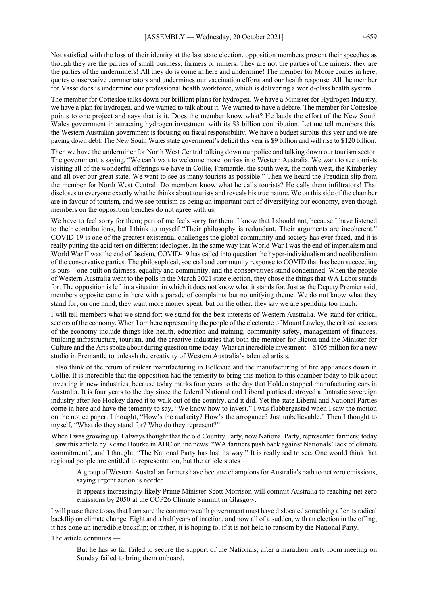Not satisfied with the loss of their identity at the last state election, opposition members present their speeches as though they are the parties of small business, farmers or miners. They are not the parties of the miners; they are the parties of the underminers! All they do is come in here and undermine! The member for Moore comes in here, quotes conservative commentators and undermines our vaccination efforts and our health response. All the member for Vasse does is undermine our professional health workforce, which is delivering a world-class health system.

The member for Cottesloe talks down our brilliant plans for hydrogen. We have a Minister for Hydrogen Industry, we have a plan for hydrogen, and we wanted to talk about it. We wanted to have a debate. The member for Cottesloe points to one project and says that is it. Does the member know what? He lauds the effort of the New South Wales government in attracting hydrogen investment with its \$3 billion contribution. Let me tell members this: the Western Australian government is focusing on fiscal responsibility. We have a budget surplus this year and we are paying down debt. The New South Wales state government's deficit this year is \$9 billion and will rise to \$120 billion.

Then we have the underminer for North West Central talking down our police and talking down our tourism sector. The government is saying, "We can't wait to welcome more tourists into Western Australia. We want to see tourists visiting all of the wonderful offerings we have in Collie, Fremantle, the south west, the north west, the Kimberley and all over our great state. We want to see as many tourists as possible." Then we heard the Freudian slip from the member for North West Central. Do members know what he calls tourists? He calls them infiltrators! That discloses to everyone exactly what he thinks about tourists and reveals his true nature. We on this side of the chamber are in favour of tourism, and we see tourism as being an important part of diversifying our economy, even though members on the opposition benches do not agree with us.

We have to feel sorry for them; part of me feels sorry for them. I know that I should not, because I have listened to their contributions, but I think to myself "Their philosophy is redundant. Their arguments are incoherent." COVID-19 is one of the greatest existential challenges the global community and society has ever faced, and it is really putting the acid test on different ideologies. In the same way that World War I was the end of imperialism and World War II was the end of fascism, COVID-19 has called into question the hyper-individualism and neoliberalism of the conservative parties. The philosophical, societal and community response to COVID that has been succeeding is ours—one built on fairness, equality and community, and the conservatives stand condemned. When the people of Western Australia went to the polls in the March 2021 state election, they chose the things that WA Labor stands for. The opposition is left in a situation in which it does not know what it stands for. Just as the Deputy Premier said, members opposite came in here with a parade of complaints but no unifying theme. We do not know what they stand for; on one hand, they want more money spent, but on the other, they say we are spending too much.

I will tell members what we stand for: we stand for the best interests of Western Australia. We stand for critical sectors of the economy. When I am here representing the people of the electorate of Mount Lawley, the critical sectors of the economy include things like health, education and training, community safety, management of finances, building infrastructure, tourism, and the creative industries that both the member for Bicton and the Minister for Culture and the Arts spoke about during question time today. What an incredible investment—\$105 million for a new studio in Fremantle to unleash the creativity of Western Australia's talented artists.

I also think of the return of railcar manufacturing in Bellevue and the manufacturing of fire appliances down in Collie. It is incredible that the opposition had the temerity to bring this motion to this chamber today to talk about investing in new industries, because today marks four years to the day that Holden stopped manufacturing cars in Australia. It is four years to the day since the federal National and Liberal parties destroyed a fantastic sovereign industry after Joe Hockey dared it to walk out of the country, and it did. Yet the state Liberal and National Parties come in here and have the temerity to say, "We know how to invest." I was flabbergasted when I saw the motion on the notice paper. I thought, "How's the audacity? How's the arrogance? Just unbelievable." Then I thought to myself, "What do they stand for? Who do they represent?"

When I was growing up, I always thought that the old Country Party, now National Party, represented farmers; today I saw this article by Keane Bourke in ABC online news: "WA farmers push back against Nationals' lack of climate commitment", and I thought, "The National Party has lost its way." It is really sad to see. One would think that regional people are entitled to representation, but the article states —

A group of Western Australian farmers have become champions for Australia's path to net zero emissions, saying urgent action is needed.

It appears increasingly likely Prime Minister Scott Morrison will commit Australia to reaching net zero emissions by 2050 at the COP26 Climate Summit in Glasgow.

I will pause there to say that I am sure the commonwealth government must have dislocated something after its radical backflip on climate change. Eight and a half years of inaction, and now all of a sudden, with an election in the offing, it has done an incredible backflip; or rather, it is hoping to, if it is not held to ransom by the National Party.

The article continues -

But he has so far failed to secure the support of the Nationals, after a marathon party room meeting on Sunday failed to bring them onboard.